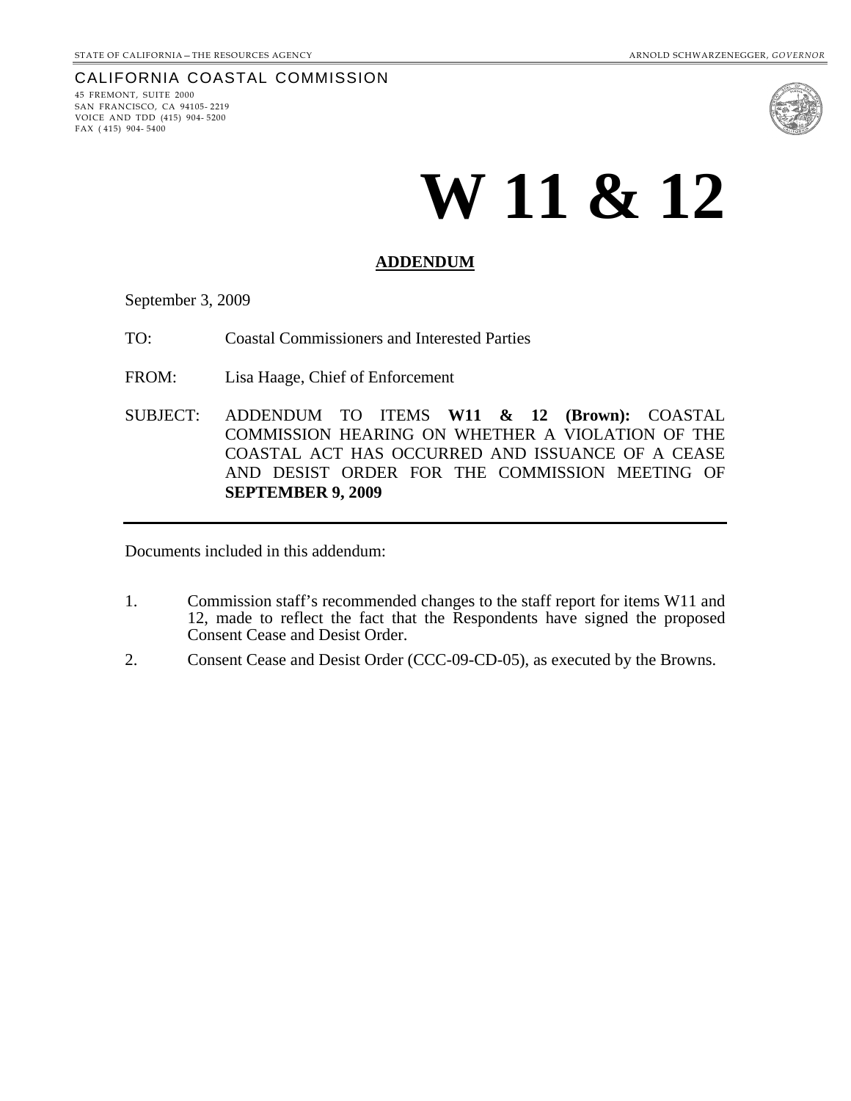#### CALIFORNIA COASTAL COMMISSION

45 FREMONT, SUITE 2000 SAN FRANCISCO, CA 94105- 2219 VOICE AND TDD (415) 904- 5200 FAX ( 415) 904- 5400



# **W 11 & 12**

#### **ADDENDUM**

September 3, 2009

TO: Coastal Commissioners and Interested Parties

FROM: Lisa Haage, Chief of Enforcement

SUBJECT: ADDENDUM TO ITEMS **W11 & 12 (Brown):** COASTAL COMMISSION HEARING ON WHETHER A VIOLATION OF THE COASTAL ACT HAS OCCURRED AND ISSUANCE OF A CEASE AND DESIST ORDER FOR THE COMMISSION MEETING OF **SEPTEMBER 9, 2009** 

Documents included in this addendum:

- 1. Commission staff's recommended changes to the staff report for items W11 and 12, made to reflect the fact that the Respondents have signed the proposed Consent Cease and Desist Order.
- 2. Consent Cease and Desist Order (CCC-09-CD-05), as executed by the Browns.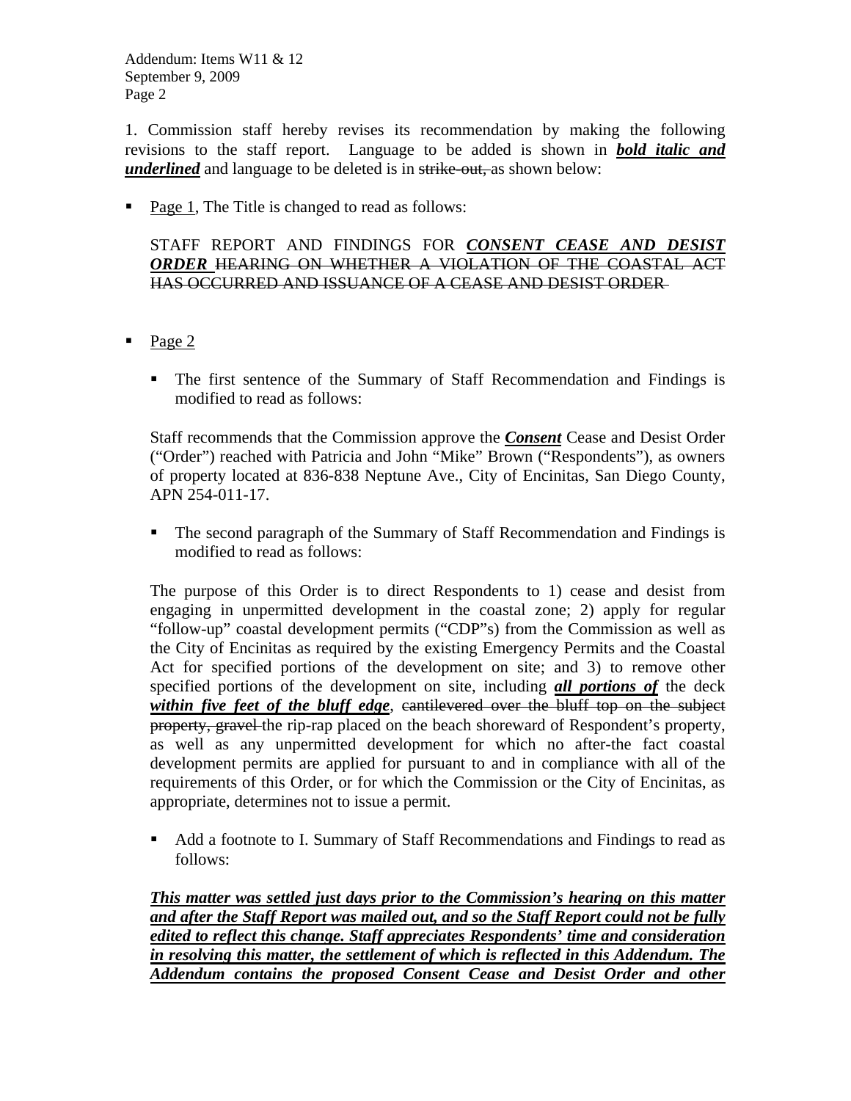1. Commission staff hereby revises its recommendation by making the following revisions to the staff report. Language to be added is shown in *bold italic and underlined* and language to be deleted is in strike-out, as shown below:

• Page 1, The Title is changed to read as follows:

STAFF REPORT AND FINDINGS FOR *CONSENT CEASE AND DESIST ORDER* HEARING ON WHETHER A VIOLATION OF THE COASTAL ACT HAS OCCURRED AND ISSUANCE OF A CEASE AND DESIST ORDER

- $\blacksquare$  Page 2
	- The first sentence of the Summary of Staff Recommendation and Findings is modified to read as follows:

Staff recommends that the Commission approve the *Consent* Cease and Desist Order ("Order") reached with Patricia and John "Mike" Brown ("Respondents"), as owners of property located at 836-838 Neptune Ave., City of Encinitas, San Diego County, APN 254-011-17.

• The second paragraph of the Summary of Staff Recommendation and Findings is modified to read as follows:

The purpose of this Order is to direct Respondents to 1) cease and desist from engaging in unpermitted development in the coastal zone; 2) apply for regular "follow-up" coastal development permits ("CDP"s) from the Commission as well as the City of Encinitas as required by the existing Emergency Permits and the Coastal Act for specified portions of the development on site; and 3) to remove other specified portions of the development on site, including *all portions of* the deck *within five feet of the bluff edge*, cantilevered over the bluff top on the subject property, gravel the rip-rap placed on the beach shoreward of Respondent's property, as well as any unpermitted development for which no after-the fact coastal development permits are applied for pursuant to and in compliance with all of the requirements of this Order, or for which the Commission or the City of Encinitas, as appropriate, determines not to issue a permit.

Add a footnote to I. Summary of Staff Recommendations and Findings to read as follows:

*This matter was settled just days prior to the Commission's hearing on this matter and after the Staff Report was mailed out, and so the Staff Report could not be fully edited to reflect this change. Staff appreciates Respondents' time and consideration in resolving this matter, the settlement of which is reflected in this Addendum. The Addendum contains the proposed Consent Cease and Desist Order and other*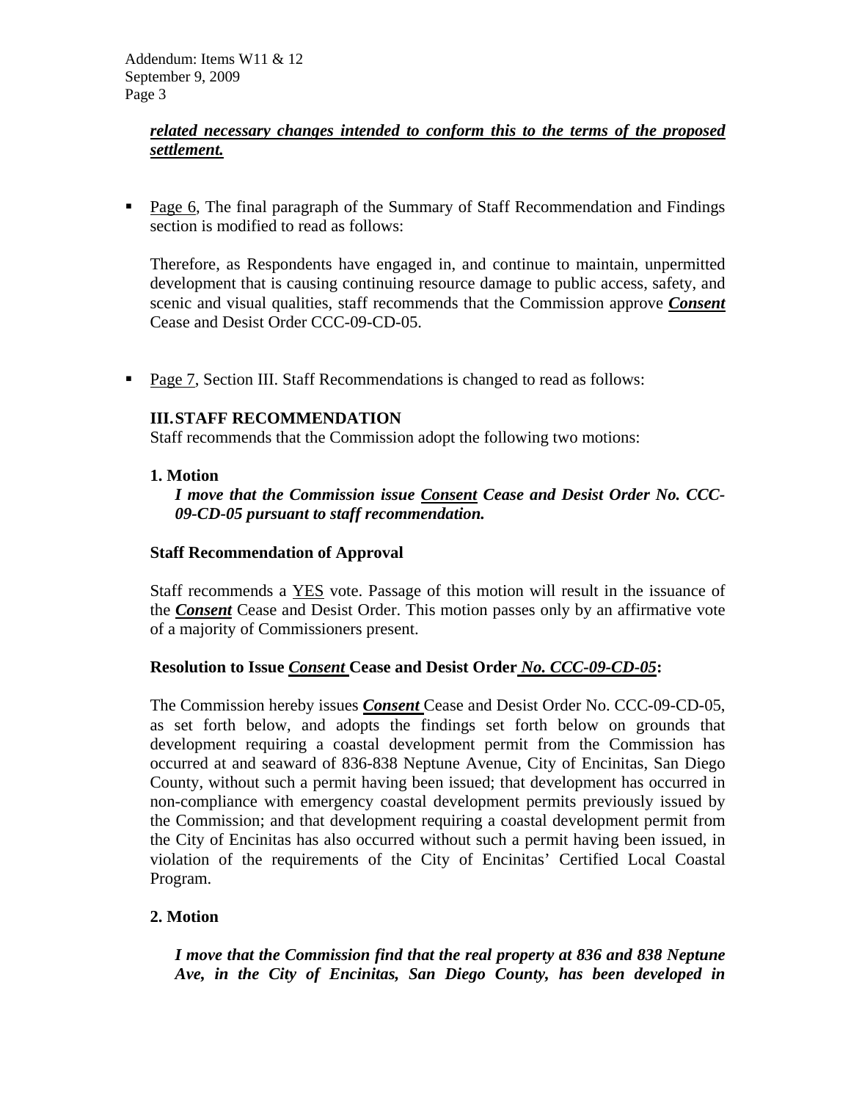#### *related necessary changes intended to conform this to the terms of the proposed settlement.*

**Page 6, The final paragraph of the Summary of Staff Recommendation and Findings** section is modified to read as follows:

Therefore, as Respondents have engaged in, and continue to maintain, unpermitted development that is causing continuing resource damage to public access, safety, and scenic and visual qualities, staff recommends that the Commission approve *Consent*  Cease and Desist Order CCC-09-CD-05.

• Page 7, Section III. Staff Recommendations is changed to read as follows:

#### **III. STAFF RECOMMENDATION**

Staff recommends that the Commission adopt the following two motions:

#### **1. Motion**

*I move that the Commission issue Consent Cease and Desist Order No. CCC-09-CD-05 pursuant to staff recommendation.* 

#### **Staff Recommendation of Approval**

Staff recommends a YES vote. Passage of this motion will result in the issuance of the *Consent* Cease and Desist Order. This motion passes only by an affirmative vote of a majority of Commissioners present.

#### **Resolution to Issue** *Consent* **Cease and Desist Order** *No. CCC-09-CD-05***:**

The Commission hereby issues *Consent* Cease and Desist Order No. CCC-09-CD-05, as set forth below, and adopts the findings set forth below on grounds that development requiring a coastal development permit from the Commission has occurred at and seaward of 836-838 Neptune Avenue, City of Encinitas, San Diego County, without such a permit having been issued; that development has occurred in non-compliance with emergency coastal development permits previously issued by the Commission; and that development requiring a coastal development permit from the City of Encinitas has also occurred without such a permit having been issued, in violation of the requirements of the City of Encinitas' Certified Local Coastal Program.

#### **2. Motion**

*I move that the Commission find that the real property at 836 and 838 Neptune Ave, in the City of Encinitas, San Diego County, has been developed in*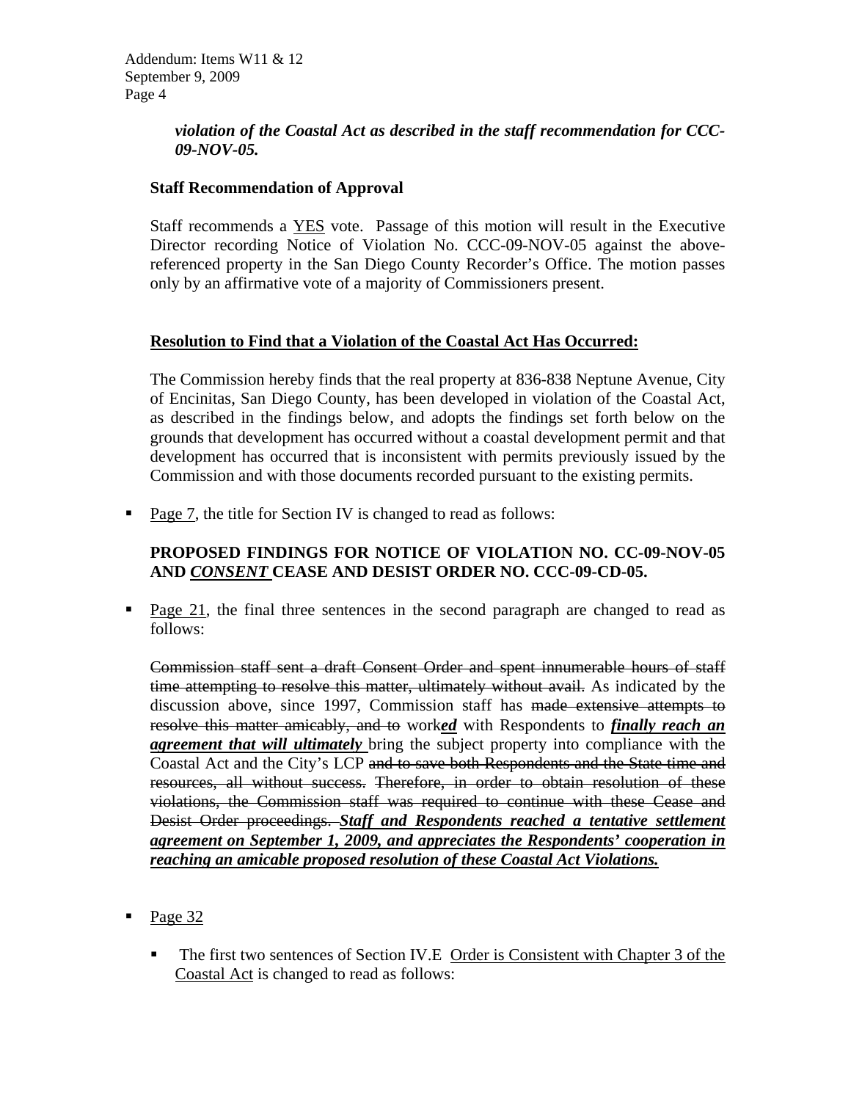#### *violation of the Coastal Act as described in the staff recommendation for CCC-09-NOV-05.*

#### **Staff Recommendation of Approval**

Staff recommends a YES vote. Passage of this motion will result in the Executive Director recording Notice of Violation No. CCC-09-NOV-05 against the abovereferenced property in the San Diego County Recorder's Office. The motion passes only by an affirmative vote of a majority of Commissioners present.

#### **Resolution to Find that a Violation of the Coastal Act Has Occurred:**

The Commission hereby finds that the real property at 836-838 Neptune Avenue, City of Encinitas, San Diego County, has been developed in violation of the Coastal Act, as described in the findings below, and adopts the findings set forth below on the grounds that development has occurred without a coastal development permit and that development has occurred that is inconsistent with permits previously issued by the Commission and with those documents recorded pursuant to the existing permits.

• Page 7, the title for Section IV is changed to read as follows:

## **PROPOSED FINDINGS FOR NOTICE OF VIOLATION NO. CC-09-NOV-05 AND** *CONSENT* **CEASE AND DESIST ORDER NO. CCC-09-CD-05.**

**Page 21, the final three sentences in the second paragraph are changed to read as** follows:

Commission staff sent a draft Consent Order and spent innumerable hours of staff time attempting to resolve this matter, ultimately without avail. As indicated by the discussion above, since 1997, Commission staff has made extensive attempts to resolve this matter amicably, and to work*ed* with Respondents to *finally reach an agreement that will ultimately* bring the subject property into compliance with the Coastal Act and the City's LCP and to save both Respondents and the State time and resources, all without success. Therefore, in order to obtain resolution of these violations, the Commission staff was required to continue with these Cease and Desist Order proceedings. *Staff and Respondents reached a tentative settlement agreement on September 1, 2009, and appreciates the Respondents' cooperation in reaching an amicable proposed resolution of these Coastal Act Violations.* 

- Page 32
	- The first two sentences of Section IV.E Order is Consistent with Chapter 3 of the Coastal Act is changed to read as follows: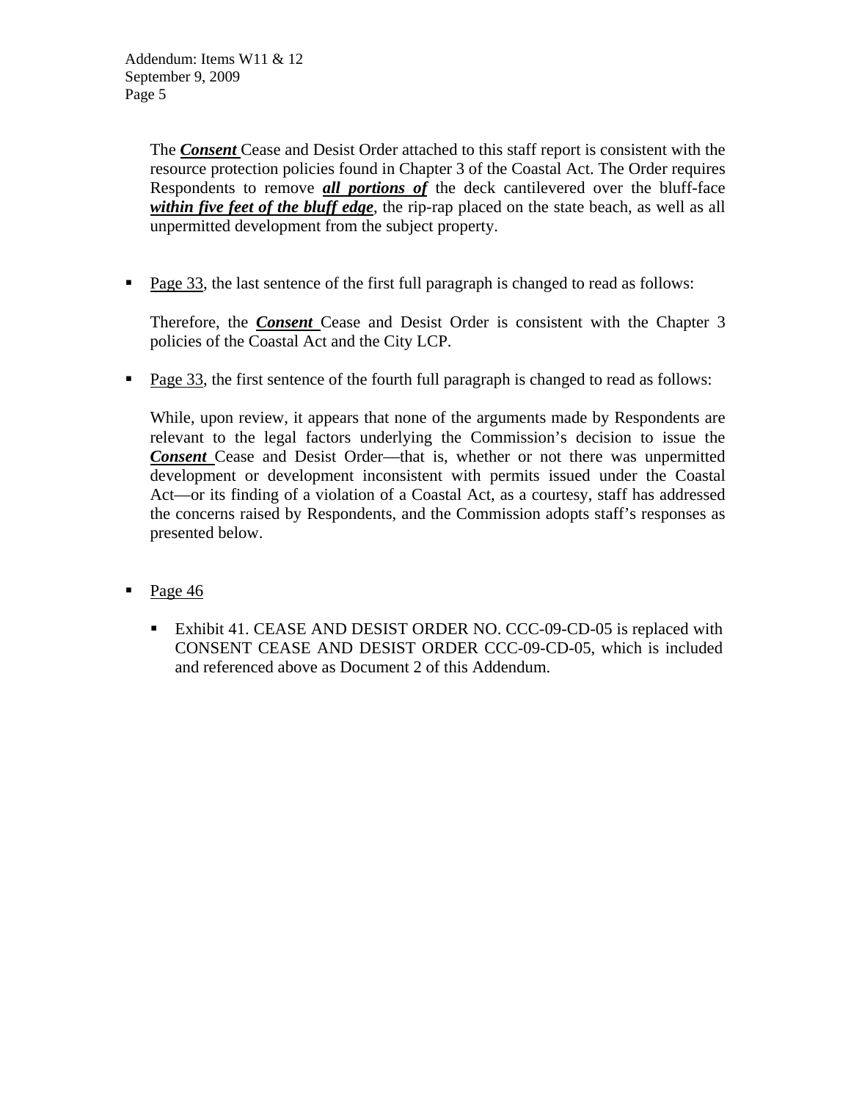The *Consent* Cease and Desist Order attached to this staff report is consistent with the resource protection policies found in Chapter 3 of the Coastal Act. The Order requires Respondents to remove *all portions of* the deck cantilevered over the bluff-face *within five feet of the bluff edge*, the rip-rap placed on the state beach, as well as all unpermitted development from the subject property.

Page 33, the last sentence of the first full paragraph is changed to read as follows:

Therefore, the *Consent* Cease and Desist Order is consistent with the Chapter 3 policies of the Coastal Act and the City LCP.

Page 33, the first sentence of the fourth full paragraph is changed to read as follows:

While, upon review, it appears that none of the arguments made by Respondents are relevant to the legal factors underlying the Commission's decision to issue the *Consent* Cease and Desist Order—that is, whether or not there was unpermitted development or development inconsistent with permits issued under the Coastal Act—or its finding of a violation of a Coastal Act, as a courtesy, staff has addressed the concerns raised by Respondents, and the Commission adopts staff's responses as presented below.

- Page 46
	- **Exhibit 41. CEASE AND DESIST ORDER NO. CCC-09-CD-05 is replaced with** CONSENT CEASE AND DESIST ORDER CCC-09-CD-05, which is included and referenced above as Document 2 of this Addendum.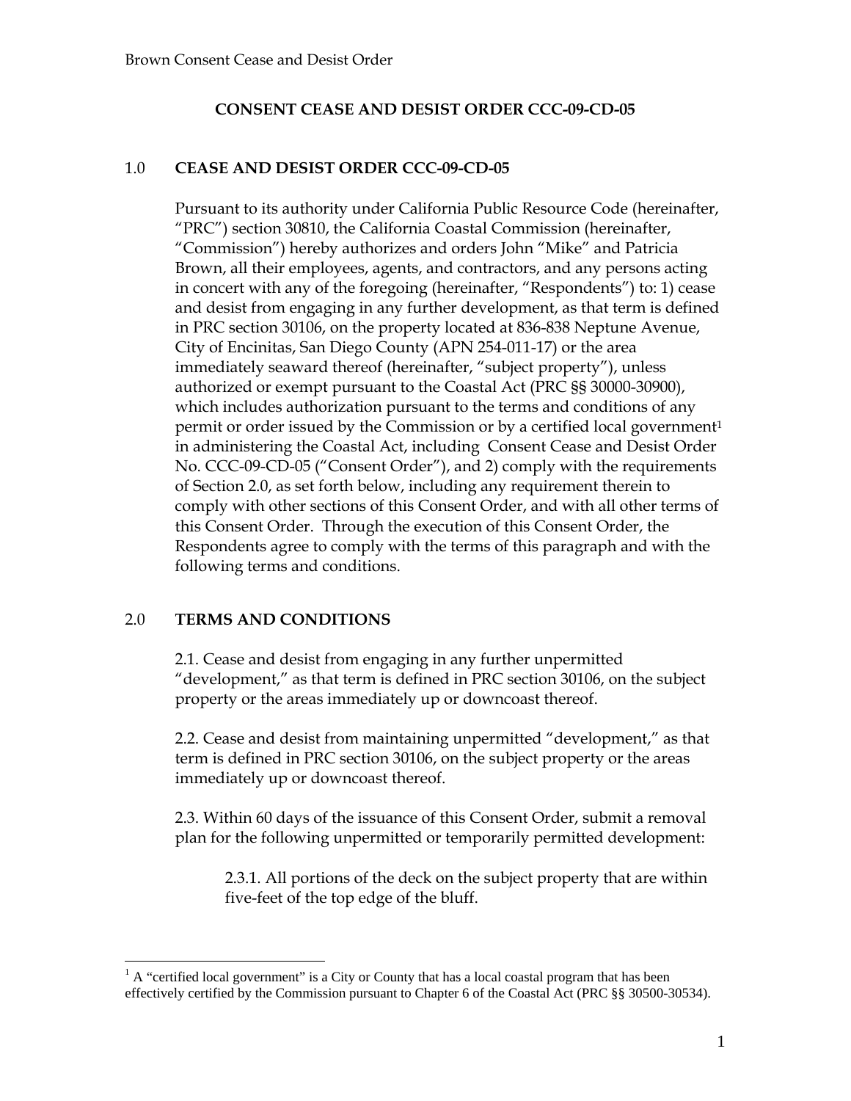#### **CONSENT CEASE AND DESIST ORDER CCC-09-CD-05**

#### 1.0 **CEASE AND DESIST ORDER CCC-09-CD-05**

Pursuant to its authority under California Public Resource Code (hereinafter, "PRC") section 30810, the California Coastal Commission (hereinafter, "Commission") hereby authorizes and orders John "Mike" and Patricia Brown, all their employees, agents, and contractors, and any persons acting in concert with any of the foregoing (hereinafter, "Respondents") to: 1) cease and desist from engaging in any further development, as that term is defined in PRC section 30106, on the property located at 836-838 Neptune Avenue, City of Encinitas, San Diego County (APN 254-011-17) or the area immediately seaward thereof (hereinafter, "subject property"), unless authorized or exempt pursuant to the Coastal Act (PRC §§ 30000-30900), which includes authorization pursuant to the terms and conditions of any permit or order issued by the Commission or by a certified local government<sup>1</sup> in administering the Coastal Act, including Consent Cease and Desist Order No. CCC-09-CD-05 ("Consent Order"), and 2) comply with the requirements of Section 2.0, as set forth below, including any requirement therein to comply with other sections of this Consent Order, and with all other terms of this Consent Order. Through the execution of this Consent Order, the Respondents agree to comply with the terms of this paragraph and with the following terms and conditions.

#### 2.0 **TERMS AND CONDITIONS**

 $\overline{a}$ 

2.1. Cease and desist from engaging in any further unpermitted "development," as that term is defined in PRC section 30106, on the subject property or the areas immediately up or downcoast thereof.

2.2. Cease and desist from maintaining unpermitted "development," as that term is defined in PRC section 30106, on the subject property or the areas immediately up or downcoast thereof.

2.3. Within 60 days of the issuance of this Consent Order, submit a removal plan for the following unpermitted or temporarily permitted development:

2.3.1. All portions of the deck on the subject property that are within five-feet of the top edge of the bluff.

 $<sup>1</sup>$  A "certified local government" is a City or County that has a local coastal program that has been</sup> effectively certified by the Commission pursuant to Chapter 6 of the Coastal Act (PRC §§ 30500-30534).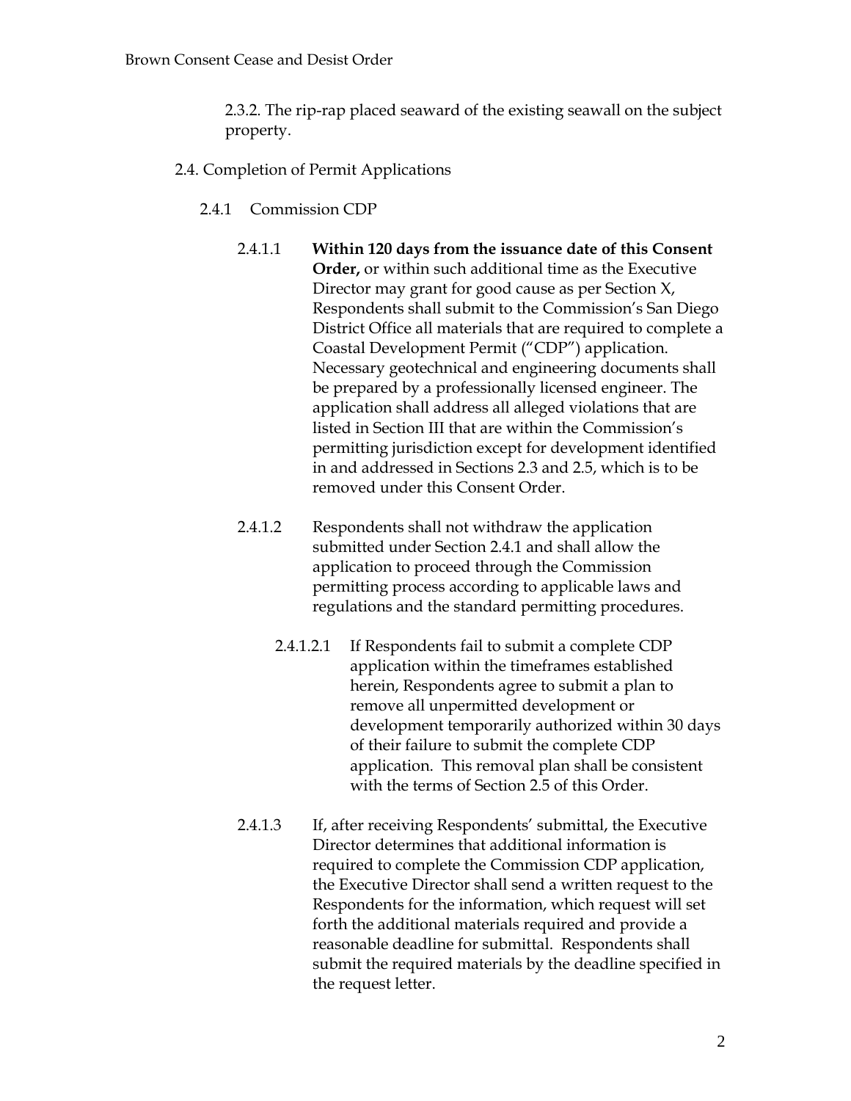2.3.2. The rip-rap placed seaward of the existing seawall on the subject property.

- 2.4. Completion of Permit Applications
	- 2.4.1 Commission CDP
		- 2.4.1.1 **Within 120 days from the issuance date of this Consent Order,** or within such additional time as the Executive Director may grant for good cause as per Section X, Respondents shall submit to the Commission's San Diego District Office all materials that are required to complete a Coastal Development Permit ("CDP") application. Necessary geotechnical and engineering documents shall be prepared by a professionally licensed engineer. The application shall address all alleged violations that are listed in Section III that are within the Commission's permitting jurisdiction except for development identified in and addressed in Sections 2.3 and 2.5, which is to be removed under this Consent Order.
		- 2.4.1.2 Respondents shall not withdraw the application submitted under Section 2.4.1 and shall allow the application to proceed through the Commission permitting process according to applicable laws and regulations and the standard permitting procedures.
			- 2.4.1.2.1 If Respondents fail to submit a complete CDP application within the timeframes established herein, Respondents agree to submit a plan to remove all unpermitted development or development temporarily authorized within 30 days of their failure to submit the complete CDP application. This removal plan shall be consistent with the terms of Section 2.5 of this Order.
		- 2.4.1.3 If, after receiving Respondents' submittal, the Executive Director determines that additional information is required to complete the Commission CDP application, the Executive Director shall send a written request to the Respondents for the information, which request will set forth the additional materials required and provide a reasonable deadline for submittal. Respondents shall submit the required materials by the deadline specified in the request letter.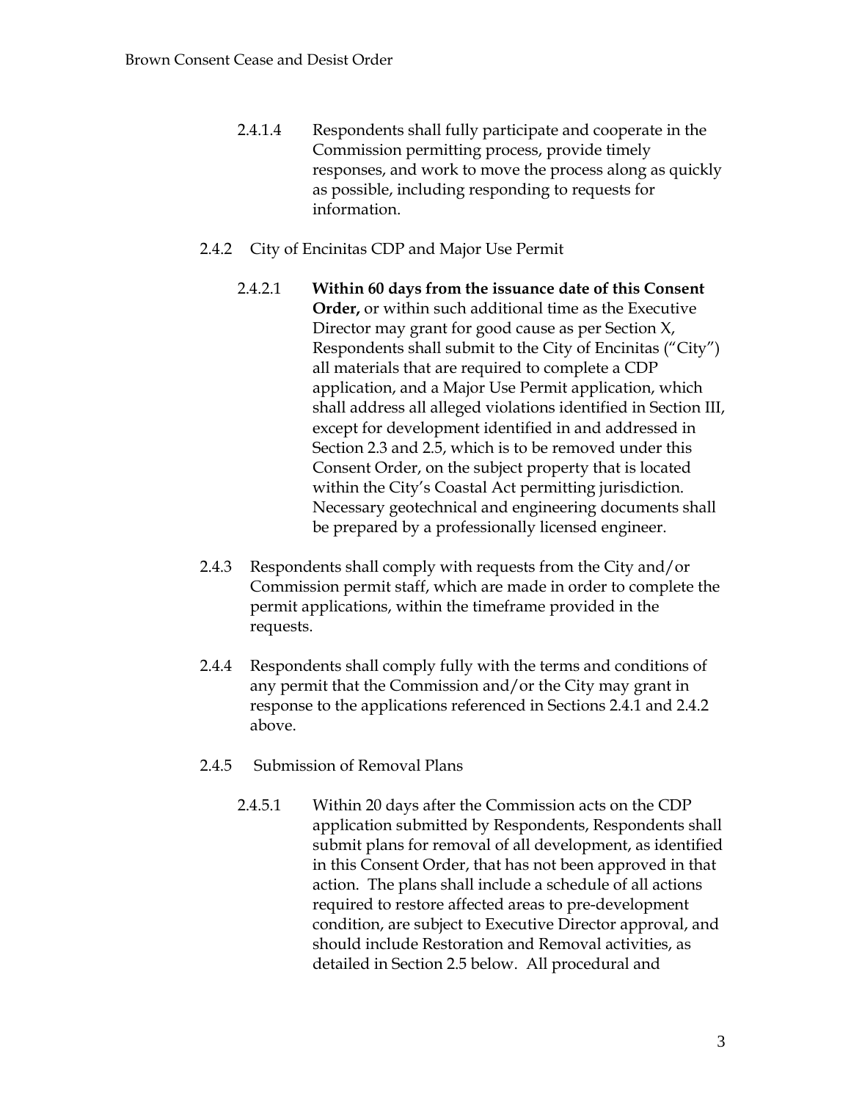- 2.4.1.4 Respondents shall fully participate and cooperate in the Commission permitting process, provide timely responses, and work to move the process along as quickly as possible, including responding to requests for information.
- 2.4.2 City of Encinitas CDP and Major Use Permit
	- 2.4.2.1 **Within 60 days from the issuance date of this Consent Order,** or within such additional time as the Executive Director may grant for good cause as per Section X, Respondents shall submit to the City of Encinitas ("City") all materials that are required to complete a CDP application, and a Major Use Permit application, which shall address all alleged violations identified in Section III, except for development identified in and addressed in Section 2.3 and 2.5, which is to be removed under this Consent Order, on the subject property that is located within the City's Coastal Act permitting jurisdiction. Necessary geotechnical and engineering documents shall be prepared by a professionally licensed engineer.
- 2.4.3 Respondents shall comply with requests from the City and/or Commission permit staff, which are made in order to complete the permit applications, within the timeframe provided in the requests.
- 2.4.4 Respondents shall comply fully with the terms and conditions of any permit that the Commission and/or the City may grant in response to the applications referenced in Sections 2.4.1 and 2.4.2 above.
- 2.4.5 Submission of Removal Plans
	- 2.4.5.1 Within 20 days after the Commission acts on the CDP application submitted by Respondents, Respondents shall submit plans for removal of all development, as identified in this Consent Order, that has not been approved in that action. The plans shall include a schedule of all actions required to restore affected areas to pre-development condition, are subject to Executive Director approval, and should include Restoration and Removal activities, as detailed in Section 2.5 below. All procedural and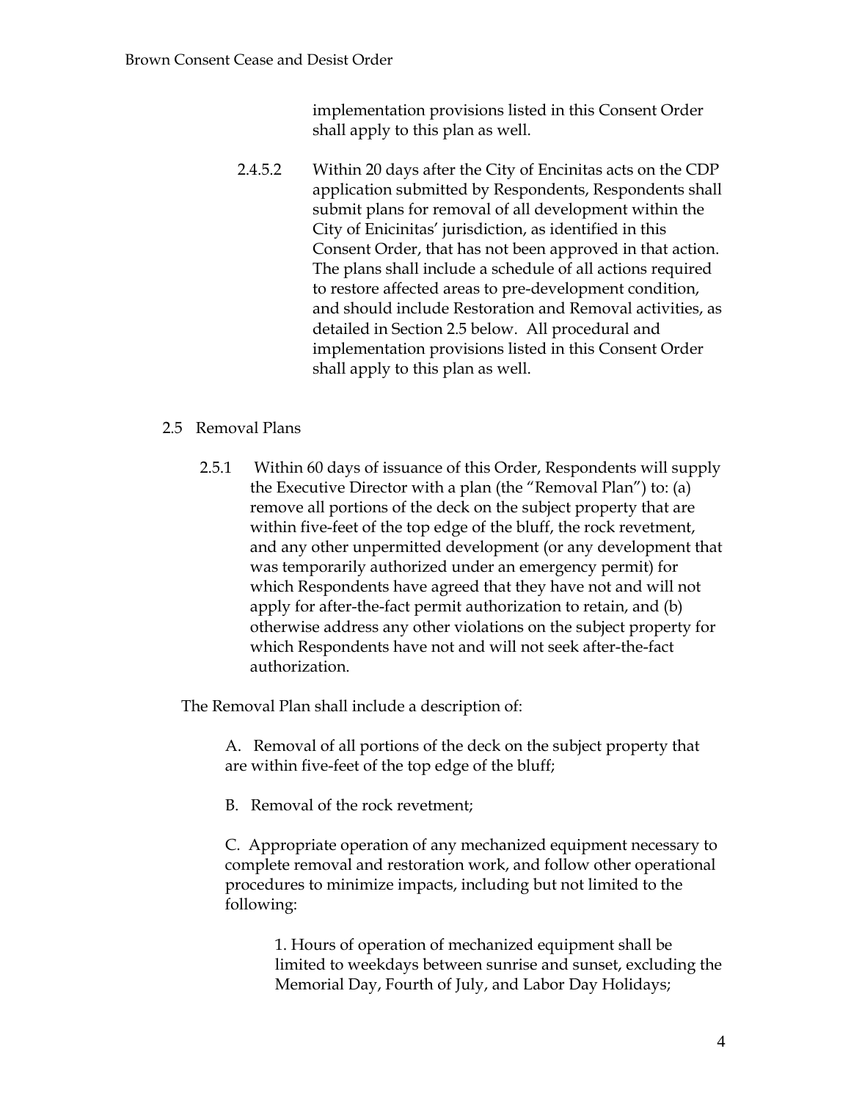implementation provisions listed in this Consent Order shall apply to this plan as well.

2.4.5.2 Within 20 days after the City of Encinitas acts on the CDP application submitted by Respondents, Respondents shall submit plans for removal of all development within the City of Enicinitas' jurisdiction, as identified in this Consent Order, that has not been approved in that action. The plans shall include a schedule of all actions required to restore affected areas to pre-development condition, and should include Restoration and Removal activities, as detailed in Section 2.5 below. All procedural and implementation provisions listed in this Consent Order shall apply to this plan as well.

## 2.5 Removal Plans

2.5.1 Within 60 days of issuance of this Order, Respondents will supply the Executive Director with a plan (the "Removal Plan") to: (a) remove all portions of the deck on the subject property that are within five-feet of the top edge of the bluff, the rock revetment, and any other unpermitted development (or any development that was temporarily authorized under an emergency permit) for which Respondents have agreed that they have not and will not apply for after-the-fact permit authorization to retain, and (b) otherwise address any other violations on the subject property for which Respondents have not and will not seek after-the-fact authorization.

The Removal Plan shall include a description of:

A. Removal of all portions of the deck on the subject property that are within five-feet of the top edge of the bluff;

B. Removal of the rock revetment;

C. Appropriate operation of any mechanized equipment necessary to complete removal and restoration work, and follow other operational procedures to minimize impacts, including but not limited to the following:

1. Hours of operation of mechanized equipment shall be limited to weekdays between sunrise and sunset, excluding the Memorial Day, Fourth of July, and Labor Day Holidays;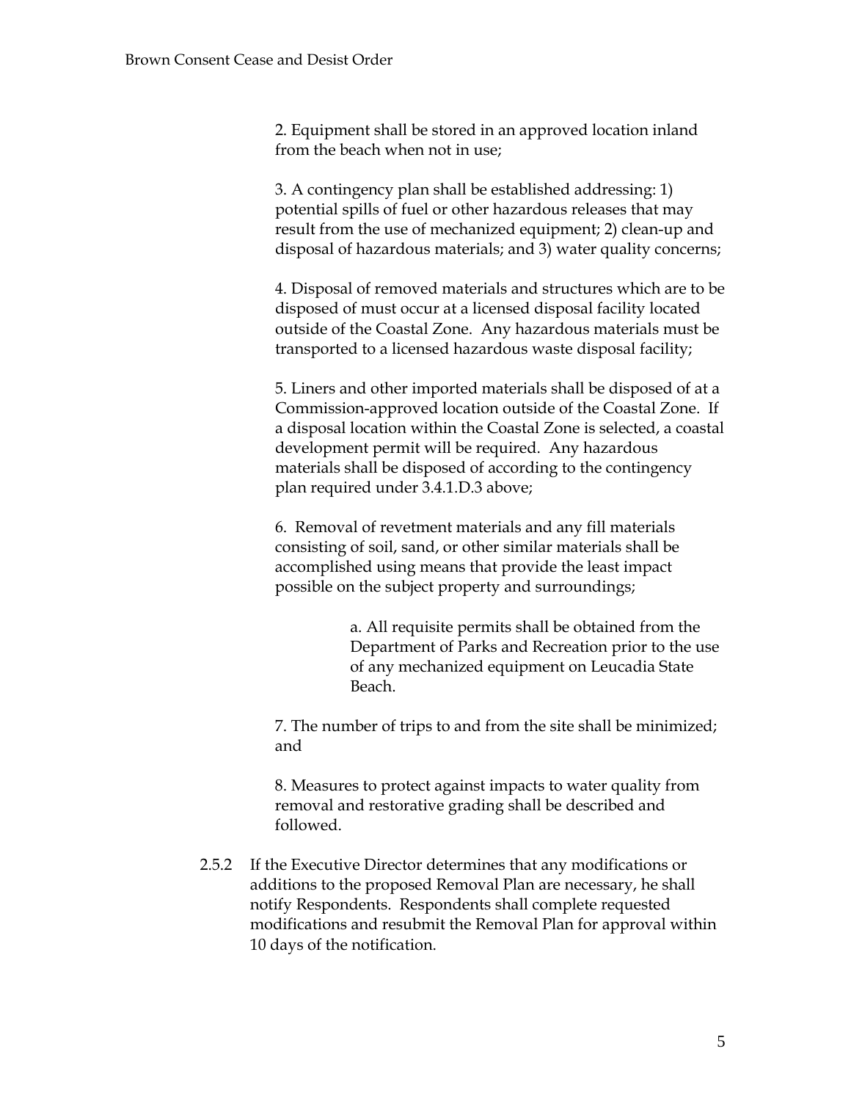2. Equipment shall be stored in an approved location inland from the beach when not in use;

3. A contingency plan shall be established addressing: 1) potential spills of fuel or other hazardous releases that may result from the use of mechanized equipment; 2) clean-up and disposal of hazardous materials; and 3) water quality concerns;

4. Disposal of removed materials and structures which are to be disposed of must occur at a licensed disposal facility located outside of the Coastal Zone. Any hazardous materials must be transported to a licensed hazardous waste disposal facility;

5. Liners and other imported materials shall be disposed of at a Commission-approved location outside of the Coastal Zone. If a disposal location within the Coastal Zone is selected, a coastal development permit will be required. Any hazardous materials shall be disposed of according to the contingency plan required under 3.4.1.D.3 above;

6. Removal of revetment materials and any fill materials consisting of soil, sand, or other similar materials shall be accomplished using means that provide the least impact possible on the subject property and surroundings;

> a. All requisite permits shall be obtained from the Department of Parks and Recreation prior to the use of any mechanized equipment on Leucadia State Beach.

7. The number of trips to and from the site shall be minimized; and

8. Measures to protect against impacts to water quality from removal and restorative grading shall be described and followed.

2.5.2 If the Executive Director determines that any modifications or additions to the proposed Removal Plan are necessary, he shall notify Respondents. Respondents shall complete requested modifications and resubmit the Removal Plan for approval within 10 days of the notification.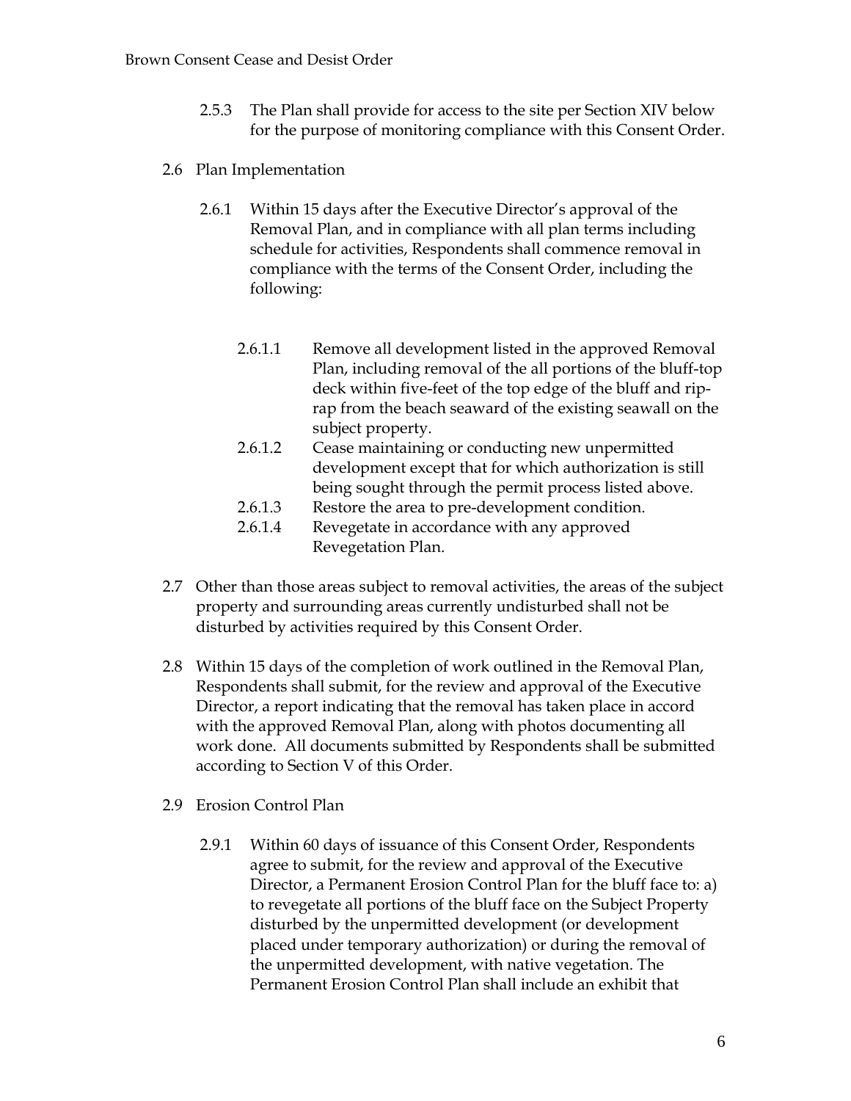- 2.5.3 The Plan shall provide for access to the site per Section XIV below for the purpose of monitoring compliance with this Consent Order.
- 2.6 Plan Implementation
	- 2.6.1 Within 15 days after the Executive Director's approval of the Removal Plan, and in compliance with all plan terms including schedule for activities, Respondents shall commence removal in compliance with the terms of the Consent Order, including the following:
		- 2.6.1.1 Remove all development listed in the approved Removal Plan, including removal of the all portions of the bluff-top deck within five-feet of the top edge of the bluff and riprap from the beach seaward of the existing seawall on the subject property.
		- 2.6.1.2 Cease maintaining or conducting new unpermitted development except that for which authorization is still being sought through the permit process listed above.
		- 2.6.1.3 Restore the area to pre-development condition.
		- 2.6.1.4 Revegetate in accordance with any approved Revegetation Plan.
- 2.7 Other than those areas subject to removal activities, the areas of the subject property and surrounding areas currently undisturbed shall not be disturbed by activities required by this Consent Order.
- 2.8 Within 15 days of the completion of work outlined in the Removal Plan, Respondents shall submit, for the review and approval of the Executive Director, a report indicating that the removal has taken place in accord with the approved Removal Plan, along with photos documenting all work done. All documents submitted by Respondents shall be submitted according to Section V of this Order.
- 2.9 Erosion Control Plan
	- 2.9.1 Within 60 days of issuance of this Consent Order, Respondents agree to submit, for the review and approval of the Executive Director, a Permanent Erosion Control Plan for the bluff face to: a) to revegetate all portions of the bluff face on the Subject Property disturbed by the unpermitted development (or development placed under temporary authorization) or during the removal of the unpermitted development, with native vegetation. The Permanent Erosion Control Plan shall include an exhibit that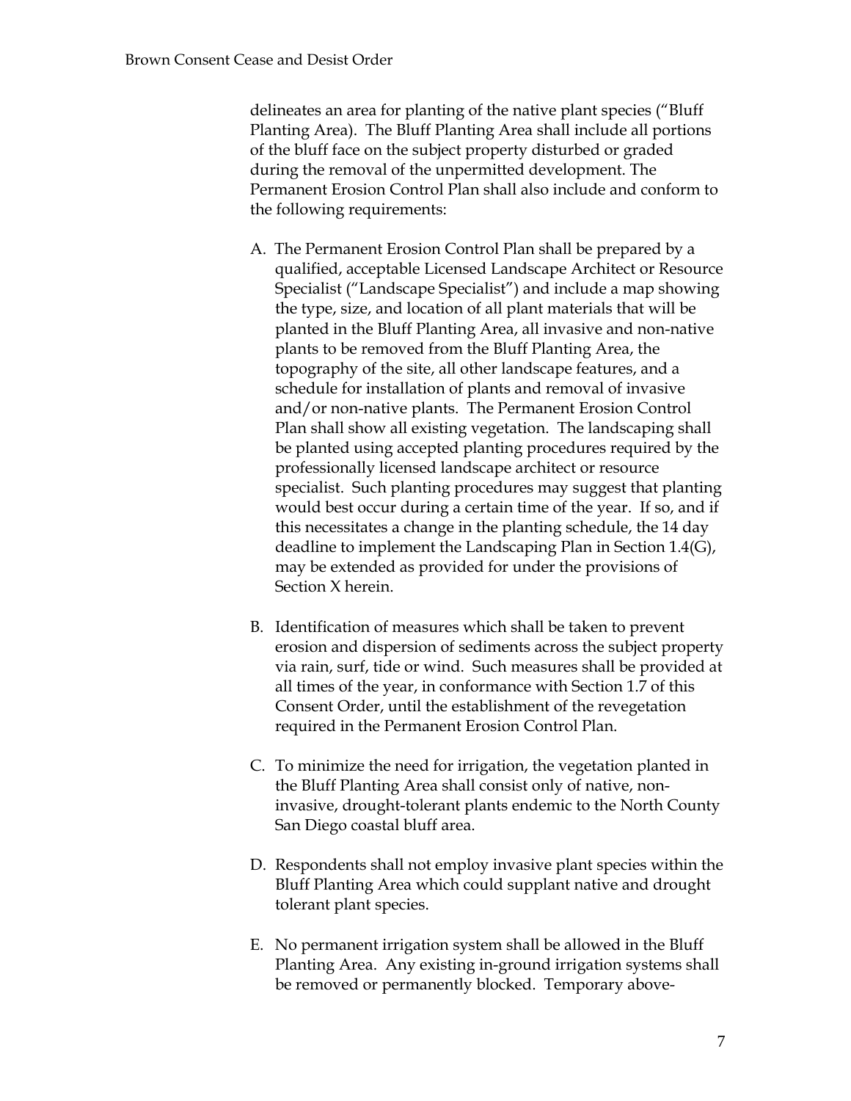delineates an area for planting of the native plant species ("Bluff Planting Area). The Bluff Planting Area shall include all portions of the bluff face on the subject property disturbed or graded during the removal of the unpermitted development. The Permanent Erosion Control Plan shall also include and conform to the following requirements:

- A. The Permanent Erosion Control Plan shall be prepared by a qualified, acceptable Licensed Landscape Architect or Resource Specialist ("Landscape Specialist") and include a map showing the type, size, and location of all plant materials that will be planted in the Bluff Planting Area, all invasive and non-native plants to be removed from the Bluff Planting Area, the topography of the site, all other landscape features, and a schedule for installation of plants and removal of invasive and/or non-native plants. The Permanent Erosion Control Plan shall show all existing vegetation. The landscaping shall be planted using accepted planting procedures required by the professionally licensed landscape architect or resource specialist. Such planting procedures may suggest that planting would best occur during a certain time of the year. If so, and if this necessitates a change in the planting schedule, the 14 day deadline to implement the Landscaping Plan in Section 1.4(G), may be extended as provided for under the provisions of Section X herein.
- B. Identification of measures which shall be taken to prevent erosion and dispersion of sediments across the subject property via rain, surf, tide or wind. Such measures shall be provided at all times of the year, in conformance with Section 1.7 of this Consent Order, until the establishment of the revegetation required in the Permanent Erosion Control Plan.
- C. To minimize the need for irrigation, the vegetation planted in the Bluff Planting Area shall consist only of native, noninvasive, drought-tolerant plants endemic to the North County San Diego coastal bluff area.
- D. Respondents shall not employ invasive plant species within the Bluff Planting Area which could supplant native and drought tolerant plant species.
- E. No permanent irrigation system shall be allowed in the Bluff Planting Area. Any existing in-ground irrigation systems shall be removed or permanently blocked. Temporary above-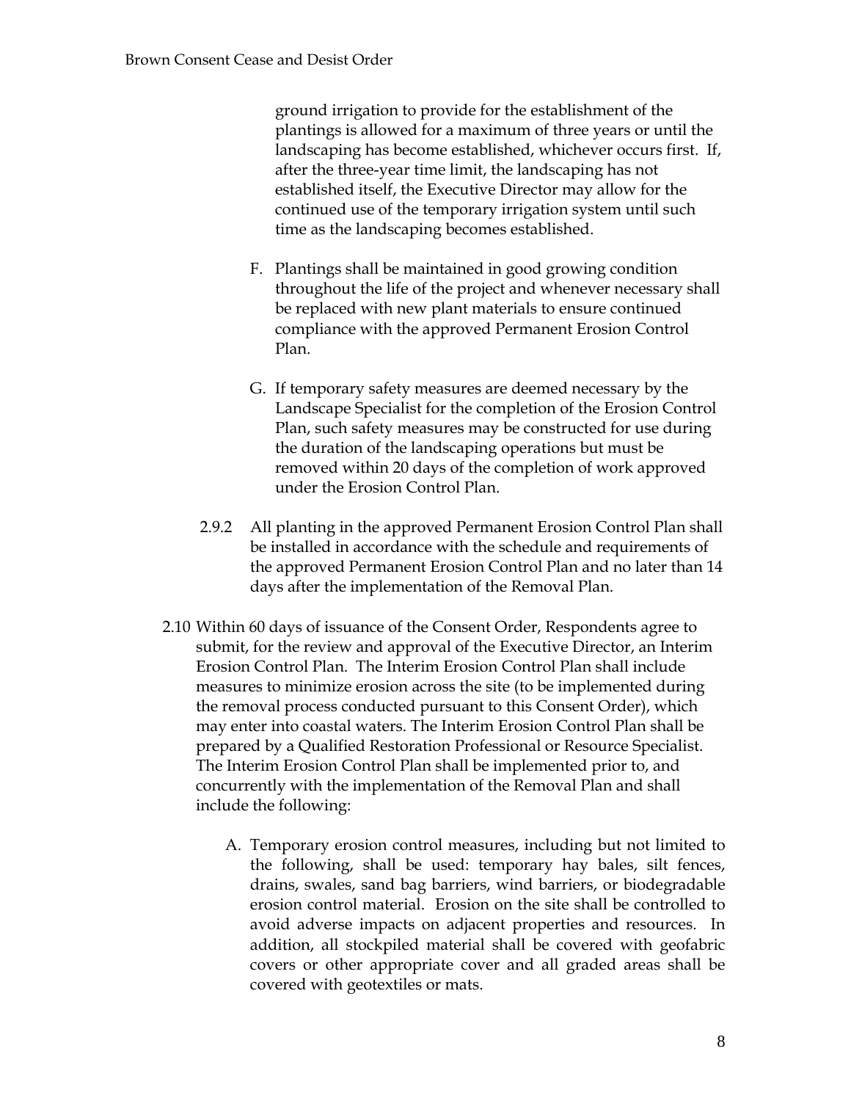ground irrigation to provide for the establishment of the plantings is allowed for a maximum of three years or until the landscaping has become established, whichever occurs first. If, after the three-year time limit, the landscaping has not established itself, the Executive Director may allow for the continued use of the temporary irrigation system until such time as the landscaping becomes established.

- F. Plantings shall be maintained in good growing condition throughout the life of the project and whenever necessary shall be replaced with new plant materials to ensure continued compliance with the approved Permanent Erosion Control Plan.
- G. If temporary safety measures are deemed necessary by the Landscape Specialist for the completion of the Erosion Control Plan, such safety measures may be constructed for use during the duration of the landscaping operations but must be removed within 20 days of the completion of work approved under the Erosion Control Plan.
- 2.9.2 All planting in the approved Permanent Erosion Control Plan shall be installed in accordance with the schedule and requirements of the approved Permanent Erosion Control Plan and no later than 14 days after the implementation of the Removal Plan.
- 2.10 Within 60 days of issuance of the Consent Order, Respondents agree to submit, for the review and approval of the Executive Director, an Interim Erosion Control Plan. The Interim Erosion Control Plan shall include measures to minimize erosion across the site (to be implemented during the removal process conducted pursuant to this Consent Order), which may enter into coastal waters. The Interim Erosion Control Plan shall be prepared by a Qualified Restoration Professional or Resource Specialist. The Interim Erosion Control Plan shall be implemented prior to, and concurrently with the implementation of the Removal Plan and shall include the following:
	- A. Temporary erosion control measures, including but not limited to the following, shall be used: temporary hay bales, silt fences, drains, swales, sand bag barriers, wind barriers, or biodegradable erosion control material. Erosion on the site shall be controlled to avoid adverse impacts on adjacent properties and resources. In addition, all stockpiled material shall be covered with geofabric covers or other appropriate cover and all graded areas shall be covered with geotextiles or mats.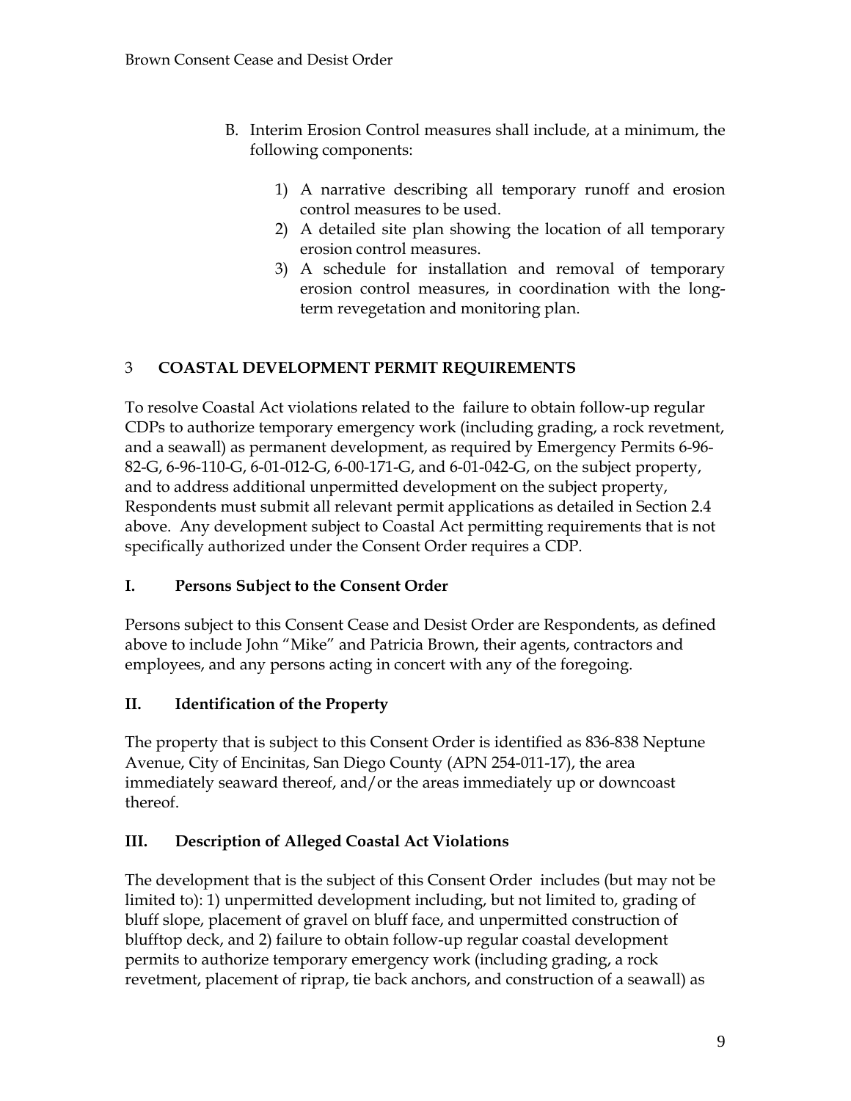- B. Interim Erosion Control measures shall include, at a minimum, the following components:
	- 1) A narrative describing all temporary runoff and erosion control measures to be used.
	- 2) A detailed site plan showing the location of all temporary erosion control measures.
	- 3) A schedule for installation and removal of temporary erosion control measures, in coordination with the longterm revegetation and monitoring plan.

# 3 **COASTAL DEVELOPMENT PERMIT REQUIREMENTS**

To resolve Coastal Act violations related to the failure to obtain follow-up regular CDPs to authorize temporary emergency work (including grading, a rock revetment, and a seawall) as permanent development, as required by Emergency Permits 6-96- 82-G, 6-96-110-G, 6-01-012-G, 6-00-171-G, and 6-01-042-G, on the subject property, and to address additional unpermitted development on the subject property, Respondents must submit all relevant permit applications as detailed in Section 2.4 above. Any development subject to Coastal Act permitting requirements that is not specifically authorized under the Consent Order requires a CDP.

## **I. Persons Subject to the Consent Order**

Persons subject to this Consent Cease and Desist Order are Respondents, as defined above to include John "Mike" and Patricia Brown, their agents, contractors and employees, and any persons acting in concert with any of the foregoing.

## **II. Identification of the Property**

The property that is subject to this Consent Order is identified as 836-838 Neptune Avenue, City of Encinitas, San Diego County (APN 254-011-17), the area immediately seaward thereof, and/or the areas immediately up or downcoast thereof.

# **III. Description of Alleged Coastal Act Violations**

The development that is the subject of this Consent Order includes (but may not be limited to): 1) unpermitted development including, but not limited to, grading of bluff slope, placement of gravel on bluff face, and unpermitted construction of blufftop deck, and 2) failure to obtain follow-up regular coastal development permits to authorize temporary emergency work (including grading, a rock revetment, placement of riprap, tie back anchors, and construction of a seawall) as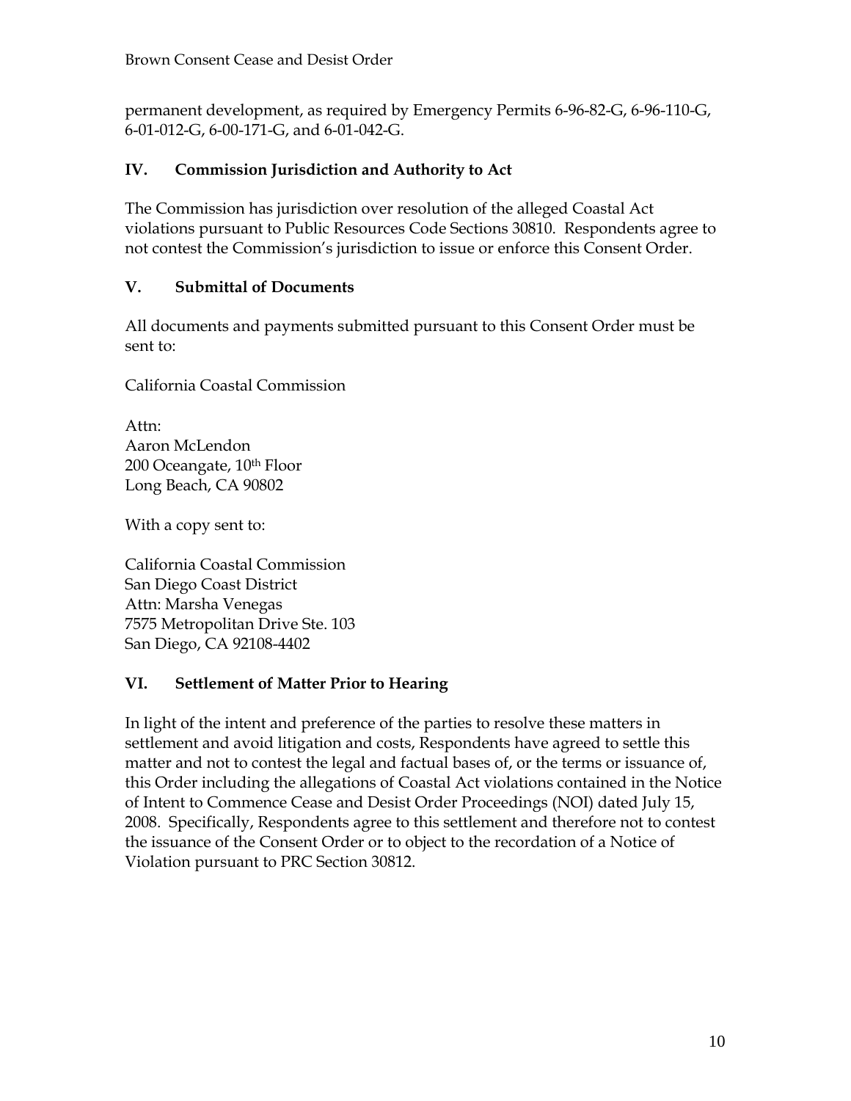permanent development, as required by Emergency Permits 6-96-82-G, 6-96-110-G, 6-01-012-G, 6-00-171-G, and 6-01-042-G.

## **IV. Commission Jurisdiction and Authority to Act**

The Commission has jurisdiction over resolution of the alleged Coastal Act violations pursuant to Public Resources Code Sections 30810. Respondents agree to not contest the Commission's jurisdiction to issue or enforce this Consent Order.

## **V. Submittal of Documents**

All documents and payments submitted pursuant to this Consent Order must be sent to:

California Coastal Commission

Attn: Aaron McLendon 200 Oceangate, 10<sup>th</sup> Floor Long Beach, CA 90802

With a copy sent to:

California Coastal Commission San Diego Coast District Attn: Marsha Venegas 7575 Metropolitan Drive Ste. 103 San Diego, CA 92108-4402

## **VI. Settlement of Matter Prior to Hearing**

In light of the intent and preference of the parties to resolve these matters in settlement and avoid litigation and costs, Respondents have agreed to settle this matter and not to contest the legal and factual bases of, or the terms or issuance of, this Order including the allegations of Coastal Act violations contained in the Notice of Intent to Commence Cease and Desist Order Proceedings (NOI) dated July 15, 2008. Specifically, Respondents agree to this settlement and therefore not to contest the issuance of the Consent Order or to object to the recordation of a Notice of Violation pursuant to PRC Section 30812.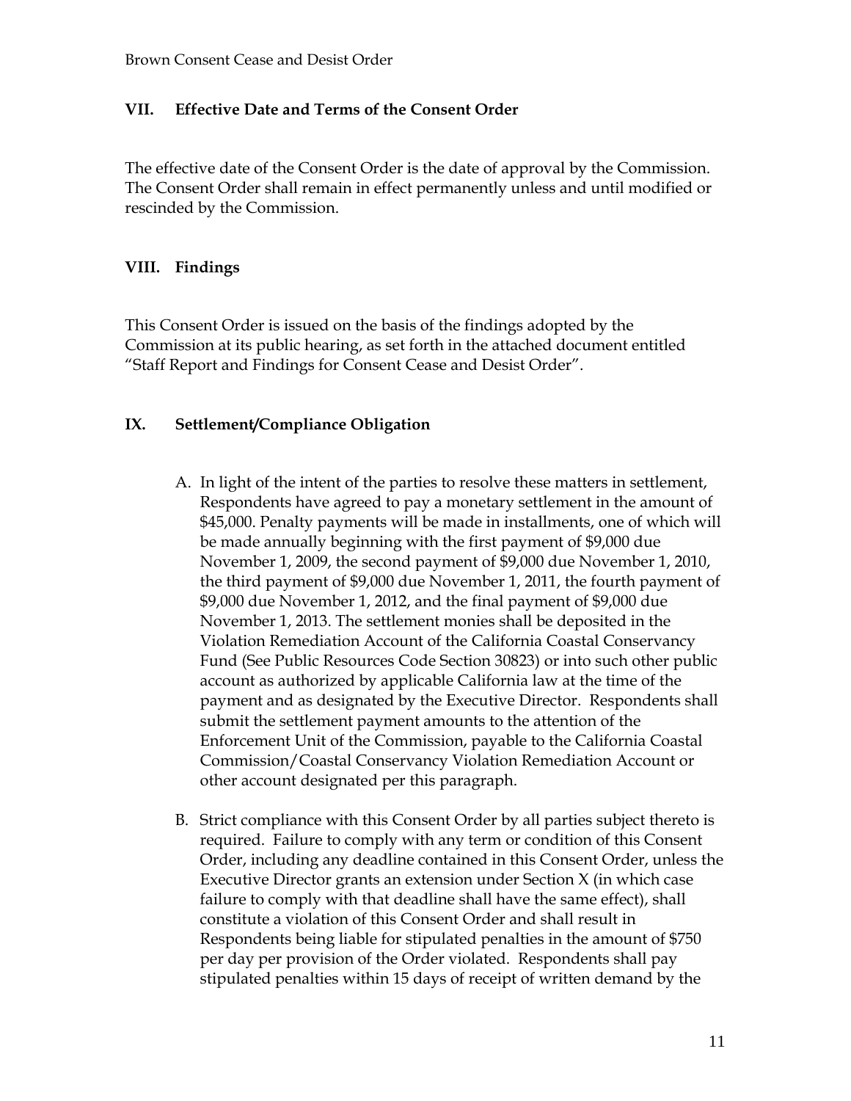#### **VII. Effective Date and Terms of the Consent Order**

The effective date of the Consent Order is the date of approval by the Commission. The Consent Order shall remain in effect permanently unless and until modified or rescinded by the Commission.

#### **VIII. Findings**

This Consent Order is issued on the basis of the findings adopted by the Commission at its public hearing, as set forth in the attached document entitled "Staff Report and Findings for Consent Cease and Desist Order".

#### **IX. Settlement/Compliance Obligation**

- A. In light of the intent of the parties to resolve these matters in settlement, Respondents have agreed to pay a monetary settlement in the amount of \$45,000. Penalty payments will be made in installments, one of which will be made annually beginning with the first payment of \$9,000 due November 1, 2009, the second payment of \$9,000 due November 1, 2010, the third payment of \$9,000 due November 1, 2011, the fourth payment of \$9,000 due November 1, 2012, and the final payment of \$9,000 due November 1, 2013. The settlement monies shall be deposited in the Violation Remediation Account of the California Coastal Conservancy Fund (See Public Resources Code Section 30823) or into such other public account as authorized by applicable California law at the time of the payment and as designated by the Executive Director. Respondents shall submit the settlement payment amounts to the attention of the Enforcement Unit of the Commission, payable to the California Coastal Commission/Coastal Conservancy Violation Remediation Account or other account designated per this paragraph.
- B. Strict compliance with this Consent Order by all parties subject thereto is required. Failure to comply with any term or condition of this Consent Order, including any deadline contained in this Consent Order, unless the Executive Director grants an extension under Section X (in which case failure to comply with that deadline shall have the same effect), shall constitute a violation of this Consent Order and shall result in Respondents being liable for stipulated penalties in the amount of \$750 per day per provision of the Order violated. Respondents shall pay stipulated penalties within 15 days of receipt of written demand by the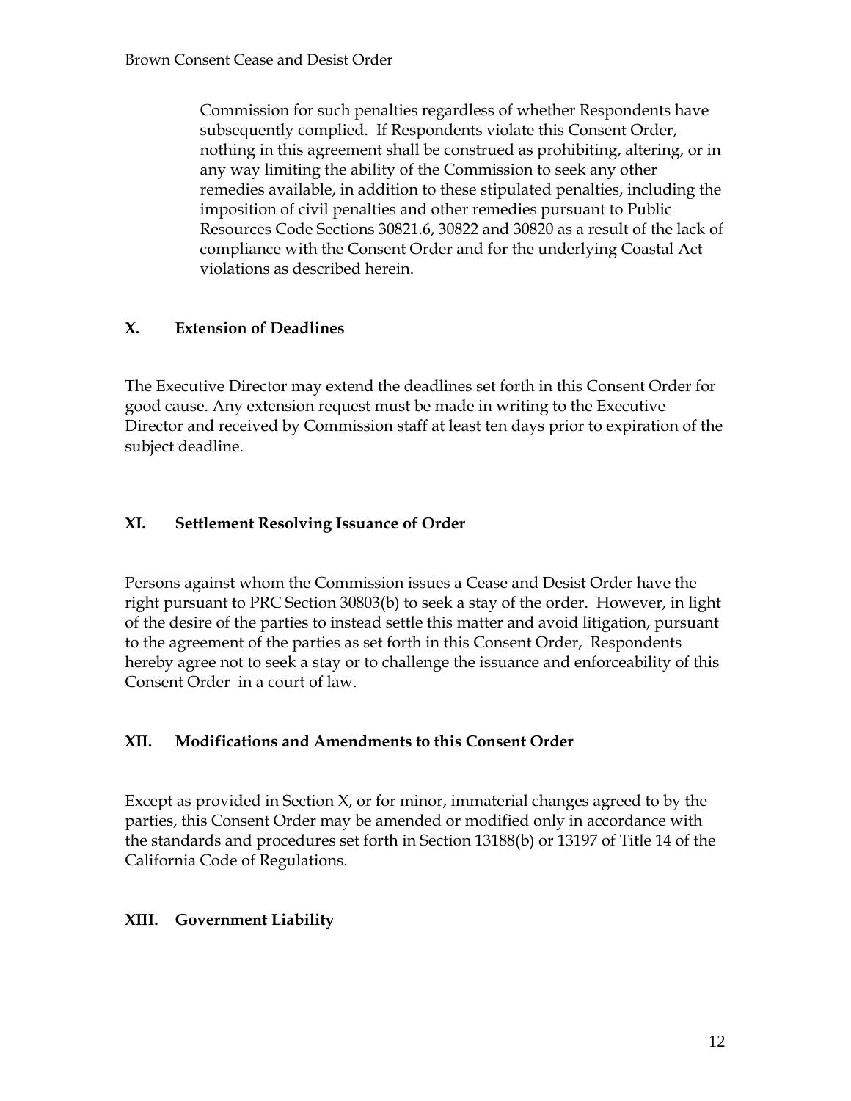Commission for such penalties regardless of whether Respondents have subsequently complied. If Respondents violate this Consent Order, nothing in this agreement shall be construed as prohibiting, altering, or in any way limiting the ability of the Commission to seek any other remedies available, in addition to these stipulated penalties, including the imposition of civil penalties and other remedies pursuant to Public Resources Code Sections 30821.6, 30822 and 30820 as a result of the lack of compliance with the Consent Order and for the underlying Coastal Act violations as described herein.

## **X. Extension of Deadlines**

The Executive Director may extend the deadlines set forth in this Consent Order for good cause. Any extension request must be made in writing to the Executive Director and received by Commission staff at least ten days prior to expiration of the subject deadline.

## **XI. Settlement Resolving Issuance of Order**

Persons against whom the Commission issues a Cease and Desist Order have the right pursuant to PRC Section 30803(b) to seek a stay of the order. However, in light of the desire of the parties to instead settle this matter and avoid litigation, pursuant to the agreement of the parties as set forth in this Consent Order, Respondents hereby agree not to seek a stay or to challenge the issuance and enforceability of this Consent Order in a court of law.

#### **XII. Modifications and Amendments to this Consent Order**

Except as provided in Section X, or for minor, immaterial changes agreed to by the parties, this Consent Order may be amended or modified only in accordance with the standards and procedures set forth in Section 13188(b) or 13197 of Title 14 of the California Code of Regulations.

## **XIII. Government Liability**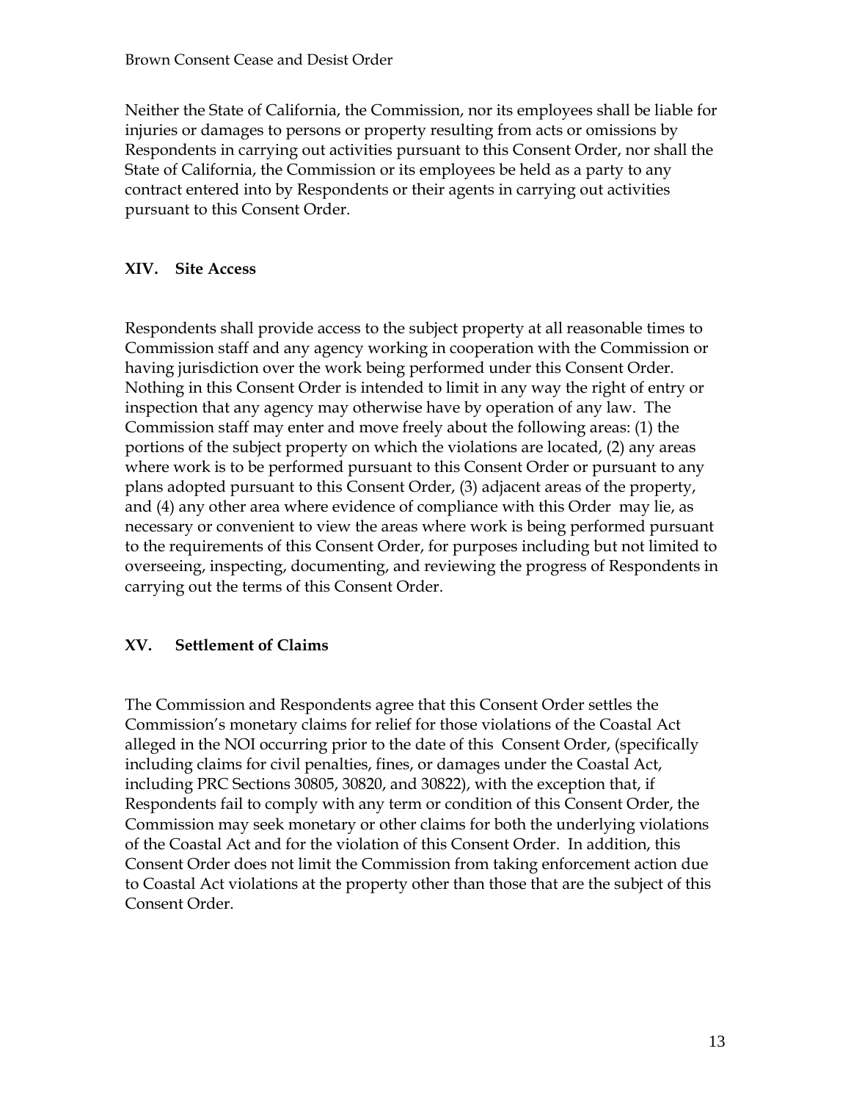Neither the State of California, the Commission, nor its employees shall be liable for injuries or damages to persons or property resulting from acts or omissions by Respondents in carrying out activities pursuant to this Consent Order, nor shall the State of California, the Commission or its employees be held as a party to any contract entered into by Respondents or their agents in carrying out activities pursuant to this Consent Order.

#### **XIV. Site Access**

Respondents shall provide access to the subject property at all reasonable times to Commission staff and any agency working in cooperation with the Commission or having jurisdiction over the work being performed under this Consent Order. Nothing in this Consent Order is intended to limit in any way the right of entry or inspection that any agency may otherwise have by operation of any law. The Commission staff may enter and move freely about the following areas: (1) the portions of the subject property on which the violations are located, (2) any areas where work is to be performed pursuant to this Consent Order or pursuant to any plans adopted pursuant to this Consent Order, (3) adjacent areas of the property, and (4) any other area where evidence of compliance with this Order may lie, as necessary or convenient to view the areas where work is being performed pursuant to the requirements of this Consent Order, for purposes including but not limited to overseeing, inspecting, documenting, and reviewing the progress of Respondents in carrying out the terms of this Consent Order.

#### **XV. Settlement of Claims**

The Commission and Respondents agree that this Consent Order settles the Commission's monetary claims for relief for those violations of the Coastal Act alleged in the NOI occurring prior to the date of this Consent Order, (specifically including claims for civil penalties, fines, or damages under the Coastal Act, including PRC Sections 30805, 30820, and 30822), with the exception that, if Respondents fail to comply with any term or condition of this Consent Order, the Commission may seek monetary or other claims for both the underlying violations of the Coastal Act and for the violation of this Consent Order. In addition, this Consent Order does not limit the Commission from taking enforcement action due to Coastal Act violations at the property other than those that are the subject of this Consent Order.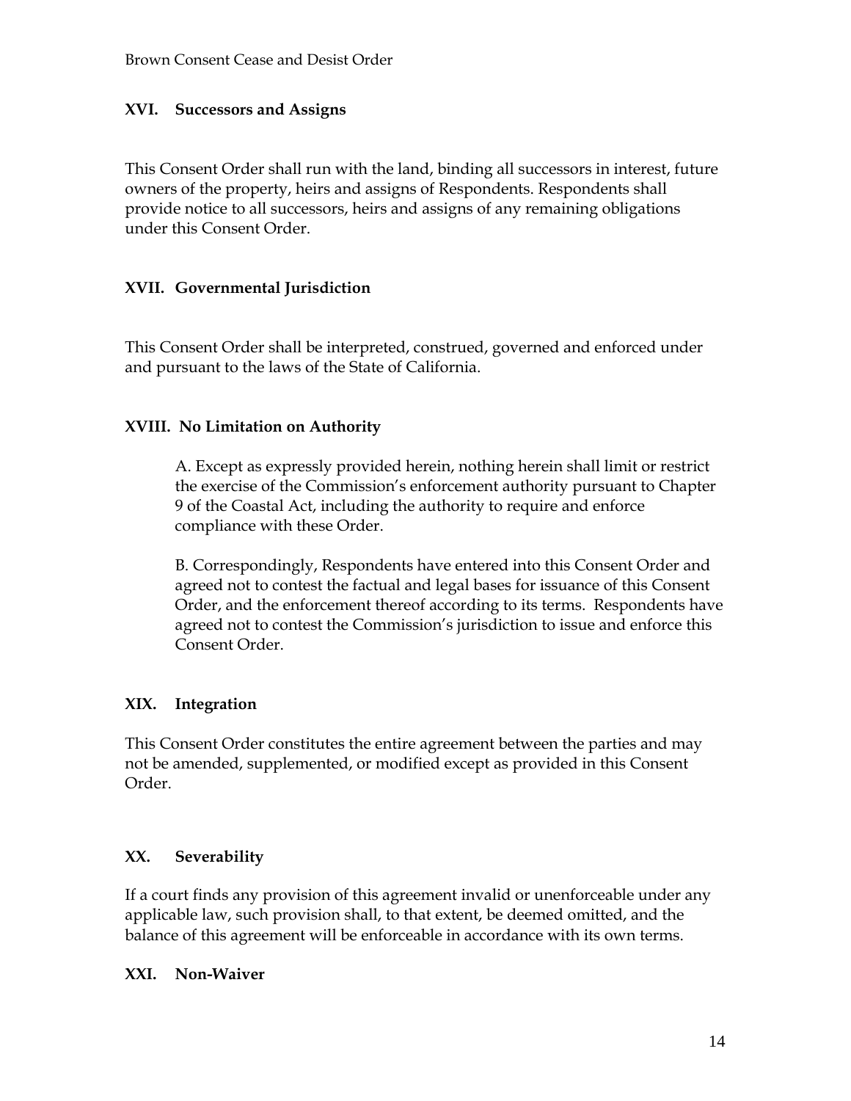#### **XVI. Successors and Assigns**

This Consent Order shall run with the land, binding all successors in interest, future owners of the property, heirs and assigns of Respondents. Respondents shall provide notice to all successors, heirs and assigns of any remaining obligations under this Consent Order.

#### **XVII. Governmental Jurisdiction**

This Consent Order shall be interpreted, construed, governed and enforced under and pursuant to the laws of the State of California.

#### **XVIII. No Limitation on Authority**

A. Except as expressly provided herein, nothing herein shall limit or restrict the exercise of the Commission's enforcement authority pursuant to Chapter 9 of the Coastal Act, including the authority to require and enforce compliance with these Order.

B. Correspondingly, Respondents have entered into this Consent Order and agreed not to contest the factual and legal bases for issuance of this Consent Order, and the enforcement thereof according to its terms. Respondents have agreed not to contest the Commission's jurisdiction to issue and enforce this Consent Order.

#### **XIX. Integration**

This Consent Order constitutes the entire agreement between the parties and may not be amended, supplemented, or modified except as provided in this Consent Order.

#### **XX. Severability**

If a court finds any provision of this agreement invalid or unenforceable under any applicable law, such provision shall, to that extent, be deemed omitted, and the balance of this agreement will be enforceable in accordance with its own terms.

#### **XXI. Non-Waiver**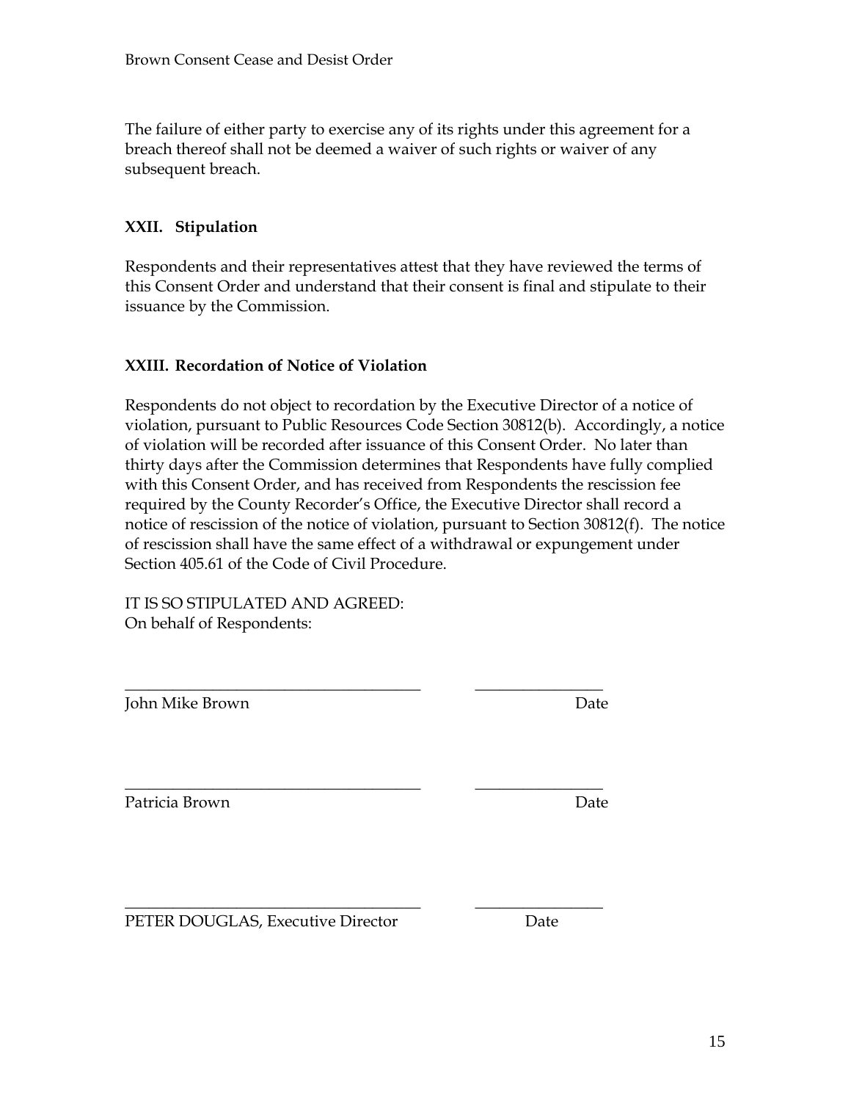The failure of either party to exercise any of its rights under this agreement for a breach thereof shall not be deemed a waiver of such rights or waiver of any subsequent breach.

## **XXII. Stipulation**

Respondents and their representatives attest that they have reviewed the terms of this Consent Order and understand that their consent is final and stipulate to their issuance by the Commission.

#### **XXIII. Recordation of Notice of Violation**

Respondents do not object to recordation by the Executive Director of a notice of violation, pursuant to Public Resources Code Section 30812(b). Accordingly, a notice of violation will be recorded after issuance of this Consent Order. No later than thirty days after the Commission determines that Respondents have fully complied with this Consent Order, and has received from Respondents the rescission fee required by the County Recorder's Office, the Executive Director shall record a notice of rescission of the notice of violation, pursuant to Section 30812(f). The notice of rescission shall have the same effect of a withdrawal or expungement under Section 405.61 of the Code of Civil Procedure.

IT IS SO STIPULATED AND AGREED: On behalf of Respondents:

John Mike Brown Date

\_\_\_\_\_\_\_\_\_\_\_\_\_\_\_\_\_\_\_\_\_\_\_\_\_\_\_\_\_\_\_\_\_\_\_\_\_ \_\_\_\_\_\_\_\_\_\_\_\_\_\_\_\_ Patricia Brown Date

\_\_\_\_\_\_\_\_\_\_\_\_\_\_\_\_\_\_\_\_\_\_\_\_\_\_\_\_\_\_\_\_\_\_\_\_\_ \_\_\_\_\_\_\_\_\_\_\_\_\_\_\_\_

\_\_\_\_\_\_\_\_\_\_\_\_\_\_\_\_\_\_\_\_\_\_\_\_\_\_\_\_\_\_\_\_\_\_\_\_\_ \_\_\_\_\_\_\_\_\_\_\_\_\_\_\_\_ PETER DOUGLAS, Executive Director Date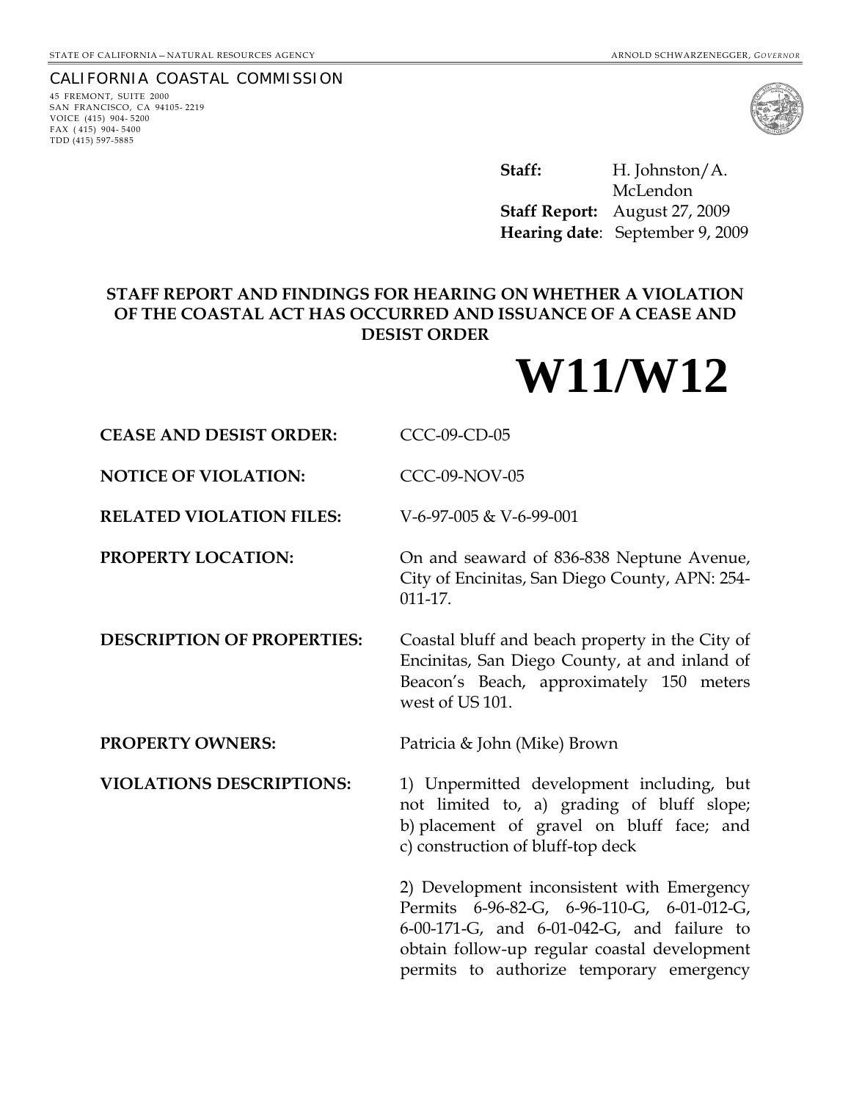#### CALIFORNIA COASTAL COMMISSION

45 FREMONT, SUITE 2000 SAN FRANCISCO, CA 94105- 2219 VOICE (415) 904- 5200 FAX ( 415) 904- 5400 TDD (415) 597-5885



Staff: H. Johnston/A. McLendon **Staff Report:** August 27, 2009 **Hearing date**: September 9, 2009

# **STAFF REPORT AND FINDINGS FOR HEARING ON WHETHER A VIOLATION OF THE COASTAL ACT HAS OCCURRED AND ISSUANCE OF A CEASE AND DESIST ORDER**

**W11/W12**

| <b>CEASE AND DESIST ORDER:</b>    | CCC-09-CD-05                                                                                                                                                                                                                       |
|-----------------------------------|------------------------------------------------------------------------------------------------------------------------------------------------------------------------------------------------------------------------------------|
| <b>NOTICE OF VIOLATION:</b>       | <b>CCC-09-NOV-05</b>                                                                                                                                                                                                               |
| <b>RELATED VIOLATION FILES:</b>   | V-6-97-005 & V-6-99-001                                                                                                                                                                                                            |
| PROPERTY LOCATION:                | On and seaward of 836-838 Neptune Avenue,<br>City of Encinitas, San Diego County, APN: 254-<br>$011 - 17$ .                                                                                                                        |
| <b>DESCRIPTION OF PROPERTIES:</b> | Coastal bluff and beach property in the City of<br>Encinitas, San Diego County, at and inland of<br>Beacon's Beach, approximately 150 meters<br>west of US 101.                                                                    |
| <b>PROPERTY OWNERS:</b>           | Patricia & John (Mike) Brown                                                                                                                                                                                                       |
| <b>VIOLATIONS DESCRIPTIONS:</b>   | 1) Unpermitted development including, but<br>not limited to, a) grading of bluff slope;<br>b) placement of gravel on bluff face; and<br>c) construction of bluff-top deck                                                          |
|                                   | 2) Development inconsistent with Emergency<br>Permits 6-96-82-G, 6-96-110-G, 6-01-012-G,<br>6-00-171-G, and 6-01-042-G, and failure to<br>obtain follow-up regular coastal development<br>permits to authorize temporary emergency |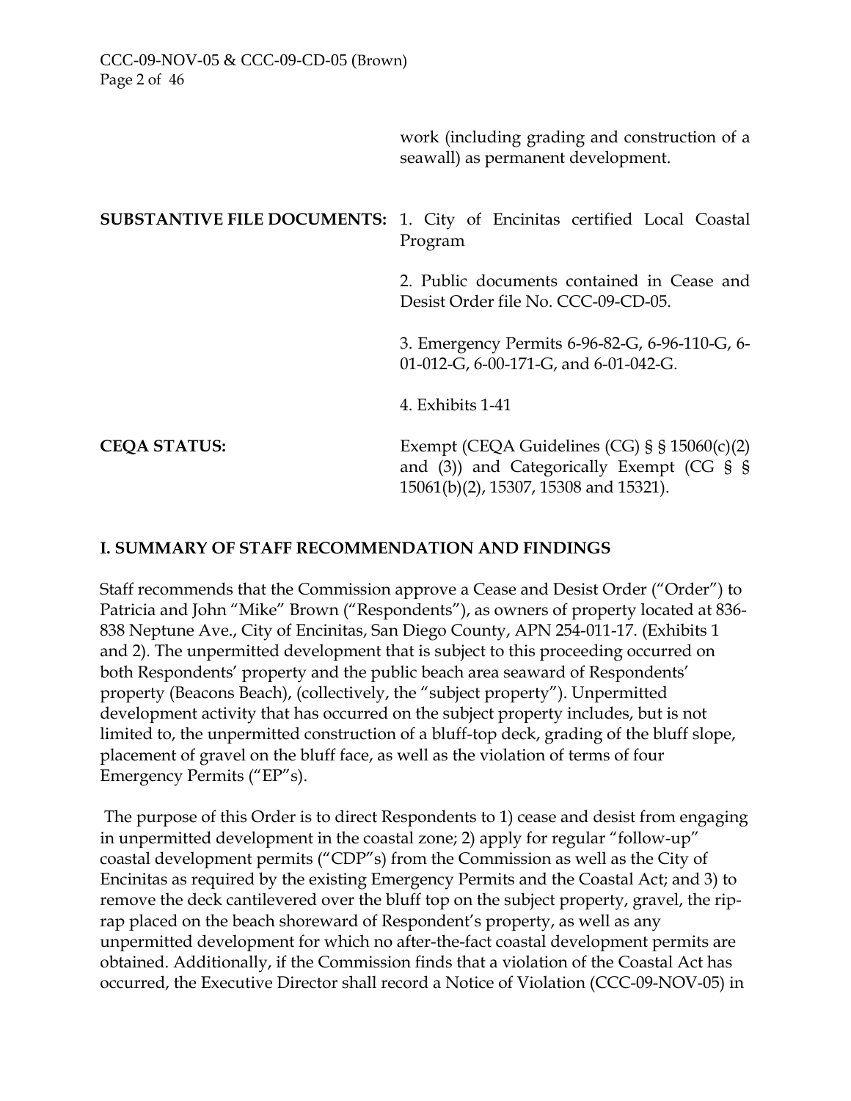work (including grading and construction of a seawall) as permanent development.

# **SUBSTANTIVE FILE DOCUMENTS:** 1. City of Encinitas certified Local Coastal Program

2. Public documents contained in Cease and Desist Order file No. CCC-09-CD-05.

3. Emergency Permits 6-96-82-G, 6-96-110-G, 6- 01-012-G, 6-00-171-G, and 6-01-042-G.

4. Exhibits 1-41

**CEQA STATUS:** Exempt (CEQA Guidelines (CG) § § 15060(c)(2) and (3)) and Categorically Exempt (CG § § 15061(b)(2), 15307, 15308 and 15321).

## **I. SUMMARY OF STAFF RECOMMENDATION AND FINDINGS**

Staff recommends that the Commission approve a Cease and Desist Order ("Order") to Patricia and John "Mike" Brown ("Respondents"), as owners of property located at 836- 838 Neptune Ave., City of Encinitas, San Diego County, APN 254-011-17. (Exhibits 1 and 2). The unpermitted development that is subject to this proceeding occurred on both Respondents' property and the public beach area seaward of Respondents' property (Beacons Beach), (collectively, the "subject property"). Unpermitted development activity that has occurred on the subject property includes, but is not limited to, the unpermitted construction of a bluff-top deck, grading of the bluff slope, placement of gravel on the bluff face, as well as the violation of terms of four Emergency Permits ("EP"s).

 The purpose of this Order is to direct Respondents to 1) cease and desist from engaging in unpermitted development in the coastal zone; 2) apply for regular "follow-up" coastal development permits ("CDP"s) from the Commission as well as the City of Encinitas as required by the existing Emergency Permits and the Coastal Act; and 3) to remove the deck cantilevered over the bluff top on the subject property, gravel, the riprap placed on the beach shoreward of Respondent's property, as well as any unpermitted development for which no after-the-fact coastal development permits are obtained. Additionally, if the Commission finds that a violation of the Coastal Act has occurred, the Executive Director shall record a Notice of Violation (CCC-09-NOV-05) in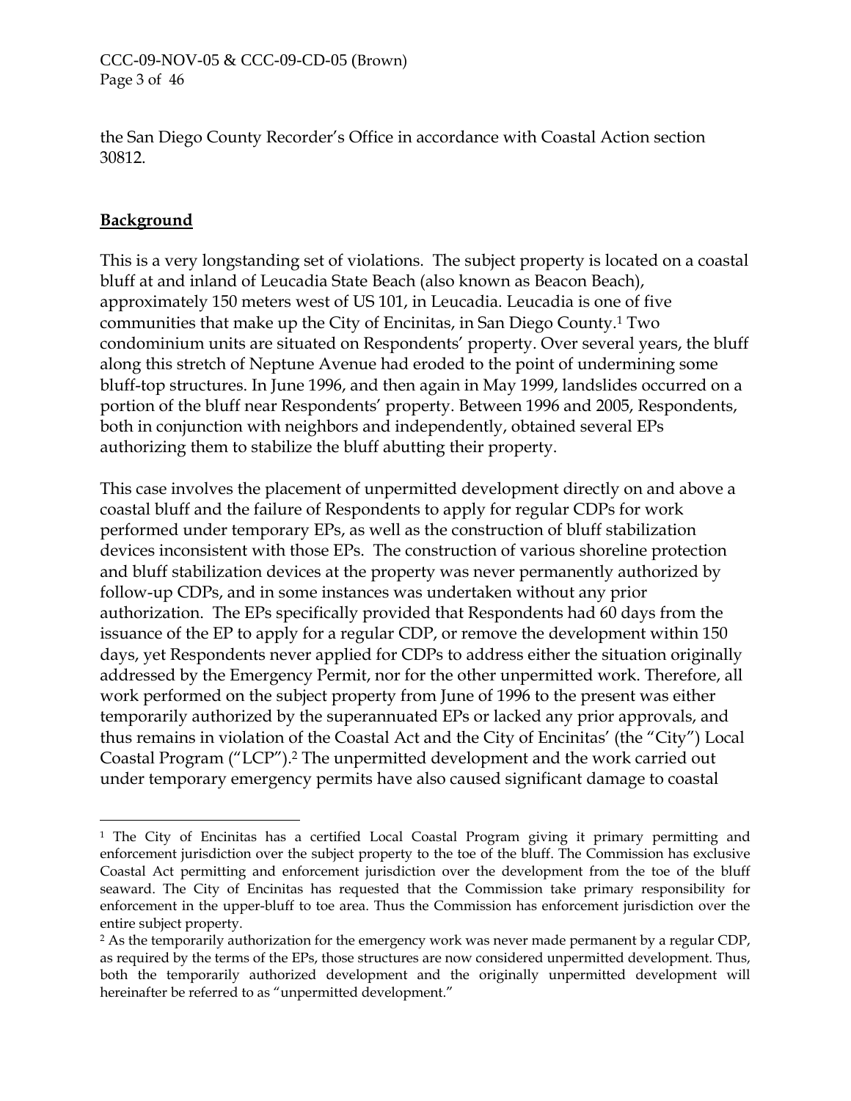the San Diego County Recorder's Office in accordance with Coastal Action section 30812.

## **Background**

 $\overline{a}$ 

This is a very longstanding set of violations. The subject property is located on a coastal bluff at and inland of Leucadia State Beach (also known as Beacon Beach), approximately 150 meters west of US 101, in Leucadia. Leucadia is one of five communities that make up the City of Encinitas, in San Diego County.[1](#page-22-0) Two condominium units are situated on Respondents' property. Over several years, the bluff along this stretch of Neptune Avenue had eroded to the point of undermining some bluff-top structures. In June 1996, and then again in May 1999, landslides occurred on a portion of the bluff near Respondents' property. Between 1996 and 2005, Respondents, both in conjunction with neighbors and independently, obtained several EPs authorizing them to stabilize the bluff abutting their property.

This case involves the placement of unpermitted development directly on and above a coastal bluff and the failure of Respondents to apply for regular CDPs for work performed under temporary EPs, as well as the construction of bluff stabilization devices inconsistent with those EPs. The construction of various shoreline protection and bluff stabilization devices at the property was never permanently authorized by follow-up CDPs, and in some instances was undertaken without any prior authorization. The EPs specifically provided that Respondents had 60 days from the issuance of the EP to apply for a regular CDP, or remove the development within 150 days, yet Respondents never applied for CDPs to address either the situation originally addressed by the Emergency Permit, nor for the other unpermitted work. Therefore, all work performed on the subject property from June of 1996 to the present was either temporarily authorized by the superannuated EPs or lacked any prior approvals, and thus remains in violation of the Coastal Act and the City of Encinitas' (the "City") Local Coastal Program ("LCP")[.2](#page-22-1) The unpermitted development and the work carried out under temporary emergency permits have also caused significant damage to coastal

<span id="page-22-0"></span><sup>1</sup> The City of Encinitas has a certified Local Coastal Program giving it primary permitting and enforcement jurisdiction over the subject property to the toe of the bluff. The Commission has exclusive Coastal Act permitting and enforcement jurisdiction over the development from the toe of the bluff seaward. The City of Encinitas has requested that the Commission take primary responsibility for enforcement in the upper-bluff to toe area. Thus the Commission has enforcement jurisdiction over the entire subject property.

<span id="page-22-1"></span><sup>&</sup>lt;sup>2</sup> As the temporarily authorization for the emergency work was never made permanent by a regular CDP, as required by the terms of the EPs, those structures are now considered unpermitted development. Thus, both the temporarily authorized development and the originally unpermitted development will hereinafter be referred to as "unpermitted development."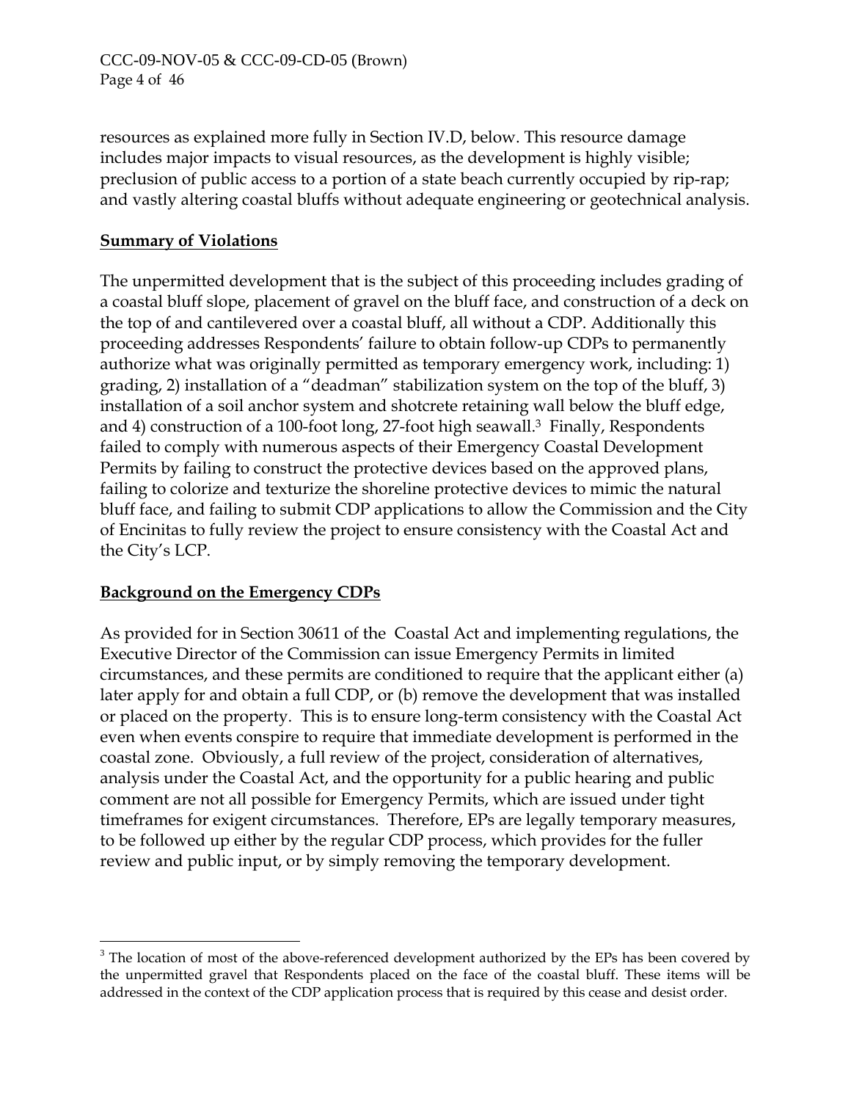resources as explained more fully in Section IV.D, below. This resource damage includes major impacts to visual resources, as the development is highly visible; preclusion of public access to a portion of a state beach currently occupied by rip-rap; and vastly altering coastal bluffs without adequate engineering or geotechnical analysis.

# **Summary of Violations**

The unpermitted development that is the subject of this proceeding includes grading of a coastal bluff slope, placement of gravel on the bluff face, and construction of a deck on the top of and cantilevered over a coastal bluff, all without a CDP. Additionally this proceeding addresses Respondents' failure to obtain follow-up CDPs to permanently authorize what was originally permitted as temporary emergency work, including: 1) grading, 2) installation of a "deadman" stabilization system on the top of the bluff, 3) installation of a soil anchor system and shotcrete retaining wall below the bluff edge, and 4) construction of a 100-foot long, 27-foot high seawall.<sup>3</sup> Finally, Respondents failed to comply with numerous aspects of their Emergency Coastal Development Permits by failing to construct the protective devices based on the approved plans, failing to colorize and texturize the shoreline protective devices to mimic the natural bluff face, and failing to submit CDP applications to allow the Commission and the City of Encinitas to fully review the project to ensure consistency with the Coastal Act and the City's LCP.

# **Background on the Emergency CDPs**

 $\overline{a}$ 

As provided for in Section 30611 of the Coastal Act and implementing regulations, the Executive Director of the Commission can issue Emergency Permits in limited circumstances, and these permits are conditioned to require that the applicant either (a) later apply for and obtain a full CDP, or (b) remove the development that was installed or placed on the property. This is to ensure long-term consistency with the Coastal Act even when events conspire to require that immediate development is performed in the coastal zone. Obviously, a full review of the project, consideration of alternatives, analysis under the Coastal Act, and the opportunity for a public hearing and public comment are not all possible for Emergency Permits, which are issued under tight timeframes for exigent circumstances. Therefore, EPs are legally temporary measures, to be followed up either by the regular CDP process, which provides for the fuller review and public input, or by simply removing the temporary development.

<span id="page-23-0"></span><sup>&</sup>lt;sup>3</sup> The location of most of the above-referenced development authorized by the EPs has been covered by the unpermitted gravel that Respondents placed on the face of the coastal bluff. These items will be addressed in the context of the CDP application process that is required by this cease and desist order.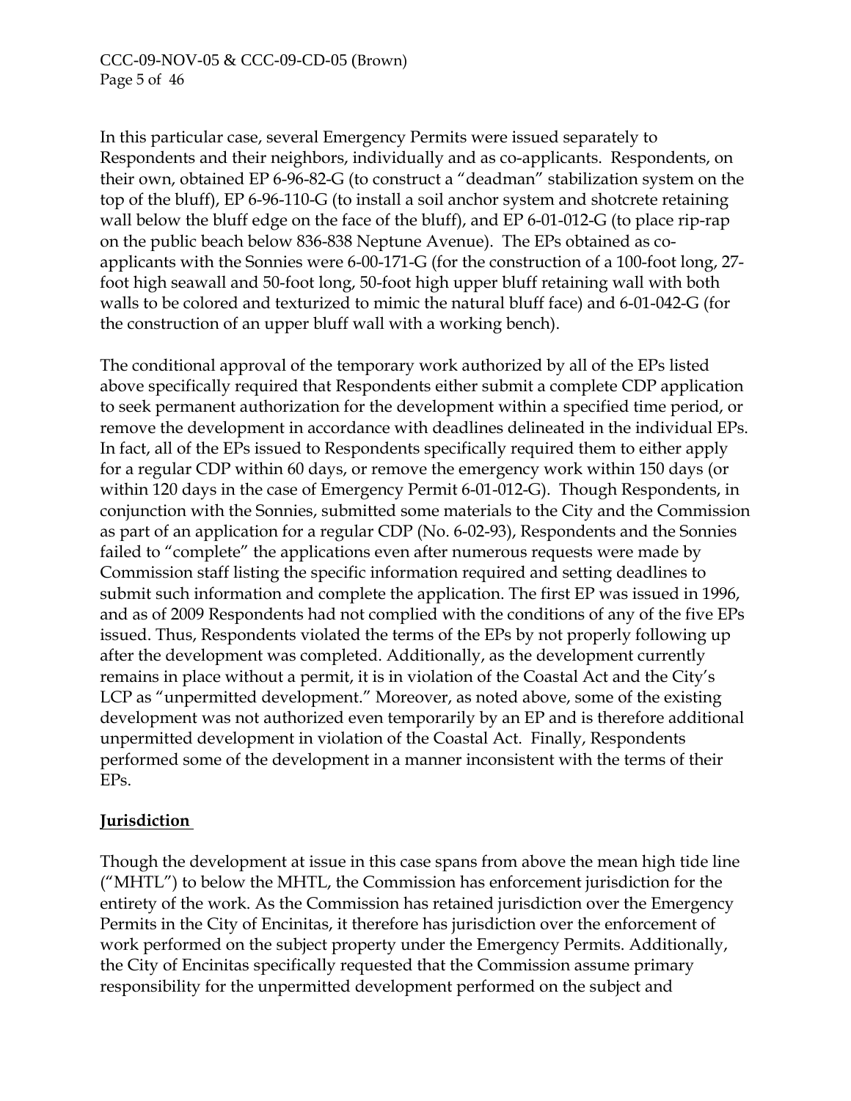In this particular case, several Emergency Permits were issued separately to Respondents and their neighbors, individually and as co-applicants. Respondents, on their own, obtained EP 6-96-82-G (to construct a "deadman" stabilization system on the top of the bluff), EP 6-96-110-G (to install a soil anchor system and shotcrete retaining wall below the bluff edge on the face of the bluff), and EP 6-01-012-G (to place rip-rap on the public beach below 836-838 Neptune Avenue). The EPs obtained as coapplicants with the Sonnies were 6-00-171-G (for the construction of a 100-foot long, 27 foot high seawall and 50-foot long, 50-foot high upper bluff retaining wall with both walls to be colored and texturized to mimic the natural bluff face) and 6-01-042-G (for the construction of an upper bluff wall with a working bench).

The conditional approval of the temporary work authorized by all of the EPs listed above specifically required that Respondents either submit a complete CDP application to seek permanent authorization for the development within a specified time period, or remove the development in accordance with deadlines delineated in the individual EPs. In fact, all of the EPs issued to Respondents specifically required them to either apply for a regular CDP within 60 days, or remove the emergency work within 150 days (or within 120 days in the case of Emergency Permit 6-01-012-G). Though Respondents, in conjunction with the Sonnies, submitted some materials to the City and the Commission as part of an application for a regular CDP (No. 6-02-93), Respondents and the Sonnies failed to "complete" the applications even after numerous requests were made by Commission staff listing the specific information required and setting deadlines to submit such information and complete the application. The first EP was issued in 1996, and as of 2009 Respondents had not complied with the conditions of any of the five EPs issued. Thus, Respondents violated the terms of the EPs by not properly following up after the development was completed. Additionally, as the development currently remains in place without a permit, it is in violation of the Coastal Act and the City's LCP as "unpermitted development." Moreover, as noted above, some of the existing development was not authorized even temporarily by an EP and is therefore additional unpermitted development in violation of the Coastal Act. Finally, Respondents performed some of the development in a manner inconsistent with the terms of their EPs.

## **Jurisdiction**

Though the development at issue in this case spans from above the mean high tide line ("MHTL") to below the MHTL, the Commission has enforcement jurisdiction for the entirety of the work. As the Commission has retained jurisdiction over the Emergency Permits in the City of Encinitas, it therefore has jurisdiction over the enforcement of work performed on the subject property under the Emergency Permits. Additionally, the City of Encinitas specifically requested that the Commission assume primary responsibility for the unpermitted development performed on the subject and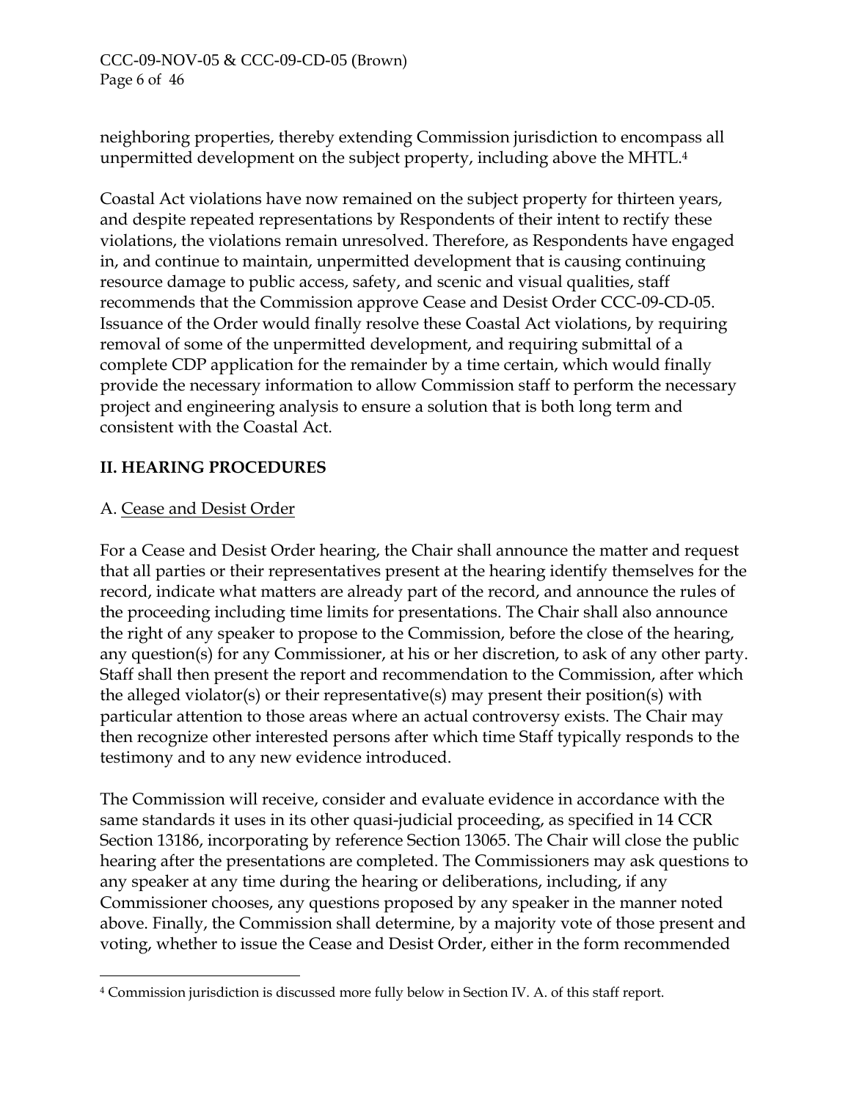## CCC-09-NOV-05 & CCC-09-CD-05 (Brown) Page 6 of 46

neighboring properties, thereby extending Commission jurisdiction to encompass all unpermitted development on the subject property, including above the MHTL[.4](#page-25-0) 

Coastal Act violations have now remained on the subject property for thirteen years, and despite repeated representations by Respondents of their intent to rectify these violations, the violations remain unresolved. Therefore, as Respondents have engaged in, and continue to maintain, unpermitted development that is causing continuing resource damage to public access, safety, and scenic and visual qualities, staff recommends that the Commission approve Cease and Desist Order CCC-09-CD-05. Issuance of the Order would finally resolve these Coastal Act violations, by requiring removal of some of the unpermitted development, and requiring submittal of a complete CDP application for the remainder by a time certain, which would finally provide the necessary information to allow Commission staff to perform the necessary project and engineering analysis to ensure a solution that is both long term and consistent with the Coastal Act.

# **II. HEARING PROCEDURES**

# A. Cease and Desist Order

 $\overline{a}$ 

For a Cease and Desist Order hearing, the Chair shall announce the matter and request that all parties or their representatives present at the hearing identify themselves for the record, indicate what matters are already part of the record, and announce the rules of the proceeding including time limits for presentations. The Chair shall also announce the right of any speaker to propose to the Commission, before the close of the hearing, any question(s) for any Commissioner, at his or her discretion, to ask of any other party. Staff shall then present the report and recommendation to the Commission, after which the alleged violator(s) or their representative(s) may present their position(s) with particular attention to those areas where an actual controversy exists. The Chair may then recognize other interested persons after which time Staff typically responds to the testimony and to any new evidence introduced.

The Commission will receive, consider and evaluate evidence in accordance with the same standards it uses in its other quasi-judicial proceeding, as specified in 14 CCR Section 13186, incorporating by reference Section 13065. The Chair will close the public hearing after the presentations are completed. The Commissioners may ask questions to any speaker at any time during the hearing or deliberations, including, if any Commissioner chooses, any questions proposed by any speaker in the manner noted above. Finally, the Commission shall determine, by a majority vote of those present and voting, whether to issue the Cease and Desist Order, either in the form recommended

<span id="page-25-0"></span><sup>4</sup> Commission jurisdiction is discussed more fully below in Section IV. A. of this staff report.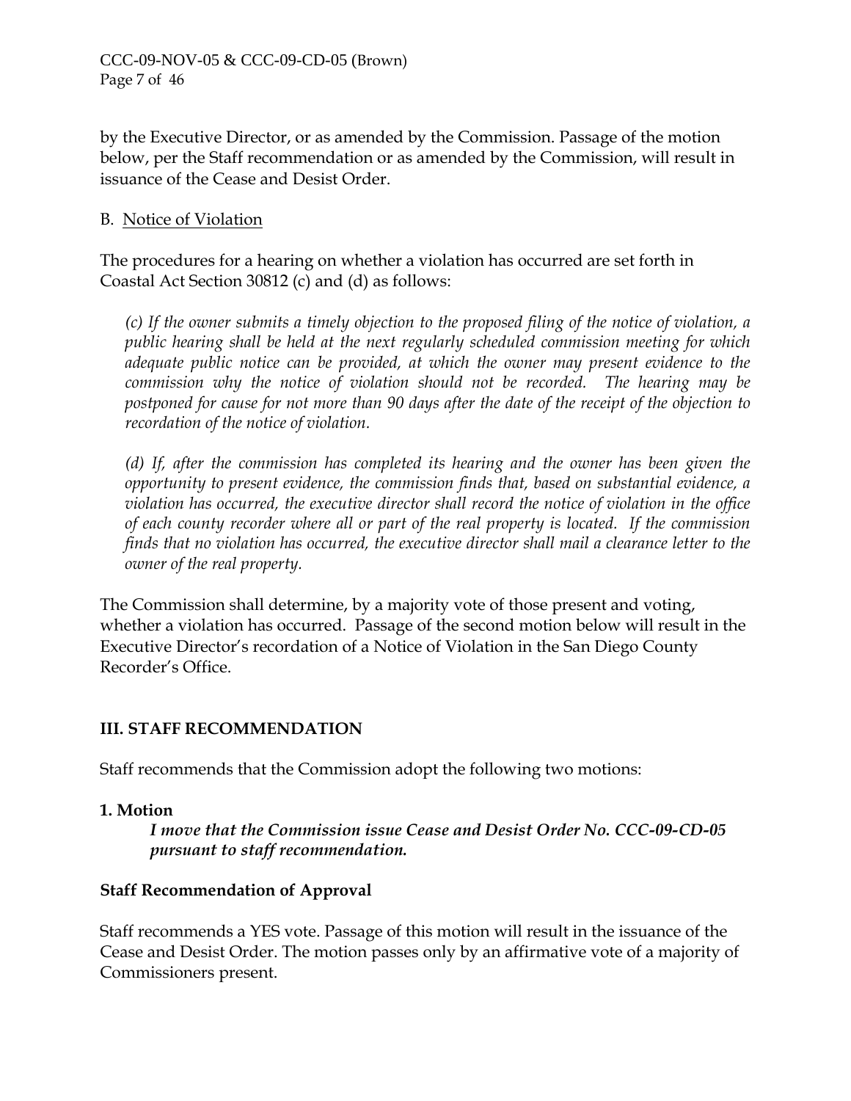by the Executive Director, or as amended by the Commission. Passage of the motion below, per the Staff recommendation or as amended by the Commission, will result in issuance of the Cease and Desist Order.

## B. Notice of Violation

The procedures for a hearing on whether a violation has occurred are set forth in Coastal Act Section 30812 (c) and (d) as follows:

*(c) If the owner submits a timely objection to the proposed filing of the notice of violation, a public hearing shall be held at the next regularly scheduled commission meeting for which adequate public notice can be provided, at which the owner may present evidence to the commission why the notice of violation should not be recorded. The hearing may be postponed for cause for not more than 90 days after the date of the receipt of the objection to recordation of the notice of violation.* 

*(d) If, after the commission has completed its hearing and the owner has been given the opportunity to present evidence, the commission finds that, based on substantial evidence, a violation has occurred, the executive director shall record the notice of violation in the office of each county recorder where all or part of the real property is located. If the commission finds that no violation has occurred, the executive director shall mail a clearance letter to the owner of the real property.* 

The Commission shall determine, by a majority vote of those present and voting, whether a violation has occurred. Passage of the second motion below will result in the Executive Director's recordation of a Notice of Violation in the San Diego County Recorder's Office.

## **III. STAFF RECOMMENDATION**

Staff recommends that the Commission adopt the following two motions:

#### **1. Motion**

*I move that the Commission issue Cease and Desist Order No. CCC-09-CD-05 pursuant to staff recommendation.* 

## **Staff Recommendation of Approval**

Staff recommends a YES vote. Passage of this motion will result in the issuance of the Cease and Desist Order. The motion passes only by an affirmative vote of a majority of Commissioners present.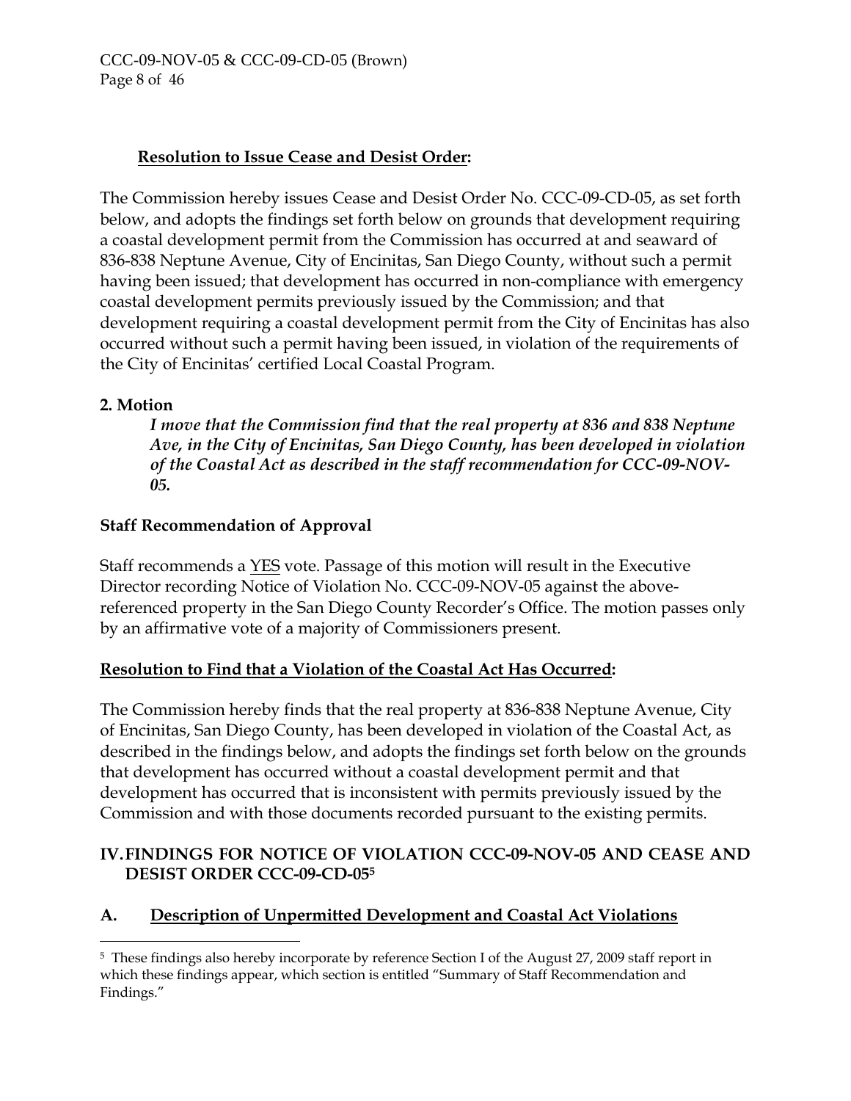#### CCC-09-NOV-05 & CCC-09-CD-05 (Brown) Page 8 of 46

# **Resolution to Issue Cease and Desist Order:**

The Commission hereby issues Cease and Desist Order No. CCC-09-CD-05, as set forth below, and adopts the findings set forth below on grounds that development requiring a coastal development permit from the Commission has occurred at and seaward of 836-838 Neptune Avenue, City of Encinitas, San Diego County, without such a permit having been issued; that development has occurred in non-compliance with emergency coastal development permits previously issued by the Commission; and that development requiring a coastal development permit from the City of Encinitas has also occurred without such a permit having been issued, in violation of the requirements of the City of Encinitas' certified Local Coastal Program.

#### **2. Motion**

*I move that the Commission find that the real property at 836 and 838 Neptune Ave, in the City of Encinitas, San Diego County, has been developed in violation of the Coastal Act as described in the staff recommendation for CCC-09-NOV-05.* 

## **Staff Recommendation of Approval**

Staff recommends a YES vote. Passage of this motion will result in the Executive Director recording Notice of Violation No. CCC-09-NOV-05 against the abovereferenced property in the San Diego County Recorder's Office. The motion passes only by an affirmative vote of a majority of Commissioners present.

## **Resolution to Find that a Violation of the Coastal Act Has Occurred:**

The Commission hereby finds that the real property at 836-838 Neptune Avenue, City of Encinitas, San Diego County, has been developed in violation of the Coastal Act, as described in the findings below, and adopts the findings set forth below on the grounds that development has occurred without a coastal development permit and that development has occurred that is inconsistent with permits previously issued by the Commission and with those documents recorded pursuant to the existing permits.

# **IV. FINDINGS FOR NOTICE OF VIOLATION CCC-09-NOV-05 AND CEASE AND DESIST ORDER CCC-09-CD-05[5](#page-27-0)**

## **A. Description of Unpermitted Development and Coastal Act Violations**

<span id="page-27-0"></span> $\overline{a}$ 5 These findings also hereby incorporate by reference Section I of the August 27, 2009 staff report in which these findings appear, which section is entitled "Summary of Staff Recommendation and Findings."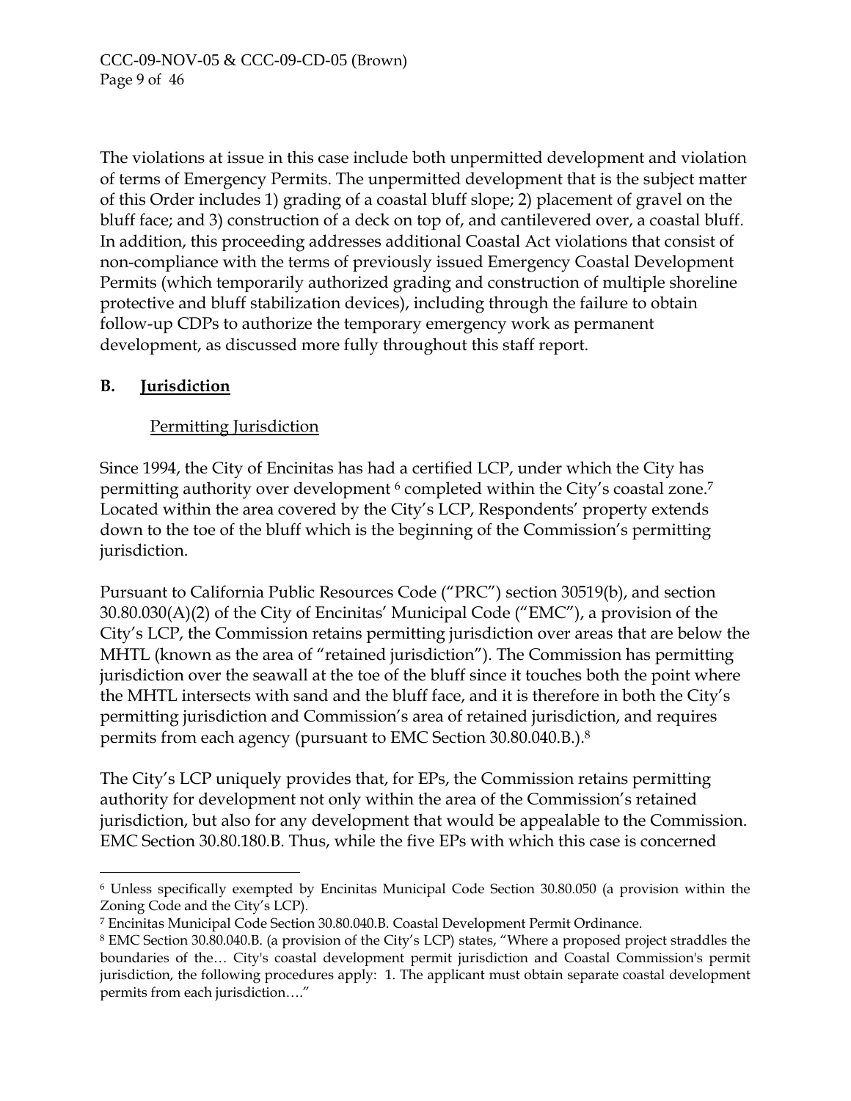The violations at issue in this case include both unpermitted development and violation of terms of Emergency Permits. The unpermitted development that is the subject matter of this Order includes 1) grading of a coastal bluff slope; 2) placement of gravel on the bluff face; and 3) construction of a deck on top of, and cantilevered over, a coastal bluff. In addition, this proceeding addresses additional Coastal Act violations that consist of non-compliance with the terms of previously issued Emergency Coastal Development Permits (which temporarily authorized grading and construction of multiple shoreline protective and bluff stabilization devices), including through the failure to obtain follow-up CDPs to authorize the temporary emergency work as permanent development, as discussed more fully throughout this staff report.

# **B. Jurisdiction**

 $\overline{a}$ 

# Permitting Jurisdiction

Since 1994, the City of Encinitas has had a certified LCP, under which the City has permitting authority over development <sup>6</sup> completed within the City's coastal zone.<sup>[7](#page-28-1)</sup> Located within the area covered by the City's LCP, Respondents' property extends down to the toe of the bluff which is the beginning of the Commission's permitting jurisdiction.

Pursuant to California Public Resources Code ("PRC") section 30519(b), and section 30.80.030(A)(2) of the City of Encinitas' Municipal Code ("EMC"), a provision of the City's LCP, the Commission retains permitting jurisdiction over areas that are below the MHTL (known as the area of "retained jurisdiction"). The Commission has permitting jurisdiction over the seawall at the toe of the bluff since it touches both the point where the MHTL intersects with sand and the bluff face, and it is therefore in both the City's permitting jurisdiction and Commission's area of retained jurisdiction, and requires permits from each agency (pursuant to EMC Section 30.80.040.B.).[8](#page-28-2) 

The City's LCP uniquely provides that, for EPs, the Commission retains permitting authority for development not only within the area of the Commission's retained jurisdiction, but also for any development that would be appealable to the Commission. EMC Section 30.80.180.B. Thus, while the five EPs with which this case is concerned

<span id="page-28-0"></span><sup>6</sup> Unless specifically exempted by Encinitas Municipal Code Section 30.80.050 (a provision within the Zoning Code and the City's LCP).

<span id="page-28-1"></span><sup>7</sup> Encinitas Municipal Code Section 30.80.040.B. Coastal Development Permit Ordinance.

<span id="page-28-2"></span><sup>8</sup> EMC Section 30.80.040.B. (a provision of the City's LCP) states, "Where a proposed project straddles the boundaries of the… City's coastal development permit jurisdiction and Coastal Commission's permit jurisdiction, the following procedures apply: 1. The applicant must obtain separate coastal development permits from each jurisdiction…."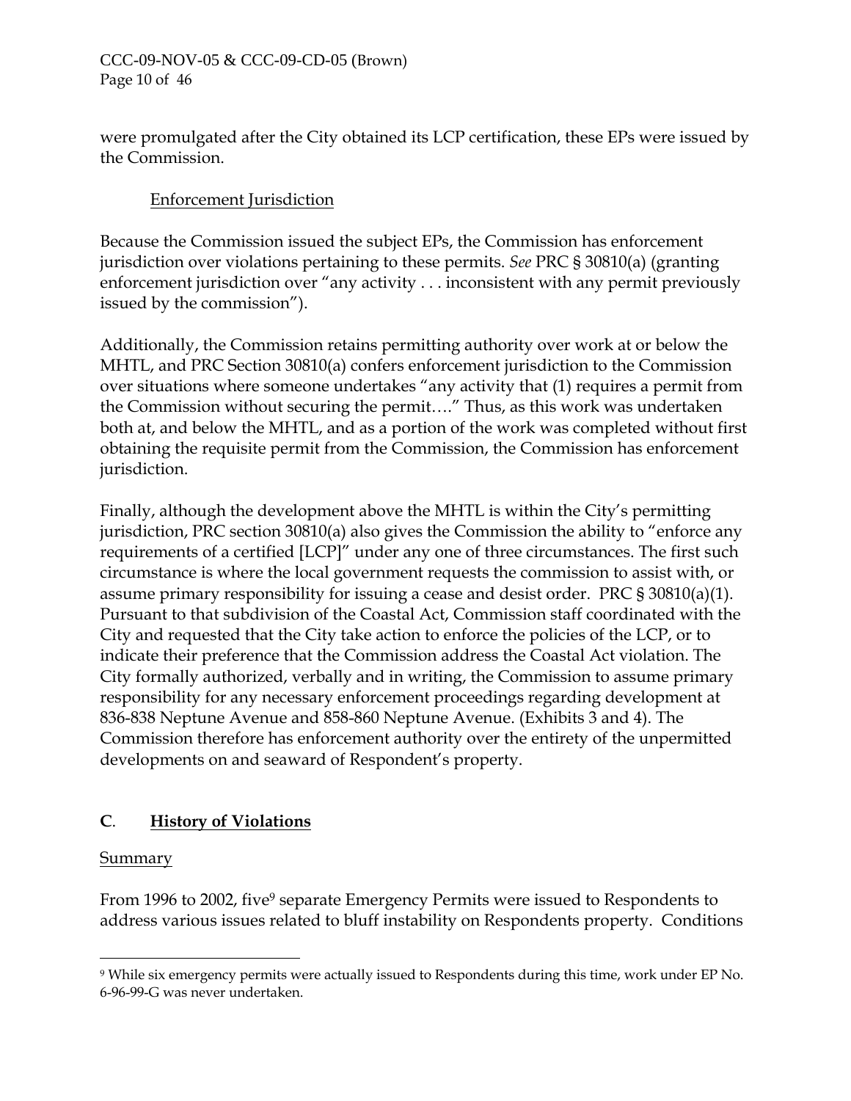were promulgated after the City obtained its LCP certification, these EPs were issued by the Commission.

# Enforcement Jurisdiction

Because the Commission issued the subject EPs, the Commission has enforcement jurisdiction over violations pertaining to these permits. *See* PRC § 30810(a) (granting enforcement jurisdiction over "any activity . . . inconsistent with any permit previously issued by the commission").

Additionally, the Commission retains permitting authority over work at or below the MHTL, and PRC Section 30810(a) confers enforcement jurisdiction to the Commission over situations where someone undertakes "any activity that (1) requires a permit from the Commission without securing the permit…." Thus, as this work was undertaken both at, and below the MHTL, and as a portion of the work was completed without first obtaining the requisite permit from the Commission, the Commission has enforcement jurisdiction.

Finally, although the development above the MHTL is within the City's permitting jurisdiction, PRC section 30810(a) also gives the Commission the ability to "enforce any requirements of a certified [LCP]" under any one of three circumstances. The first such circumstance is where the local government requests the commission to assist with, or assume primary responsibility for issuing a cease and desist order. PRC § 30810(a)(1). Pursuant to that subdivision of the Coastal Act, Commission staff coordinated with the City and requested that the City take action to enforce the policies of the LCP, or to indicate their preference that the Commission address the Coastal Act violation. The City formally authorized, verbally and in writing, the Commission to assume primary responsibility for any necessary enforcement proceedings regarding development at 836-838 Neptune Avenue and 858-860 Neptune Avenue. (Exhibits 3 and 4). The Commission therefore has enforcement authority over the entirety of the unpermitted developments on and seaward of Respondent's property.

# **C**. **History of Violations**

## Summary

 $\overline{a}$ 

From 1996 to 2002, five<sup>9</sup> separate Emergency Permits were issued to Respondents to address various issues related to bluff instability on Respondents property. Conditions

<span id="page-29-0"></span><sup>9</sup> While six emergency permits were actually issued to Respondents during this time, work under EP No. 6-96-99-G was never undertaken.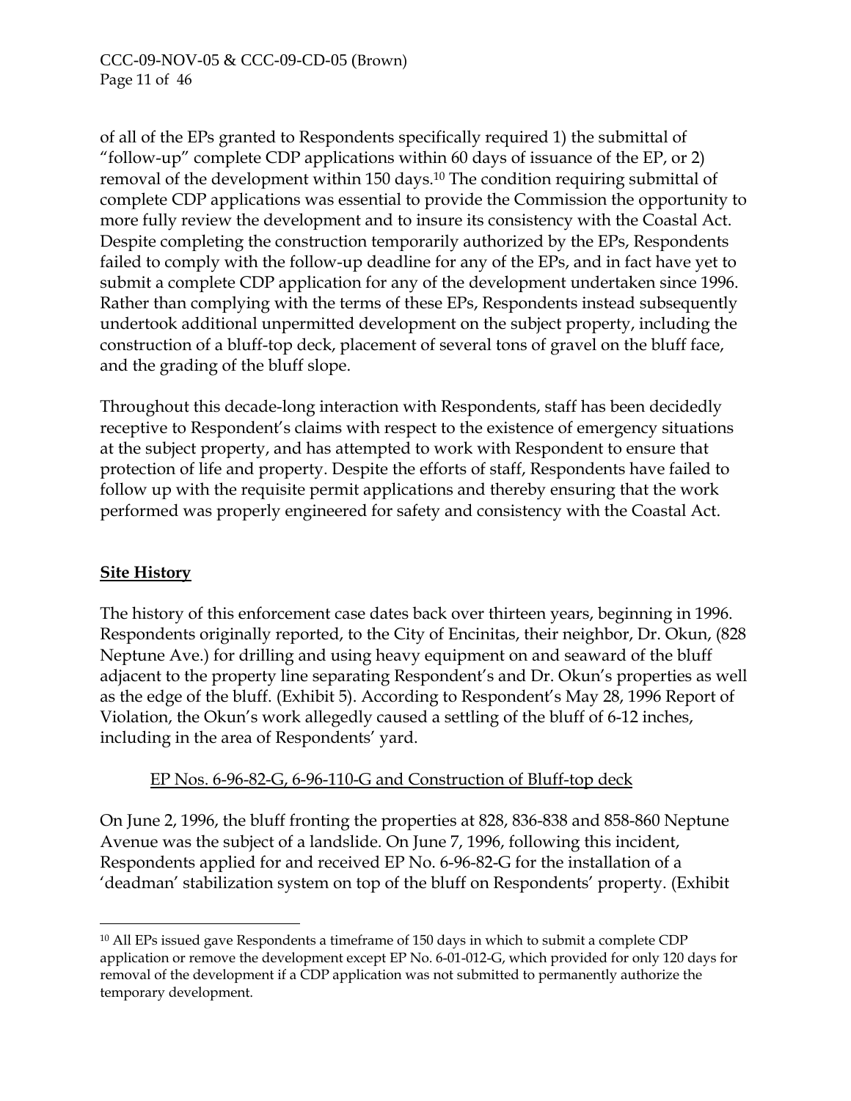of all of the EPs granted to Respondents specifically required 1) the submittal of "follow-up" complete CDP applications within 60 days of issuance of the EP, or 2) removal of the development within 150 days.<sup>10</sup> The condition requiring submittal of complete CDP applications was essential to provide the Commission the opportunity to more fully review the development and to insure its consistency with the Coastal Act. Despite completing the construction temporarily authorized by the EPs, Respondents failed to comply with the follow-up deadline for any of the EPs, and in fact have yet to submit a complete CDP application for any of the development undertaken since 1996. Rather than complying with the terms of these EPs, Respondents instead subsequently undertook additional unpermitted development on the subject property, including the construction of a bluff-top deck, placement of several tons of gravel on the bluff face, and the grading of the bluff slope.

Throughout this decade-long interaction with Respondents, staff has been decidedly receptive to Respondent's claims with respect to the existence of emergency situations at the subject property, and has attempted to work with Respondent to ensure that protection of life and property. Despite the efforts of staff, Respondents have failed to follow up with the requisite permit applications and thereby ensuring that the work performed was properly engineered for safety and consistency with the Coastal Act.

# **Site History**

 $\overline{a}$ 

The history of this enforcement case dates back over thirteen years, beginning in 1996. Respondents originally reported, to the City of Encinitas, their neighbor, Dr. Okun, (828 Neptune Ave.) for drilling and using heavy equipment on and seaward of the bluff adjacent to the property line separating Respondent's and Dr. Okun's properties as well as the edge of the bluff. (Exhibit 5). According to Respondent's May 28, 1996 Report of Violation, the Okun's work allegedly caused a settling of the bluff of 6-12 inches, including in the area of Respondents' yard.

## EP Nos. 6-96-82-G, 6-96-110-G and Construction of Bluff-top deck

On June 2, 1996, the bluff fronting the properties at 828, 836-838 and 858-860 Neptune Avenue was the subject of a landslide. On June 7, 1996, following this incident, Respondents applied for and received EP No. 6-96-82-G for the installation of a 'deadman' stabilization system on top of the bluff on Respondents' property. (Exhibit

<span id="page-30-0"></span><sup>&</sup>lt;sup>10</sup> All EPs issued gave Respondents a timeframe of 150 days in which to submit a complete CDP application or remove the development except EP No. 6-01-012-G, which provided for only 120 days for removal of the development if a CDP application was not submitted to permanently authorize the temporary development.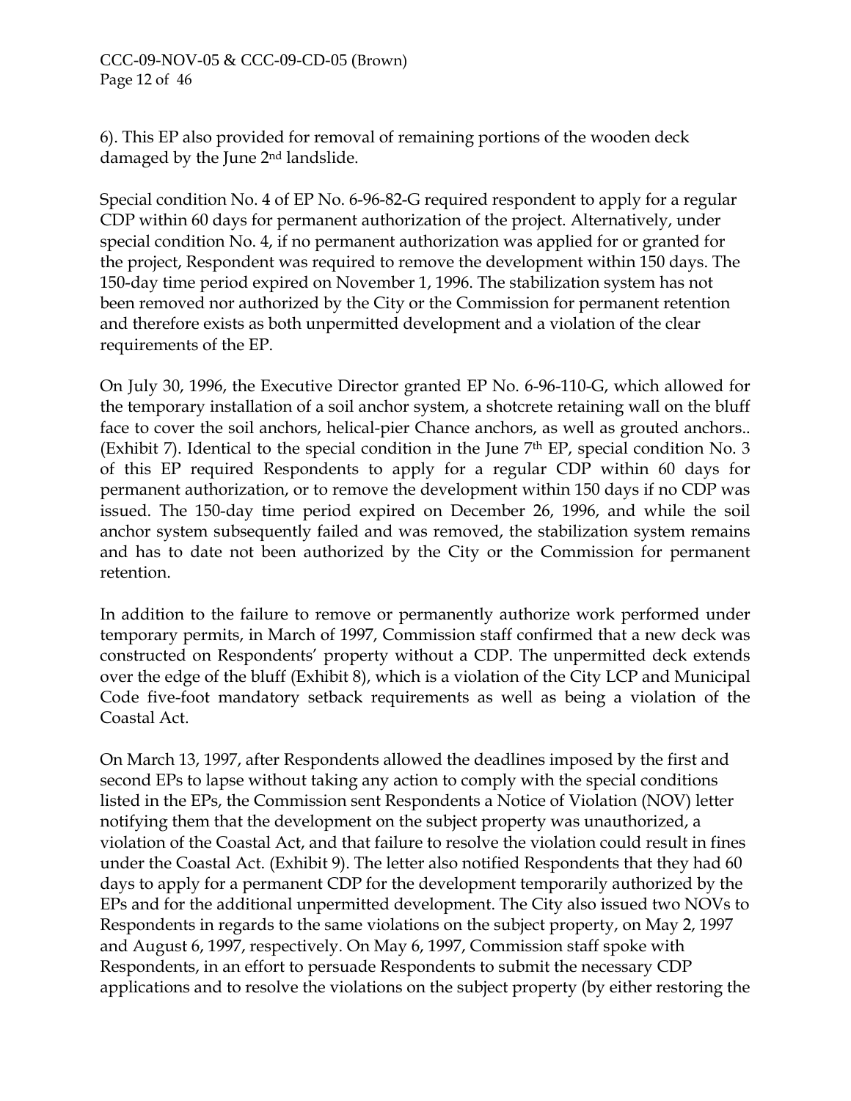#### CCC-09-NOV-05 & CCC-09-CD-05 (Brown) Page 12 of 46

6). This EP also provided for removal of remaining portions of the wooden deck damaged by the June 2nd landslide.

Special condition No. 4 of EP No. 6-96-82-G required respondent to apply for a regular CDP within 60 days for permanent authorization of the project. Alternatively, under special condition No. 4, if no permanent authorization was applied for or granted for the project, Respondent was required to remove the development within 150 days. The 150-day time period expired on November 1, 1996. The stabilization system has not been removed nor authorized by the City or the Commission for permanent retention and therefore exists as both unpermitted development and a violation of the clear requirements of the EP.

On July 30, 1996, the Executive Director granted EP No. 6-96-110-G, which allowed for the temporary installation of a soil anchor system, a shotcrete retaining wall on the bluff face to cover the soil anchors, helical-pier Chance anchors, as well as grouted anchors.. (Exhibit 7). Identical to the special condition in the June  $7<sup>th</sup>$  EP, special condition No. 3 of this EP required Respondents to apply for a regular CDP within 60 days for permanent authorization, or to remove the development within 150 days if no CDP was issued. The 150-day time period expired on December 26, 1996, and while the soil anchor system subsequently failed and was removed, the stabilization system remains and has to date not been authorized by the City or the Commission for permanent retention.

In addition to the failure to remove or permanently authorize work performed under temporary permits, in March of 1997, Commission staff confirmed that a new deck was constructed on Respondents' property without a CDP. The unpermitted deck extends over the edge of the bluff (Exhibit 8), which is a violation of the City LCP and Municipal Code five-foot mandatory setback requirements as well as being a violation of the Coastal Act.

On March 13, 1997, after Respondents allowed the deadlines imposed by the first and second EPs to lapse without taking any action to comply with the special conditions listed in the EPs, the Commission sent Respondents a Notice of Violation (NOV) letter notifying them that the development on the subject property was unauthorized, a violation of the Coastal Act, and that failure to resolve the violation could result in fines under the Coastal Act. (Exhibit 9). The letter also notified Respondents that they had 60 days to apply for a permanent CDP for the development temporarily authorized by the EPs and for the additional unpermitted development. The City also issued two NOVs to Respondents in regards to the same violations on the subject property, on May 2, 1997 and August 6, 1997, respectively. On May 6, 1997, Commission staff spoke with Respondents, in an effort to persuade Respondents to submit the necessary CDP applications and to resolve the violations on the subject property (by either restoring the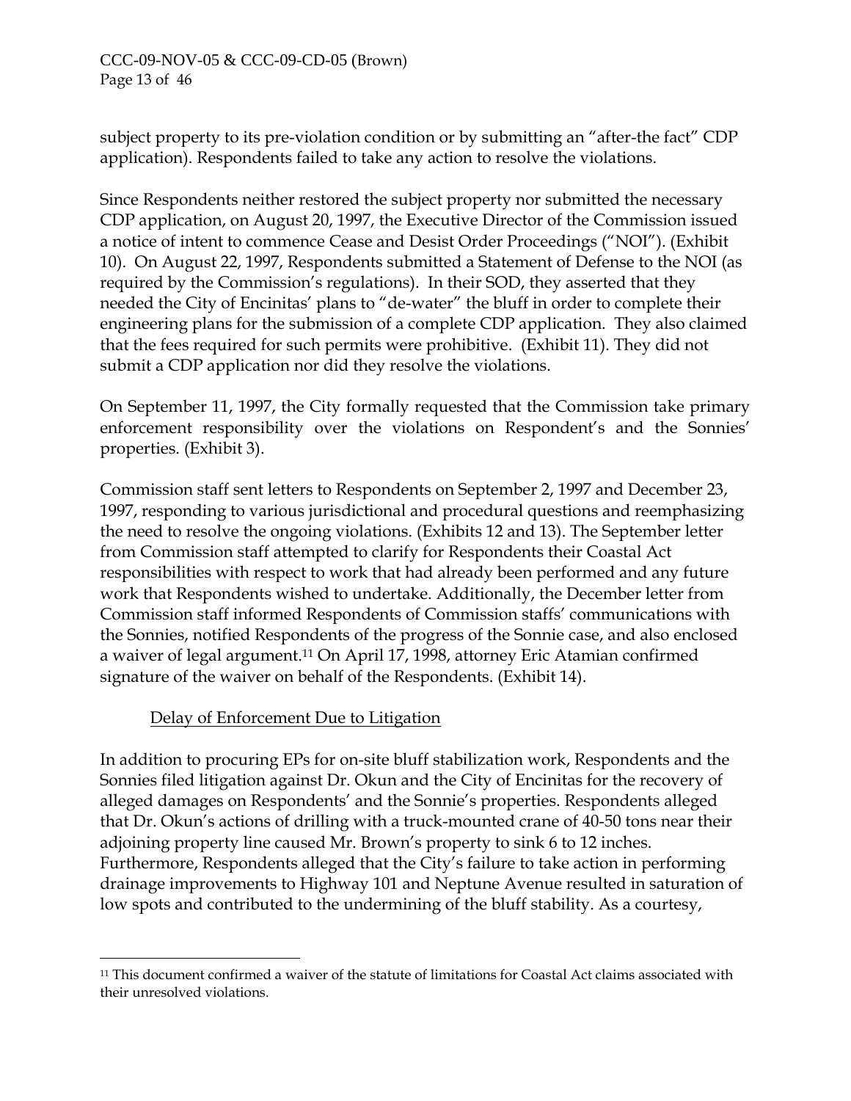subject property to its pre-violation condition or by submitting an "after-the fact" CDP application). Respondents failed to take any action to resolve the violations.

Since Respondents neither restored the subject property nor submitted the necessary CDP application, on August 20, 1997, the Executive Director of the Commission issued a notice of intent to commence Cease and Desist Order Proceedings ("NOI"). (Exhibit 10). On August 22, 1997, Respondents submitted a Statement of Defense to the NOI (as required by the Commission's regulations). In their SOD, they asserted that they needed the City of Encinitas' plans to "de-water" the bluff in order to complete their engineering plans for the submission of a complete CDP application. They also claimed that the fees required for such permits were prohibitive. (Exhibit 11). They did not submit a CDP application nor did they resolve the violations.

On September 11, 1997, the City formally requested that the Commission take primary enforcement responsibility over the violations on Respondent's and the Sonnies' properties. (Exhibit 3).

Commission staff sent letters to Respondents on September 2, 1997 and December 23, 1997, responding to various jurisdictional and procedural questions and reemphasizing the need to resolve the ongoing violations. (Exhibits 12 and 13). The September letter from Commission staff attempted to clarify for Respondents their Coastal Act responsibilities with respect to work that had already been performed and any future work that Respondents wished to undertake. Additionally, the December letter from Commission staff informed Respondents of Commission staffs' communications with the Sonnies, notified Respondents of the progress of the Sonnie case, and also enclosed a waiver of legal argument.[11 O](#page-32-0)n April 17, 1998, attorney Eric Atamian confirmed signature of the waiver on behalf of the Respondents. (Exhibit 14).

## Delay of Enforcement Due to Litigation

 $\overline{a}$ 

In addition to procuring EPs for on-site bluff stabilization work, Respondents and the Sonnies filed litigation against Dr. Okun and the City of Encinitas for the recovery of alleged damages on Respondents' and the Sonnie's properties. Respondents alleged that Dr. Okun's actions of drilling with a truck-mounted crane of 40-50 tons near their adjoining property line caused Mr. Brown's property to sink 6 to 12 inches. Furthermore, Respondents alleged that the City's failure to take action in performing drainage improvements to Highway 101 and Neptune Avenue resulted in saturation of low spots and contributed to the undermining of the bluff stability. As a courtesy,

<span id="page-32-0"></span><sup>11</sup> This document confirmed a waiver of the statute of limitations for Coastal Act claims associated with their unresolved violations.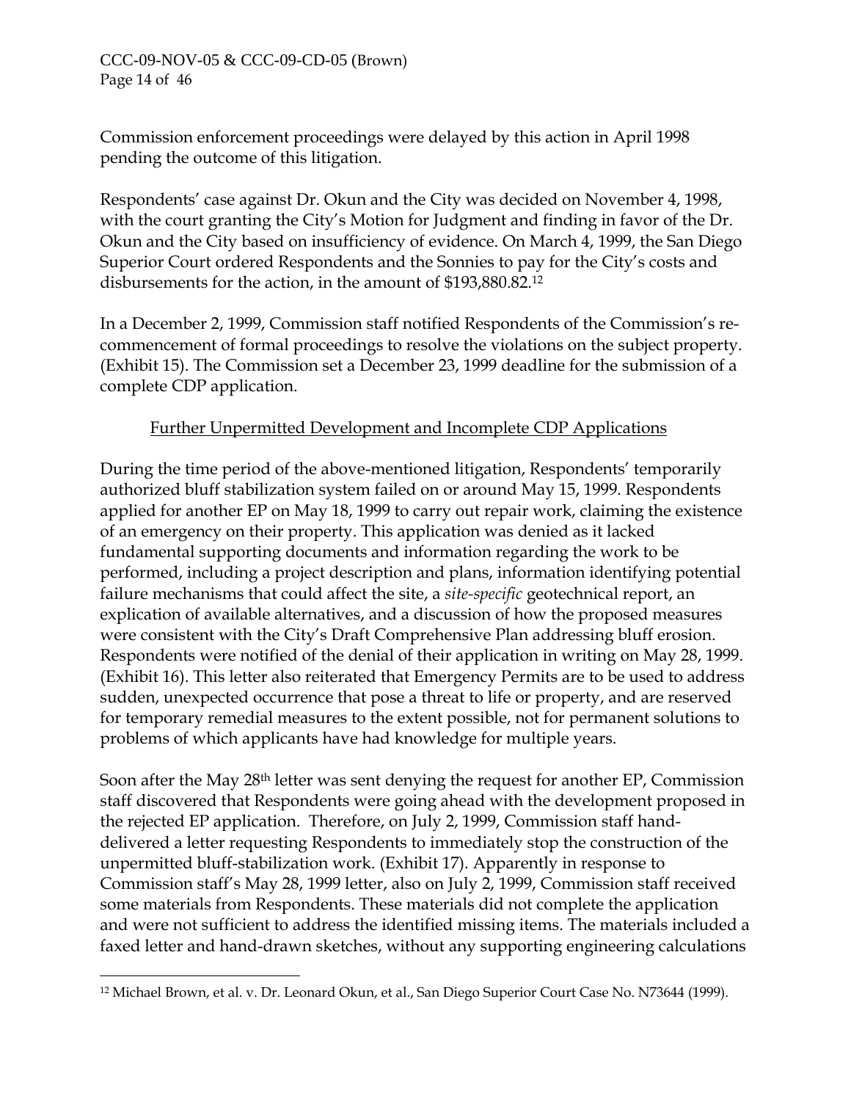Commission enforcement proceedings were delayed by this action in April 1998 pending the outcome of this litigation.

Respondents' case against Dr. Okun and the City was decided on November 4, 1998, with the court granting the City's Motion for Judgment and finding in favor of the Dr. Okun and the City based on insufficiency of evidence. On March 4, 1999, the San Diego Superior Court ordered Respondents and the Sonnies to pay for the City's costs and disbursements for the action, in the amount of \$193,880.82.[12](#page-33-0)

In a December 2, 1999, Commission staff notified Respondents of the Commission's recommencement of formal proceedings to resolve the violations on the subject property. (Exhibit 15). The Commission set a December 23, 1999 deadline for the submission of a complete CDP application.

# Further Unpermitted Development and Incomplete CDP Applications

During the time period of the above-mentioned litigation, Respondents' temporarily authorized bluff stabilization system failed on or around May 15, 1999. Respondents applied for another EP on May 18, 1999 to carry out repair work, claiming the existence of an emergency on their property. This application was denied as it lacked fundamental supporting documents and information regarding the work to be performed, including a project description and plans, information identifying potential failure mechanisms that could affect the site, a *site-specific* geotechnical report, an explication of available alternatives, and a discussion of how the proposed measures were consistent with the City's Draft Comprehensive Plan addressing bluff erosion. Respondents were notified of the denial of their application in writing on May 28, 1999. (Exhibit 16). This letter also reiterated that Emergency Permits are to be used to address sudden, unexpected occurrence that pose a threat to life or property, and are reserved for temporary remedial measures to the extent possible, not for permanent solutions to problems of which applicants have had knowledge for multiple years.

Soon after the May 28th letter was sent denying the request for another EP, Commission staff discovered that Respondents were going ahead with the development proposed in the rejected EP application. Therefore, on July 2, 1999, Commission staff handdelivered a letter requesting Respondents to immediately stop the construction of the unpermitted bluff-stabilization work. (Exhibit 17). Apparently in response to Commission staff's May 28, 1999 letter, also on July 2, 1999, Commission staff received some materials from Respondents. These materials did not complete the application and were not sufficient to address the identified missing items. The materials included a faxed letter and hand-drawn sketches, without any supporting engineering calculations

 $\overline{a}$ 

<span id="page-33-0"></span><sup>12</sup> Michael Brown, et al. v. Dr. Leonard Okun, et al., San Diego Superior Court Case No. N73644 (1999).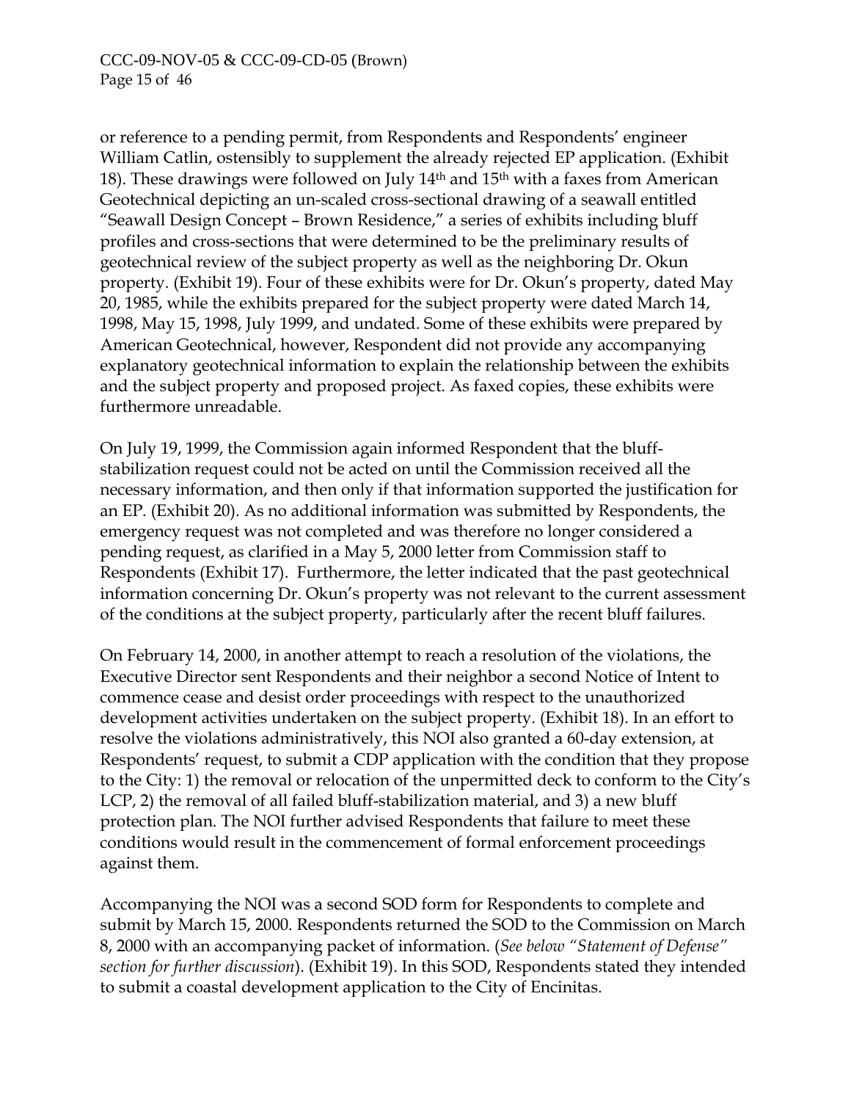or reference to a pending permit, from Respondents and Respondents' engineer William Catlin, ostensibly to supplement the already rejected EP application. (Exhibit 18). These drawings were followed on July 14th and 15th with a faxes from American Geotechnical depicting an un-scaled cross-sectional drawing of a seawall entitled "Seawall Design Concept – Brown Residence," a series of exhibits including bluff profiles and cross-sections that were determined to be the preliminary results of geotechnical review of the subject property as well as the neighboring Dr. Okun property. (Exhibit 19). Four of these exhibits were for Dr. Okun's property, dated May 20, 1985, while the exhibits prepared for the subject property were dated March 14, 1998, May 15, 1998, July 1999, and undated. Some of these exhibits were prepared by American Geotechnical, however, Respondent did not provide any accompanying explanatory geotechnical information to explain the relationship between the exhibits and the subject property and proposed project. As faxed copies, these exhibits were furthermore unreadable.

On July 19, 1999, the Commission again informed Respondent that the bluffstabilization request could not be acted on until the Commission received all the necessary information, and then only if that information supported the justification for an EP. (Exhibit 20). As no additional information was submitted by Respondents, the emergency request was not completed and was therefore no longer considered a pending request, as clarified in a May 5, 2000 letter from Commission staff to Respondents (Exhibit 17). Furthermore, the letter indicated that the past geotechnical information concerning Dr. Okun's property was not relevant to the current assessment of the conditions at the subject property, particularly after the recent bluff failures.

On February 14, 2000, in another attempt to reach a resolution of the violations, the Executive Director sent Respondents and their neighbor a second Notice of Intent to commence cease and desist order proceedings with respect to the unauthorized development activities undertaken on the subject property. (Exhibit 18). In an effort to resolve the violations administratively, this NOI also granted a 60-day extension, at Respondents' request, to submit a CDP application with the condition that they propose to the City: 1) the removal or relocation of the unpermitted deck to conform to the City's LCP, 2) the removal of all failed bluff-stabilization material, and 3) a new bluff protection plan. The NOI further advised Respondents that failure to meet these conditions would result in the commencement of formal enforcement proceedings against them.

Accompanying the NOI was a second SOD form for Respondents to complete and submit by March 15, 2000. Respondents returned the SOD to the Commission on March 8, 2000 with an accompanying packet of information. (*See below "Statement of Defense" section for further discussion*). (Exhibit 19). In this SOD, Respondents stated they intended to submit a coastal development application to the City of Encinitas.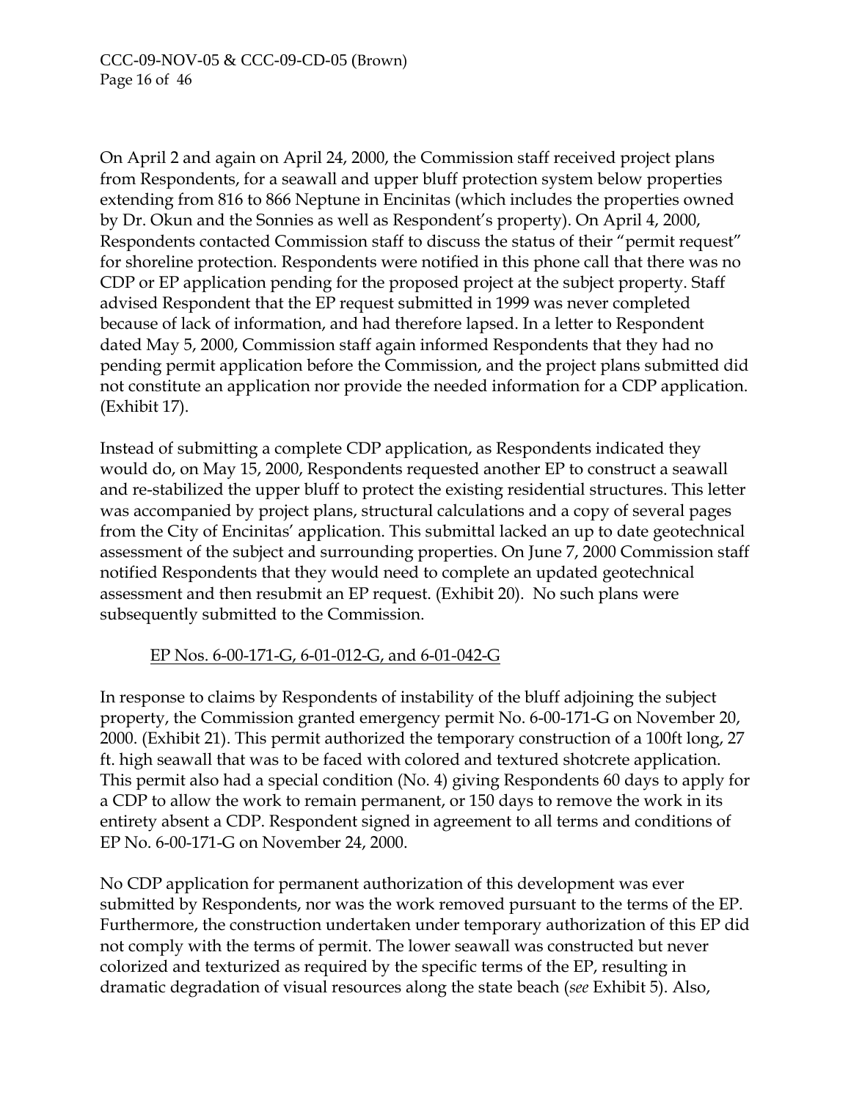On April 2 and again on April 24, 2000, the Commission staff received project plans from Respondents, for a seawall and upper bluff protection system below properties extending from 816 to 866 Neptune in Encinitas (which includes the properties owned by Dr. Okun and the Sonnies as well as Respondent's property). On April 4, 2000, Respondents contacted Commission staff to discuss the status of their "permit request" for shoreline protection. Respondents were notified in this phone call that there was no CDP or EP application pending for the proposed project at the subject property. Staff advised Respondent that the EP request submitted in 1999 was never completed because of lack of information, and had therefore lapsed. In a letter to Respondent dated May 5, 2000, Commission staff again informed Respondents that they had no pending permit application before the Commission, and the project plans submitted did not constitute an application nor provide the needed information for a CDP application. (Exhibit 17).

Instead of submitting a complete CDP application, as Respondents indicated they would do, on May 15, 2000, Respondents requested another EP to construct a seawall and re-stabilized the upper bluff to protect the existing residential structures. This letter was accompanied by project plans, structural calculations and a copy of several pages from the City of Encinitas' application. This submittal lacked an up to date geotechnical assessment of the subject and surrounding properties. On June 7, 2000 Commission staff notified Respondents that they would need to complete an updated geotechnical assessment and then resubmit an EP request. (Exhibit 20). No such plans were subsequently submitted to the Commission.

## EP Nos. 6-00-171-G, 6-01-012-G, and 6-01-042-G

In response to claims by Respondents of instability of the bluff adjoining the subject property, the Commission granted emergency permit No. 6-00-171-G on November 20, 2000. (Exhibit 21). This permit authorized the temporary construction of a 100ft long, 27 ft. high seawall that was to be faced with colored and textured shotcrete application. This permit also had a special condition (No. 4) giving Respondents 60 days to apply for a CDP to allow the work to remain permanent, or 150 days to remove the work in its entirety absent a CDP. Respondent signed in agreement to all terms and conditions of EP No. 6-00-171-G on November 24, 2000.

No CDP application for permanent authorization of this development was ever submitted by Respondents, nor was the work removed pursuant to the terms of the EP. Furthermore, the construction undertaken under temporary authorization of this EP did not comply with the terms of permit. The lower seawall was constructed but never colorized and texturized as required by the specific terms of the EP, resulting in dramatic degradation of visual resources along the state beach (*see* Exhibit 5). Also,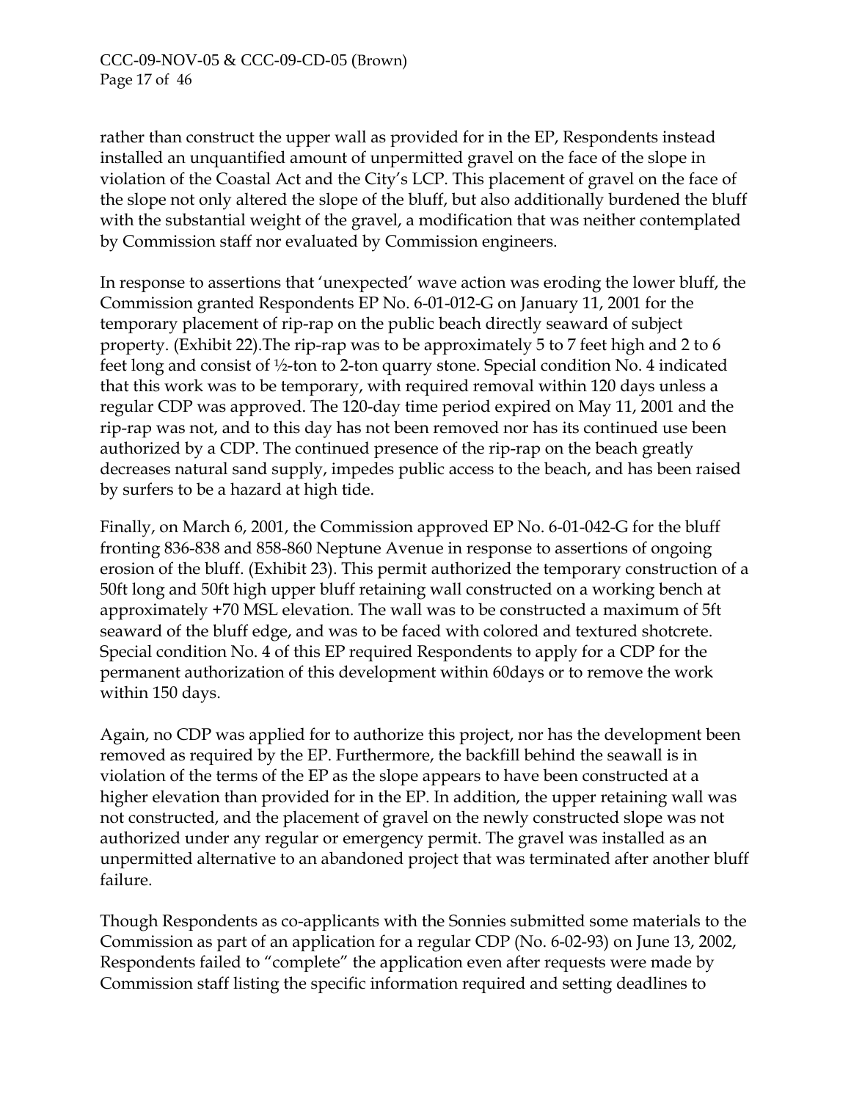rather than construct the upper wall as provided for in the EP, Respondents instead installed an unquantified amount of unpermitted gravel on the face of the slope in violation of the Coastal Act and the City's LCP. This placement of gravel on the face of the slope not only altered the slope of the bluff, but also additionally burdened the bluff with the substantial weight of the gravel, a modification that was neither contemplated by Commission staff nor evaluated by Commission engineers.

In response to assertions that 'unexpected' wave action was eroding the lower bluff, the Commission granted Respondents EP No. 6-01-012-G on January 11, 2001 for the temporary placement of rip-rap on the public beach directly seaward of subject property. (Exhibit 22).The rip-rap was to be approximately 5 to 7 feet high and 2 to 6 feet long and consist of ½-ton to 2-ton quarry stone. Special condition No. 4 indicated that this work was to be temporary, with required removal within 120 days unless a regular CDP was approved. The 120-day time period expired on May 11, 2001 and the rip-rap was not, and to this day has not been removed nor has its continued use been authorized by a CDP. The continued presence of the rip-rap on the beach greatly decreases natural sand supply, impedes public access to the beach, and has been raised by surfers to be a hazard at high tide.

Finally, on March 6, 2001, the Commission approved EP No. 6-01-042-G for the bluff fronting 836-838 and 858-860 Neptune Avenue in response to assertions of ongoing erosion of the bluff. (Exhibit 23). This permit authorized the temporary construction of a 50ft long and 50ft high upper bluff retaining wall constructed on a working bench at approximately +70 MSL elevation. The wall was to be constructed a maximum of 5ft seaward of the bluff edge, and was to be faced with colored and textured shotcrete. Special condition No. 4 of this EP required Respondents to apply for a CDP for the permanent authorization of this development within 60days or to remove the work within 150 days.

Again, no CDP was applied for to authorize this project, nor has the development been removed as required by the EP. Furthermore, the backfill behind the seawall is in violation of the terms of the EP as the slope appears to have been constructed at a higher elevation than provided for in the EP. In addition, the upper retaining wall was not constructed, and the placement of gravel on the newly constructed slope was not authorized under any regular or emergency permit. The gravel was installed as an unpermitted alternative to an abandoned project that was terminated after another bluff failure.

Though Respondents as co-applicants with the Sonnies submitted some materials to the Commission as part of an application for a regular CDP (No. 6-02-93) on June 13, 2002, Respondents failed to "complete" the application even after requests were made by Commission staff listing the specific information required and setting deadlines to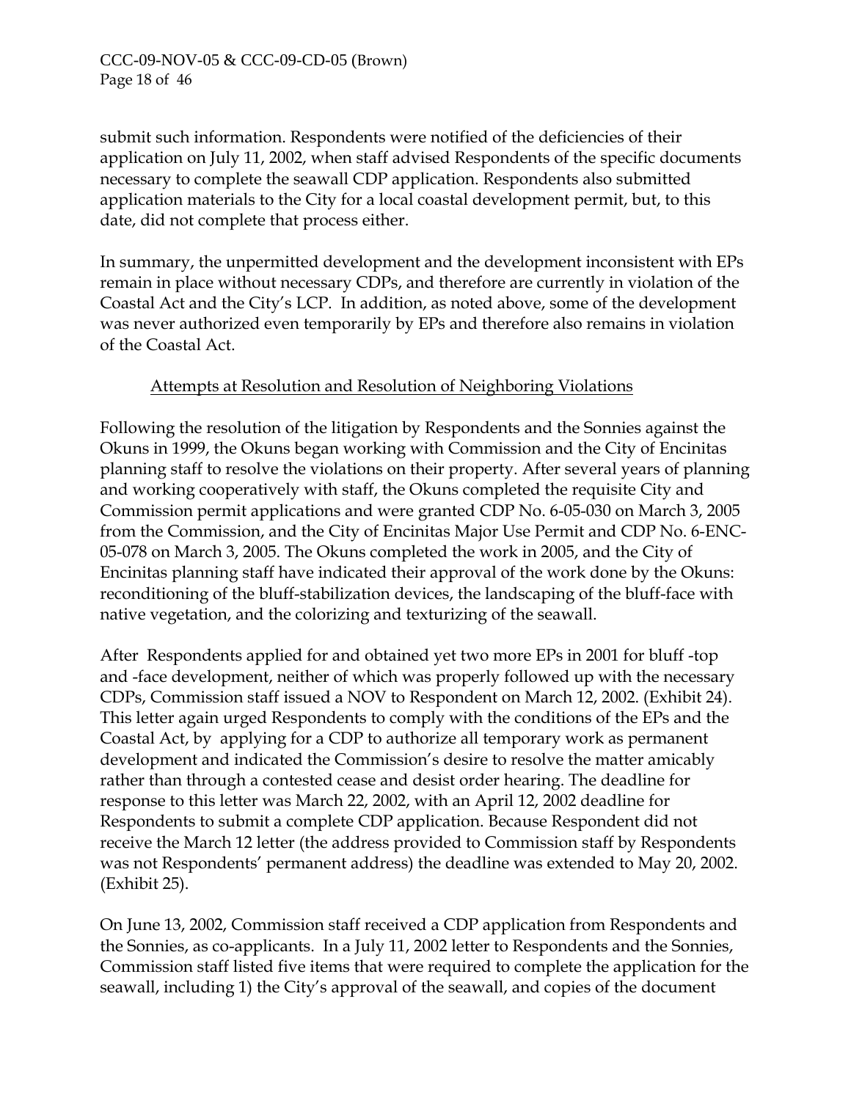submit such information. Respondents were notified of the deficiencies of their application on July 11, 2002, when staff advised Respondents of the specific documents necessary to complete the seawall CDP application. Respondents also submitted application materials to the City for a local coastal development permit, but, to this date, did not complete that process either.

In summary, the unpermitted development and the development inconsistent with EPs remain in place without necessary CDPs, and therefore are currently in violation of the Coastal Act and the City's LCP. In addition, as noted above, some of the development was never authorized even temporarily by EPs and therefore also remains in violation of the Coastal Act.

# Attempts at Resolution and Resolution of Neighboring Violations

Following the resolution of the litigation by Respondents and the Sonnies against the Okuns in 1999, the Okuns began working with Commission and the City of Encinitas planning staff to resolve the violations on their property. After several years of planning and working cooperatively with staff, the Okuns completed the requisite City and Commission permit applications and were granted CDP No. 6-05-030 on March 3, 2005 from the Commission, and the City of Encinitas Major Use Permit and CDP No. 6-ENC-05-078 on March 3, 2005. The Okuns completed the work in 2005, and the City of Encinitas planning staff have indicated their approval of the work done by the Okuns: reconditioning of the bluff-stabilization devices, the landscaping of the bluff-face with native vegetation, and the colorizing and texturizing of the seawall.

After Respondents applied for and obtained yet two more EPs in 2001 for bluff -top and -face development, neither of which was properly followed up with the necessary CDPs, Commission staff issued a NOV to Respondent on March 12, 2002. (Exhibit 24). This letter again urged Respondents to comply with the conditions of the EPs and the Coastal Act, by applying for a CDP to authorize all temporary work as permanent development and indicated the Commission's desire to resolve the matter amicably rather than through a contested cease and desist order hearing. The deadline for response to this letter was March 22, 2002, with an April 12, 2002 deadline for Respondents to submit a complete CDP application. Because Respondent did not receive the March 12 letter (the address provided to Commission staff by Respondents was not Respondents' permanent address) the deadline was extended to May 20, 2002. (Exhibit 25).

On June 13, 2002, Commission staff received a CDP application from Respondents and the Sonnies, as co-applicants. In a July 11, 2002 letter to Respondents and the Sonnies, Commission staff listed five items that were required to complete the application for the seawall, including 1) the City's approval of the seawall, and copies of the document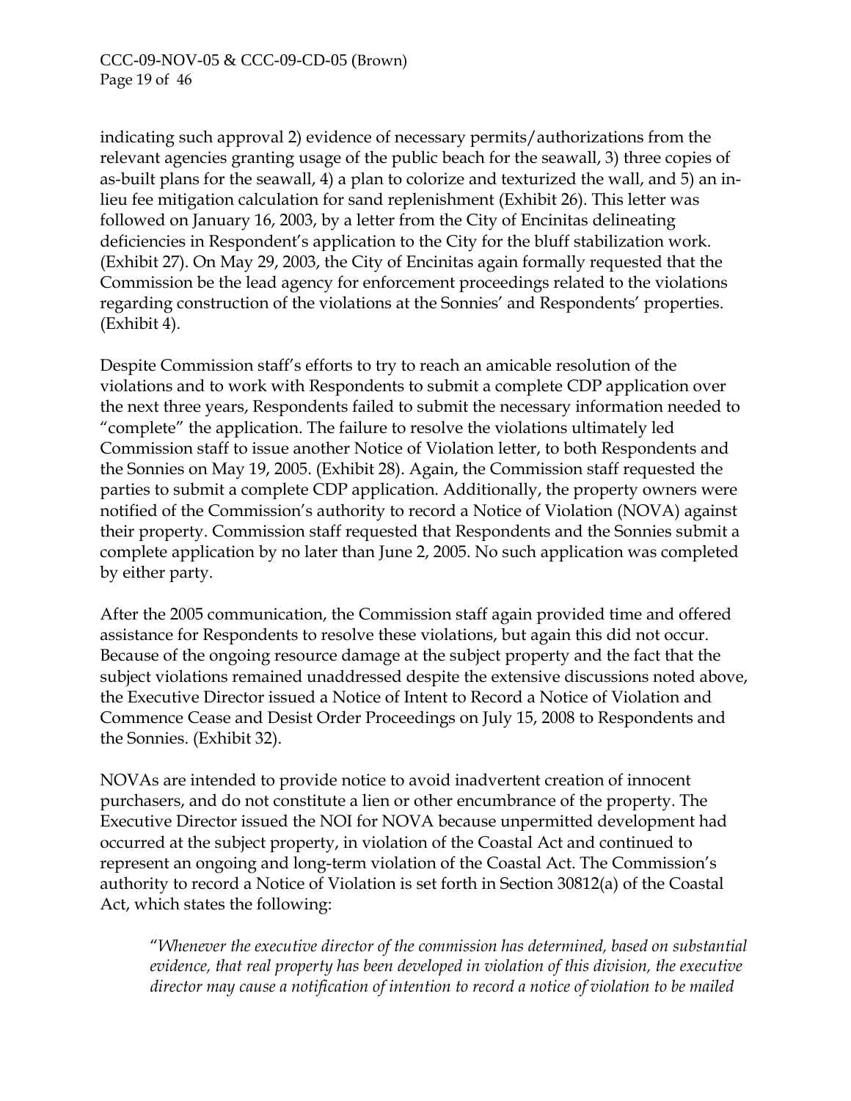indicating such approval 2) evidence of necessary permits/authorizations from the relevant agencies granting usage of the public beach for the seawall, 3) three copies of as-built plans for the seawall, 4) a plan to colorize and texturized the wall, and 5) an inlieu fee mitigation calculation for sand replenishment (Exhibit 26). This letter was followed on January 16, 2003, by a letter from the City of Encinitas delineating deficiencies in Respondent's application to the City for the bluff stabilization work. (Exhibit 27). On May 29, 2003, the City of Encinitas again formally requested that the Commission be the lead agency for enforcement proceedings related to the violations regarding construction of the violations at the Sonnies' and Respondents' properties. (Exhibit 4).

Despite Commission staff's efforts to try to reach an amicable resolution of the violations and to work with Respondents to submit a complete CDP application over the next three years, Respondents failed to submit the necessary information needed to "complete" the application. The failure to resolve the violations ultimately led Commission staff to issue another Notice of Violation letter, to both Respondents and the Sonnies on May 19, 2005. (Exhibit 28). Again, the Commission staff requested the parties to submit a complete CDP application. Additionally, the property owners were notified of the Commission's authority to record a Notice of Violation (NOVA) against their property. Commission staff requested that Respondents and the Sonnies submit a complete application by no later than June 2, 2005. No such application was completed by either party.

After the 2005 communication, the Commission staff again provided time and offered assistance for Respondents to resolve these violations, but again this did not occur. Because of the ongoing resource damage at the subject property and the fact that the subject violations remained unaddressed despite the extensive discussions noted above, the Executive Director issued a Notice of Intent to Record a Notice of Violation and Commence Cease and Desist Order Proceedings on July 15, 2008 to Respondents and the Sonnies. (Exhibit 32).

NOVAs are intended to provide notice to avoid inadvertent creation of innocent purchasers, and do not constitute a lien or other encumbrance of the property. The Executive Director issued the NOI for NOVA because unpermitted development had occurred at the subject property, in violation of the Coastal Act and continued to represent an ongoing and long-term violation of the Coastal Act. The Commission's authority to record a Notice of Violation is set forth in Section 30812(a) of the Coastal Act, which states the following:

"*Whenever the executive director of the commission has determined, based on substantial evidence, that real property has been developed in violation of this division, the executive director may cause a notification of intention to record a notice of violation to be mailed*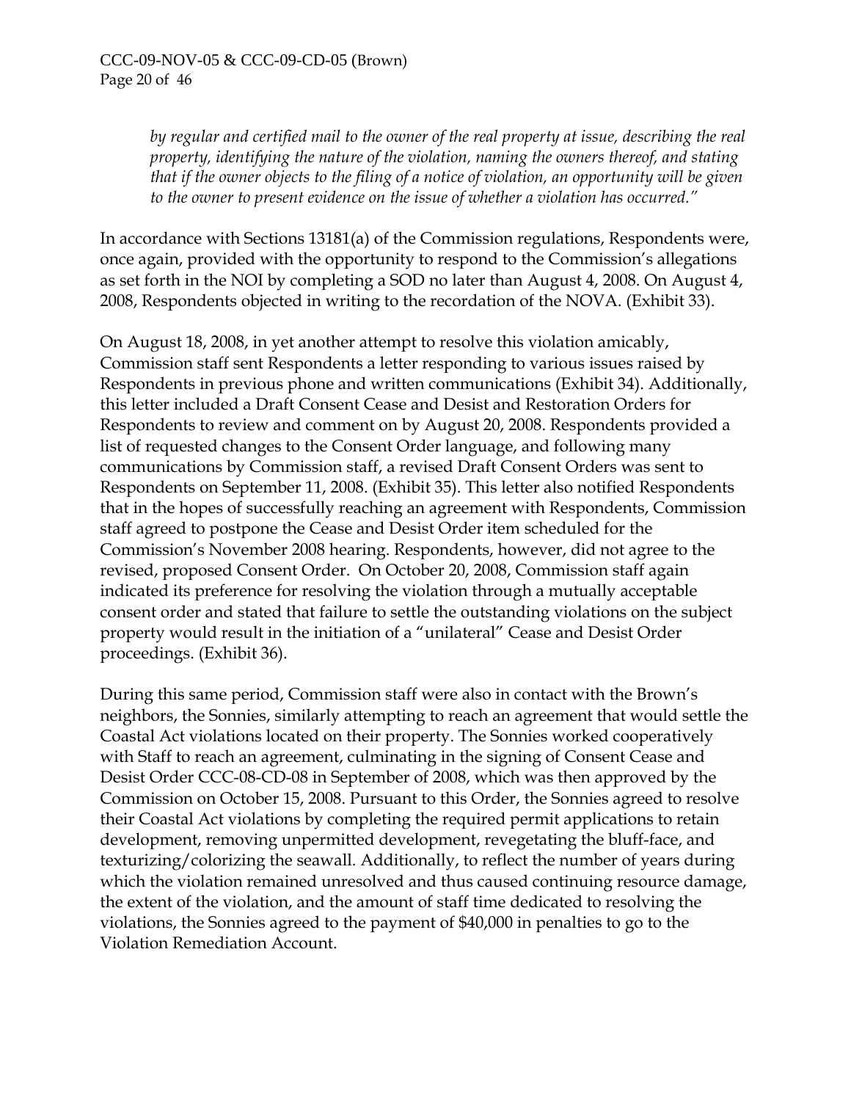*by regular and certified mail to the owner of the real property at issue, describing the real property, identifying the nature of the violation, naming the owners thereof, and stating that if the owner objects to the filing of a notice of violation, an opportunity will be given to the owner to present evidence on the issue of whether a violation has occurred."* 

In accordance with Sections 13181(a) of the Commission regulations, Respondents were, once again, provided with the opportunity to respond to the Commission's allegations as set forth in the NOI by completing a SOD no later than August 4, 2008. On August 4, 2008, Respondents objected in writing to the recordation of the NOVA. (Exhibit 33).

On August 18, 2008, in yet another attempt to resolve this violation amicably, Commission staff sent Respondents a letter responding to various issues raised by Respondents in previous phone and written communications (Exhibit 34). Additionally, this letter included a Draft Consent Cease and Desist and Restoration Orders for Respondents to review and comment on by August 20, 2008. Respondents provided a list of requested changes to the Consent Order language, and following many communications by Commission staff, a revised Draft Consent Orders was sent to Respondents on September 11, 2008. (Exhibit 35). This letter also notified Respondents that in the hopes of successfully reaching an agreement with Respondents, Commission staff agreed to postpone the Cease and Desist Order item scheduled for the Commission's November 2008 hearing. Respondents, however, did not agree to the revised, proposed Consent Order. On October 20, 2008, Commission staff again indicated its preference for resolving the violation through a mutually acceptable consent order and stated that failure to settle the outstanding violations on the subject property would result in the initiation of a "unilateral" Cease and Desist Order proceedings. (Exhibit 36).

During this same period, Commission staff were also in contact with the Brown's neighbors, the Sonnies, similarly attempting to reach an agreement that would settle the Coastal Act violations located on their property. The Sonnies worked cooperatively with Staff to reach an agreement, culminating in the signing of Consent Cease and Desist Order CCC-08-CD-08 in September of 2008, which was then approved by the Commission on October 15, 2008. Pursuant to this Order, the Sonnies agreed to resolve their Coastal Act violations by completing the required permit applications to retain development, removing unpermitted development, revegetating the bluff-face, and texturizing/colorizing the seawall. Additionally, to reflect the number of years during which the violation remained unresolved and thus caused continuing resource damage, the extent of the violation, and the amount of staff time dedicated to resolving the violations, the Sonnies agreed to the payment of \$40,000 in penalties to go to the Violation Remediation Account.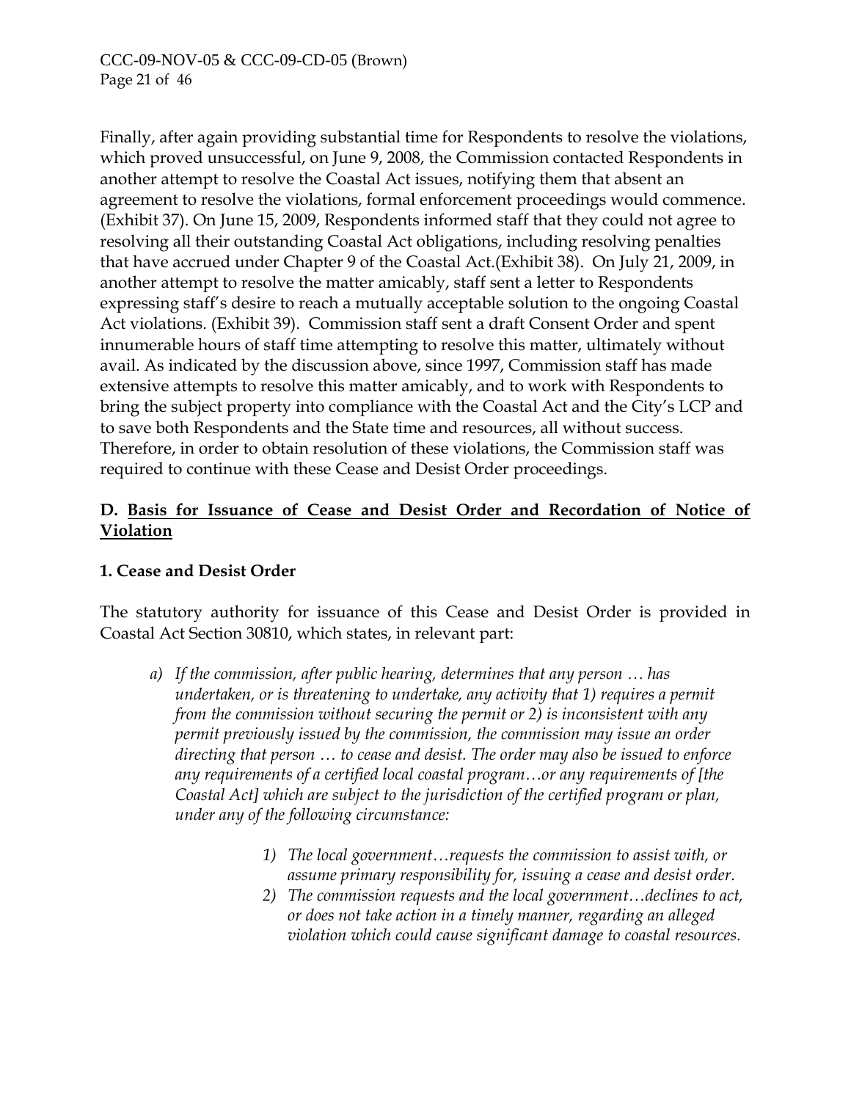Finally, after again providing substantial time for Respondents to resolve the violations, which proved unsuccessful, on June 9, 2008, the Commission contacted Respondents in another attempt to resolve the Coastal Act issues, notifying them that absent an agreement to resolve the violations, formal enforcement proceedings would commence. (Exhibit 37). On June 15, 2009, Respondents informed staff that they could not agree to resolving all their outstanding Coastal Act obligations, including resolving penalties that have accrued under Chapter 9 of the Coastal Act.(Exhibit 38). On July 21, 2009, in another attempt to resolve the matter amicably, staff sent a letter to Respondents expressing staff's desire to reach a mutually acceptable solution to the ongoing Coastal Act violations. (Exhibit 39). Commission staff sent a draft Consent Order and spent innumerable hours of staff time attempting to resolve this matter, ultimately without avail. As indicated by the discussion above, since 1997, Commission staff has made extensive attempts to resolve this matter amicably, and to work with Respondents to bring the subject property into compliance with the Coastal Act and the City's LCP and to save both Respondents and the State time and resources, all without success. Therefore, in order to obtain resolution of these violations, the Commission staff was required to continue with these Cease and Desist Order proceedings.

## **D. Basis for Issuance of Cease and Desist Order and Recordation of Notice of Violation**

## **1. Cease and Desist Order**

The statutory authority for issuance of this Cease and Desist Order is provided in Coastal Act Section 30810, which states, in relevant part:

- *a) If the commission, after public hearing, determines that any person … has undertaken, or is threatening to undertake, any activity that 1) requires a permit from the commission without securing the permit or 2) is inconsistent with any permit previously issued by the commission, the commission may issue an order directing that person … to cease and desist. The order may also be issued to enforce any requirements of a certified local coastal program…or any requirements of [the Coastal Act] which are subject to the jurisdiction of the certified program or plan, under any of the following circumstance:* 
	- *1) The local government…requests the commission to assist with, or assume primary responsibility for, issuing a cease and desist order.*
	- *2) The commission requests and the local government…declines to act, or does not take action in a timely manner, regarding an alleged violation which could cause significant damage to coastal resources.*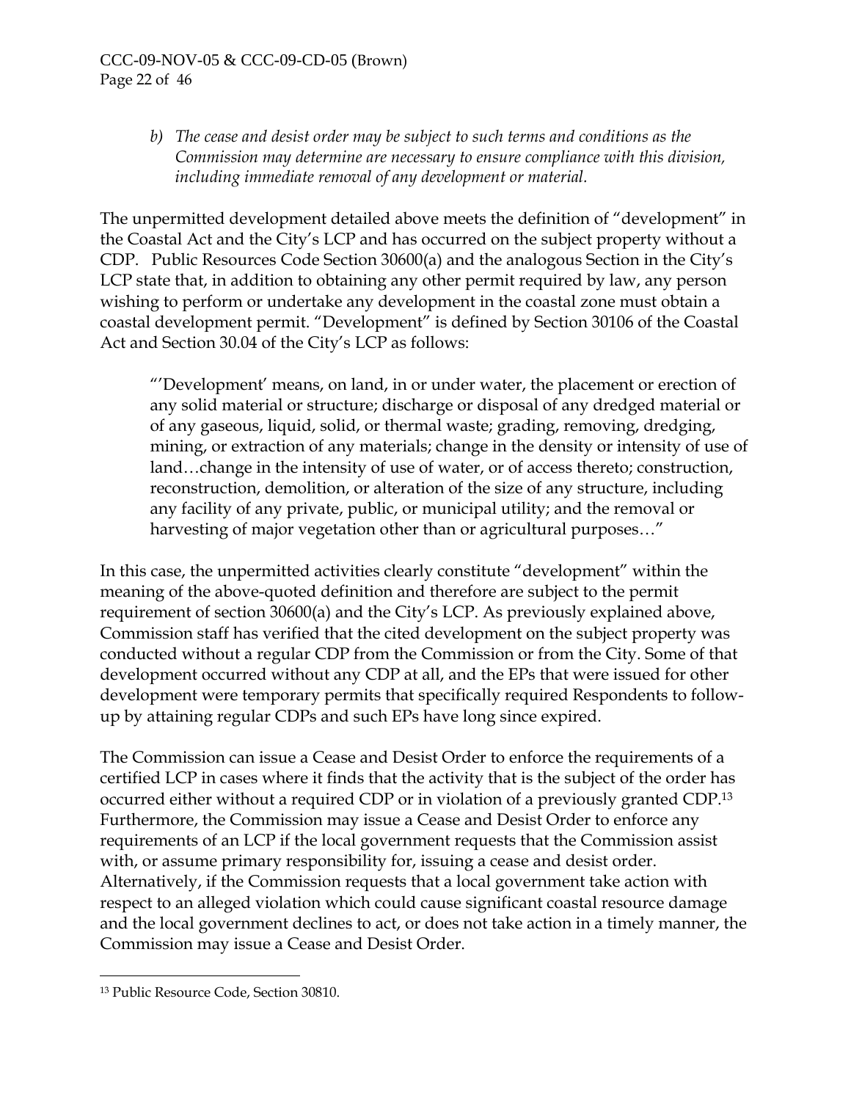#### CCC-09-NOV-05 & CCC-09-CD-05 (Brown) Page 22 of 46

*b) The cease and desist order may be subject to such terms and conditions as the Commission may determine are necessary to ensure compliance with this division, including immediate removal of any development or material.* 

The unpermitted development detailed above meets the definition of "development" in the Coastal Act and the City's LCP and has occurred on the subject property without a CDP. Public Resources Code Section 30600(a) and the analogous Section in the City's LCP state that, in addition to obtaining any other permit required by law, any person wishing to perform or undertake any development in the coastal zone must obtain a coastal development permit. "Development" is defined by Section 30106 of the Coastal Act and Section 30.04 of the City's LCP as follows:

"'Development' means, on land, in or under water, the placement or erection of any solid material or structure; discharge or disposal of any dredged material or of any gaseous, liquid, solid, or thermal waste; grading, removing, dredging, mining, or extraction of any materials; change in the density or intensity of use of land…change in the intensity of use of water, or of access thereto; construction, reconstruction, demolition, or alteration of the size of any structure, including any facility of any private, public, or municipal utility; and the removal or harvesting of major vegetation other than or agricultural purposes..."

In this case, the unpermitted activities clearly constitute "development" within the meaning of the above-quoted definition and therefore are subject to the permit requirement of section 30600(a) and the City's LCP. As previously explained above, Commission staff has verified that the cited development on the subject property was conducted without a regular CDP from the Commission or from the City. Some of that development occurred without any CDP at all, and the EPs that were issued for other development were temporary permits that specifically required Respondents to followup by attaining regular CDPs and such EPs have long since expired.

The Commission can issue a Cease and Desist Order to enforce the requirements of a certified LCP in cases where it finds that the activity that is the subject of the order has occurred either without a required CDP or in violation of a previously granted CDP.[13](#page-41-0) Furthermore, the Commission may issue a Cease and Desist Order to enforce any requirements of an LCP if the local government requests that the Commission assist with, or assume primary responsibility for, issuing a cease and desist order. Alternatively, if the Commission requests that a local government take action with respect to an alleged violation which could cause significant coastal resource damage and the local government declines to act, or does not take action in a timely manner, the Commission may issue a Cease and Desist Order.

<u>.</u>

<span id="page-41-0"></span><sup>13</sup> Public Resource Code, Section 30810.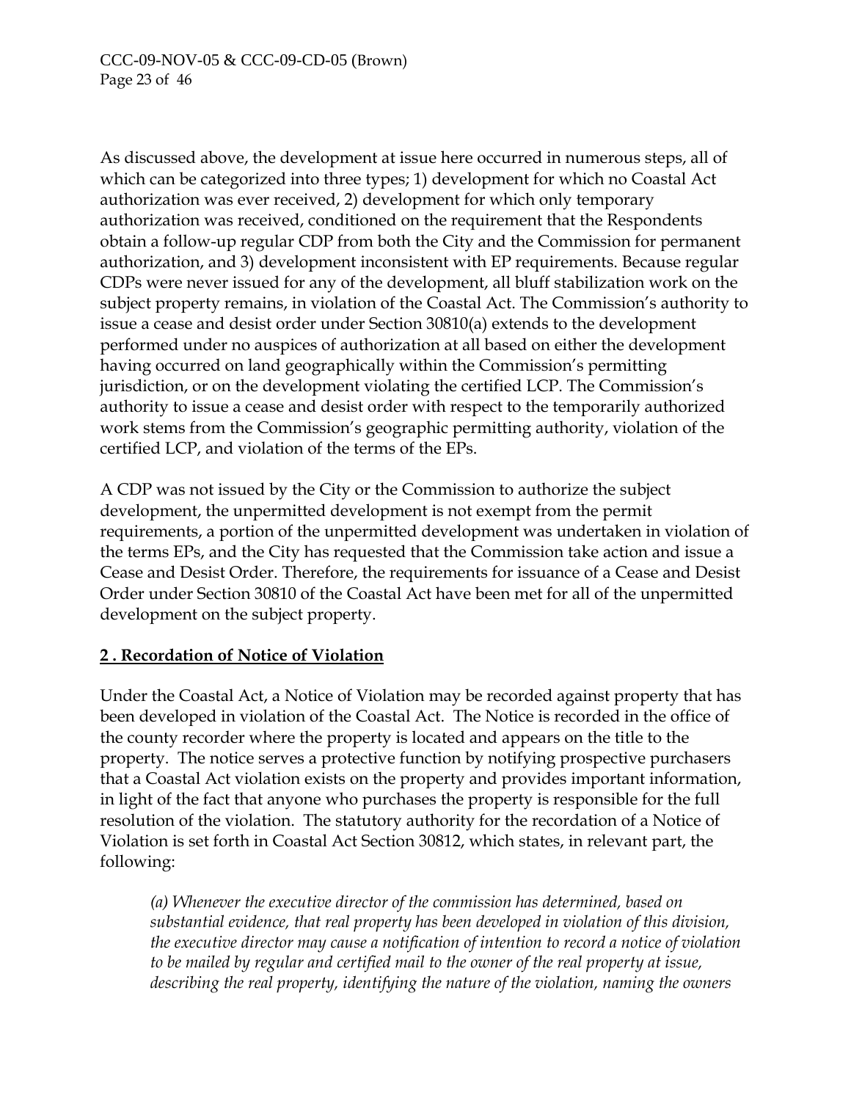As discussed above, the development at issue here occurred in numerous steps, all of which can be categorized into three types; 1) development for which no Coastal Act authorization was ever received, 2) development for which only temporary authorization was received, conditioned on the requirement that the Respondents obtain a follow-up regular CDP from both the City and the Commission for permanent authorization, and 3) development inconsistent with EP requirements. Because regular CDPs were never issued for any of the development, all bluff stabilization work on the subject property remains, in violation of the Coastal Act. The Commission's authority to issue a cease and desist order under Section 30810(a) extends to the development performed under no auspices of authorization at all based on either the development having occurred on land geographically within the Commission's permitting jurisdiction, or on the development violating the certified LCP. The Commission's authority to issue a cease and desist order with respect to the temporarily authorized work stems from the Commission's geographic permitting authority, violation of the certified LCP, and violation of the terms of the EPs.

A CDP was not issued by the City or the Commission to authorize the subject development, the unpermitted development is not exempt from the permit requirements, a portion of the unpermitted development was undertaken in violation of the terms EPs, and the City has requested that the Commission take action and issue a Cease and Desist Order. Therefore, the requirements for issuance of a Cease and Desist Order under Section 30810 of the Coastal Act have been met for all of the unpermitted development on the subject property.

## **2 . Recordation of Notice of Violation**

Under the Coastal Act, a Notice of Violation may be recorded against property that has been developed in violation of the Coastal Act. The Notice is recorded in the office of the county recorder where the property is located and appears on the title to the property. The notice serves a protective function by notifying prospective purchasers that a Coastal Act violation exists on the property and provides important information, in light of the fact that anyone who purchases the property is responsible for the full resolution of the violation. The statutory authority for the recordation of a Notice of Violation is set forth in Coastal Act Section 30812, which states, in relevant part, the following:

*(a) Whenever the executive director of the commission has determined, based on substantial evidence, that real property has been developed in violation of this division, the executive director may cause a notification of intention to record a notice of violation to be mailed by regular and certified mail to the owner of the real property at issue, describing the real property, identifying the nature of the violation, naming the owners*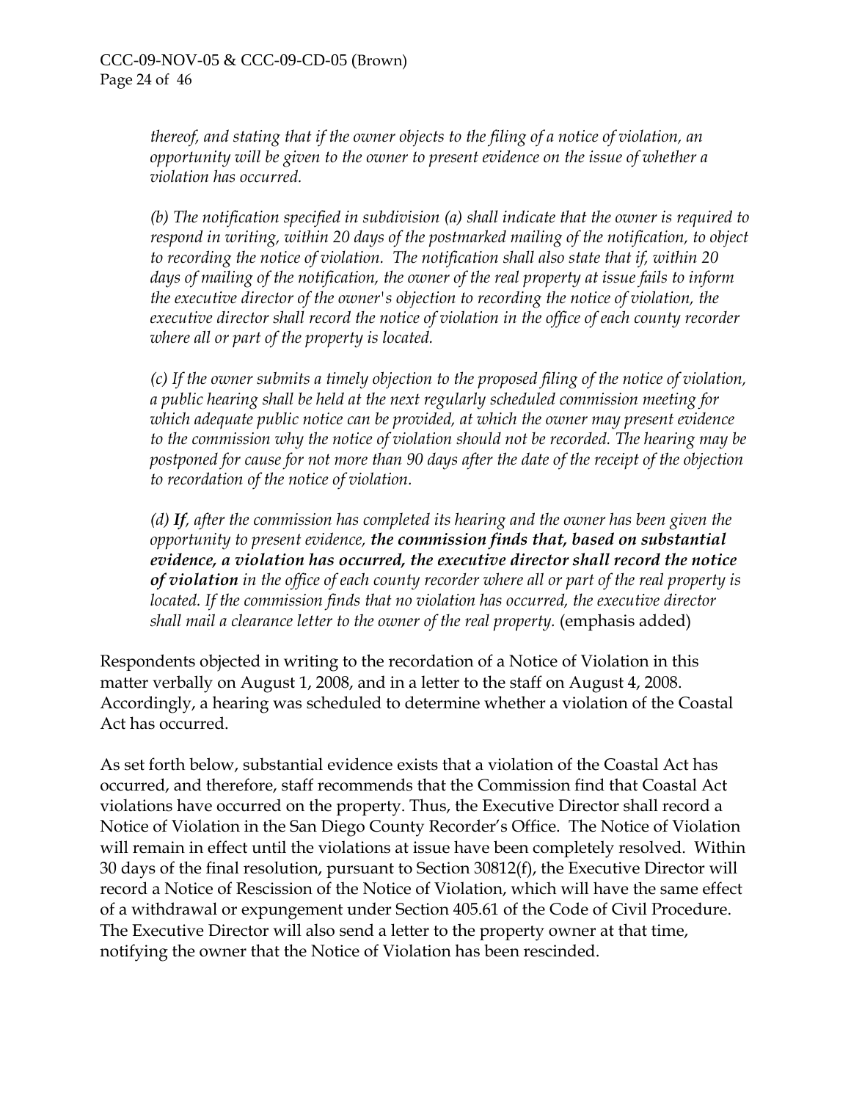*thereof, and stating that if the owner objects to the filing of a notice of violation, an opportunity will be given to the owner to present evidence on the issue of whether a violation has occurred.* 

*(b) The notification specified in subdivision (a) shall indicate that the owner is required to respond in writing, within 20 days of the postmarked mailing of the notification, to object to recording the notice of violation. The notification shall also state that if, within 20 days of mailing of the notification, the owner of the real property at issue fails to inform the executive director of the owner's objection to recording the notice of violation, the executive director shall record the notice of violation in the office of each county recorder where all or part of the property is located.* 

*(c) If the owner submits a timely objection to the proposed filing of the notice of violation, a public hearing shall be held at the next regularly scheduled commission meeting for which adequate public notice can be provided, at which the owner may present evidence to the commission why the notice of violation should not be recorded. The hearing may be postponed for cause for not more than 90 days after the date of the receipt of the objection to recordation of the notice of violation.* 

*(d) If, after the commission has completed its hearing and the owner has been given the opportunity to present evidence, the commission finds that, based on substantial evidence, a violation has occurred, the executive director shall record the notice of violation in the office of each county recorder where all or part of the real property is located. If the commission finds that no violation has occurred, the executive director shall mail a clearance letter to the owner of the real property.* (emphasis added)

Respondents objected in writing to the recordation of a Notice of Violation in this matter verbally on August 1, 2008, and in a letter to the staff on August 4, 2008. Accordingly, a hearing was scheduled to determine whether a violation of the Coastal Act has occurred.

As set forth below, substantial evidence exists that a violation of the Coastal Act has occurred, and therefore, staff recommends that the Commission find that Coastal Act violations have occurred on the property. Thus, the Executive Director shall record a Notice of Violation in the San Diego County Recorder's Office. The Notice of Violation will remain in effect until the violations at issue have been completely resolved. Within 30 days of the final resolution, pursuant to Section 30812(f), the Executive Director will record a Notice of Rescission of the Notice of Violation, which will have the same effect of a withdrawal or expungement under Section 405.61 of the Code of Civil Procedure. The Executive Director will also send a letter to the property owner at that time, notifying the owner that the Notice of Violation has been rescinded.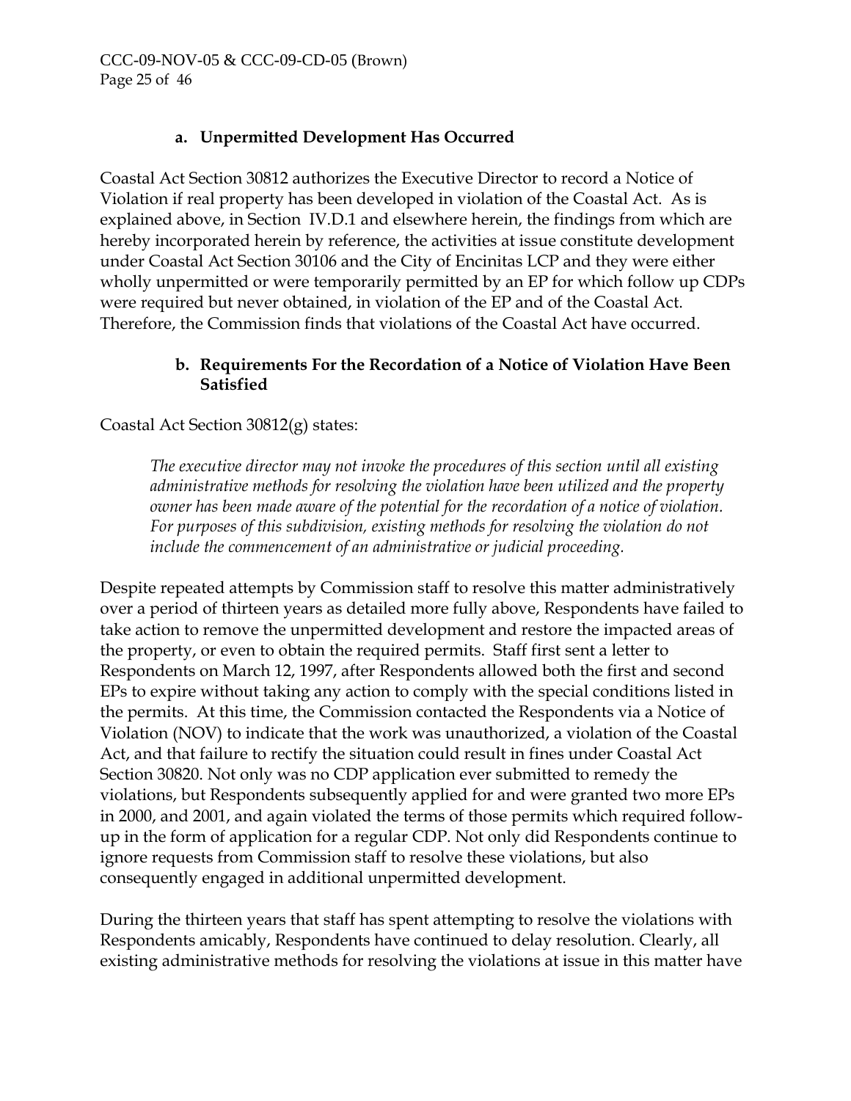# **a. Unpermitted Development Has Occurred**

Coastal Act Section 30812 authorizes the Executive Director to record a Notice of Violation if real property has been developed in violation of the Coastal Act. As is explained above, in Section IV.D.1 and elsewhere herein, the findings from which are hereby incorporated herein by reference, the activities at issue constitute development under Coastal Act Section 30106 and the City of Encinitas LCP and they were either wholly unpermitted or were temporarily permitted by an EP for which follow up CDPs were required but never obtained, in violation of the EP and of the Coastal Act. Therefore, the Commission finds that violations of the Coastal Act have occurred.

## **b. Requirements For the Recordation of a Notice of Violation Have Been Satisfied**

Coastal Act Section 30812(g) states:

*The executive director may not invoke the procedures of this section until all existing administrative methods for resolving the violation have been utilized and the property owner has been made aware of the potential for the recordation of a notice of violation. For purposes of this subdivision, existing methods for resolving the violation do not include the commencement of an administrative or judicial proceeding.* 

Despite repeated attempts by Commission staff to resolve this matter administratively over a period of thirteen years as detailed more fully above, Respondents have failed to take action to remove the unpermitted development and restore the impacted areas of the property, or even to obtain the required permits. Staff first sent a letter to Respondents on March 12, 1997, after Respondents allowed both the first and second EPs to expire without taking any action to comply with the special conditions listed in the permits. At this time, the Commission contacted the Respondents via a Notice of Violation (NOV) to indicate that the work was unauthorized, a violation of the Coastal Act, and that failure to rectify the situation could result in fines under Coastal Act Section 30820. Not only was no CDP application ever submitted to remedy the violations, but Respondents subsequently applied for and were granted two more EPs in 2000, and 2001, and again violated the terms of those permits which required followup in the form of application for a regular CDP. Not only did Respondents continue to ignore requests from Commission staff to resolve these violations, but also consequently engaged in additional unpermitted development.

During the thirteen years that staff has spent attempting to resolve the violations with Respondents amicably, Respondents have continued to delay resolution. Clearly, all existing administrative methods for resolving the violations at issue in this matter have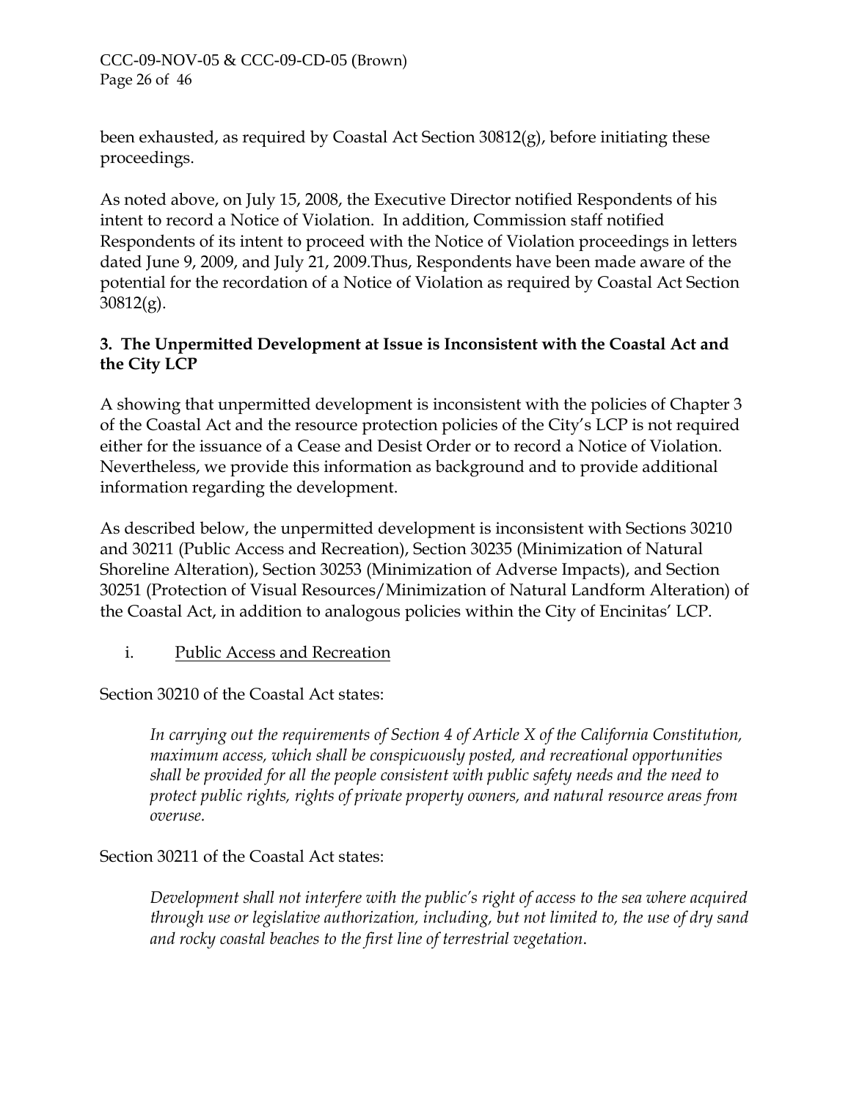## CCC-09-NOV-05 & CCC-09-CD-05 (Brown) Page 26 of 46

been exhausted, as required by Coastal Act Section 30812(g), before initiating these proceedings.

As noted above, on July 15, 2008, the Executive Director notified Respondents of his intent to record a Notice of Violation. In addition, Commission staff notified Respondents of its intent to proceed with the Notice of Violation proceedings in letters dated June 9, 2009, and July 21, 2009.Thus, Respondents have been made aware of the potential for the recordation of a Notice of Violation as required by Coastal Act Section  $30812(g)$ .

## **3. The Unpermitted Development at Issue is Inconsistent with the Coastal Act and the City LCP**

A showing that unpermitted development is inconsistent with the policies of Chapter 3 of the Coastal Act and the resource protection policies of the City's LCP is not required either for the issuance of a Cease and Desist Order or to record a Notice of Violation. Nevertheless, we provide this information as background and to provide additional information regarding the development.

As described below, the unpermitted development is inconsistent with Sections 30210 and 30211 (Public Access and Recreation), Section 30235 (Minimization of Natural Shoreline Alteration), Section 30253 (Minimization of Adverse Impacts), and Section 30251 (Protection of Visual Resources/Minimization of Natural Landform Alteration) of the Coastal Act, in addition to analogous policies within the City of Encinitas' LCP.

i. Public Access and Recreation

Section 30210 of the Coastal Act states:

*In carrying out the requirements of Section 4 of Article X of the California Constitution, maximum access, which shall be conspicuously posted, and recreational opportunities shall be provided for all the people consistent with public safety needs and the need to protect public rights, rights of private property owners, and natural resource areas from overuse.* 

## Section 30211 of the Coastal Act states:

*Development shall not interfere with the public's right of access to the sea where acquired through use or legislative authorization, including, but not limited to, the use of dry sand and rocky coastal beaches to the first line of terrestrial vegetation*.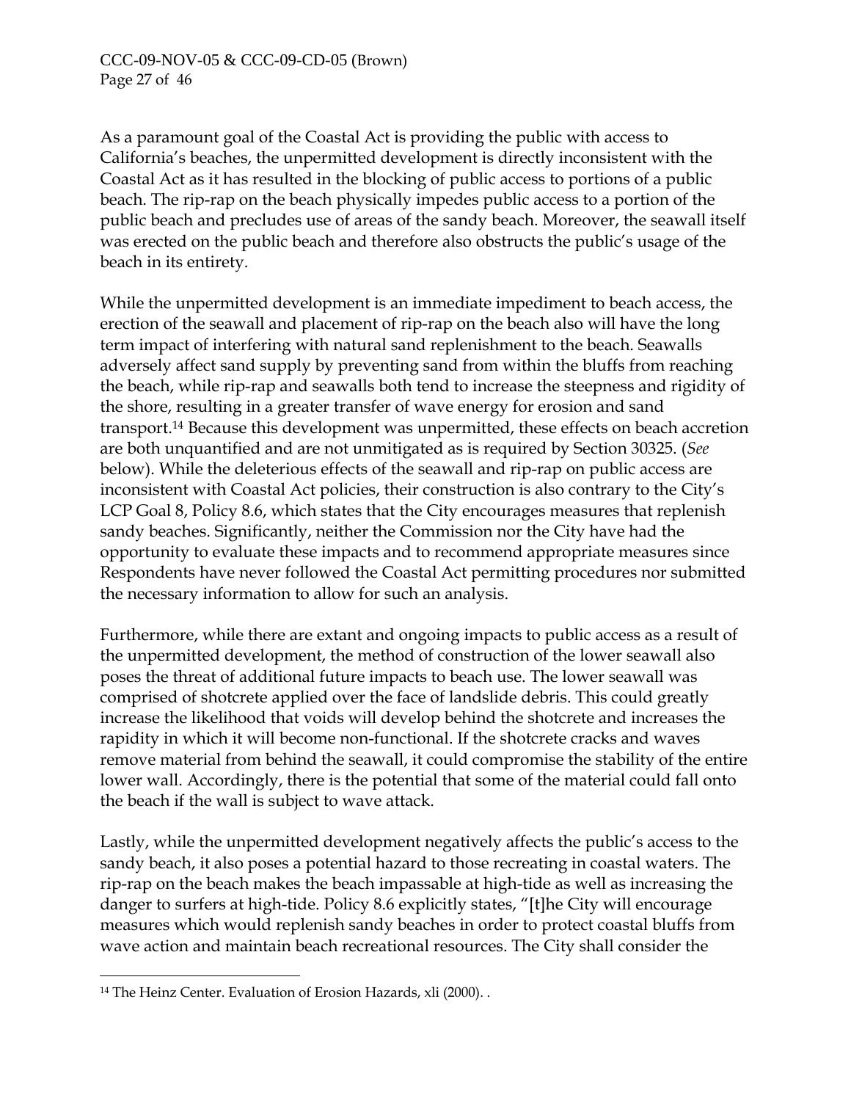As a paramount goal of the Coastal Act is providing the public with access to California's beaches, the unpermitted development is directly inconsistent with the Coastal Act as it has resulted in the blocking of public access to portions of a public beach. The rip-rap on the beach physically impedes public access to a portion of the public beach and precludes use of areas of the sandy beach. Moreover, the seawall itself was erected on the public beach and therefore also obstructs the public's usage of the beach in its entirety.

While the unpermitted development is an immediate impediment to beach access, the erection of the seawall and placement of rip-rap on the beach also will have the long term impact of interfering with natural sand replenishment to the beach. Seawalls adversely affect sand supply by preventing sand from within the bluffs from reaching the beach, while rip-rap and seawalls both tend to increase the steepness and rigidity of the shore, resulting in a greater transfer of wave energy for erosion and sand transport.[14 B](#page-46-0)ecause this development was unpermitted, these effects on beach accretion are both unquantified and are not unmitigated as is required by Section 30325. (*See*  below). While the deleterious effects of the seawall and rip-rap on public access are inconsistent with Coastal Act policies, their construction is also contrary to the City's LCP Goal 8, Policy 8.6, which states that the City encourages measures that replenish sandy beaches. Significantly, neither the Commission nor the City have had the opportunity to evaluate these impacts and to recommend appropriate measures since Respondents have never followed the Coastal Act permitting procedures nor submitted the necessary information to allow for such an analysis.

Furthermore, while there are extant and ongoing impacts to public access as a result of the unpermitted development, the method of construction of the lower seawall also poses the threat of additional future impacts to beach use. The lower seawall was comprised of shotcrete applied over the face of landslide debris. This could greatly increase the likelihood that voids will develop behind the shotcrete and increases the rapidity in which it will become non-functional. If the shotcrete cracks and waves remove material from behind the seawall, it could compromise the stability of the entire lower wall. Accordingly, there is the potential that some of the material could fall onto the beach if the wall is subject to wave attack.

Lastly, while the unpermitted development negatively affects the public's access to the sandy beach, it also poses a potential hazard to those recreating in coastal waters. The rip-rap on the beach makes the beach impassable at high-tide as well as increasing the danger to surfers at high-tide. Policy 8.6 explicitly states, "[t]he City will encourage measures which would replenish sandy beaches in order to protect coastal bluffs from wave action and maintain beach recreational resources. The City shall consider the

<u>.</u>

<span id="page-46-0"></span><sup>&</sup>lt;sup>14</sup> The Heinz Center. Evaluation of Erosion Hazards, xli (2000). .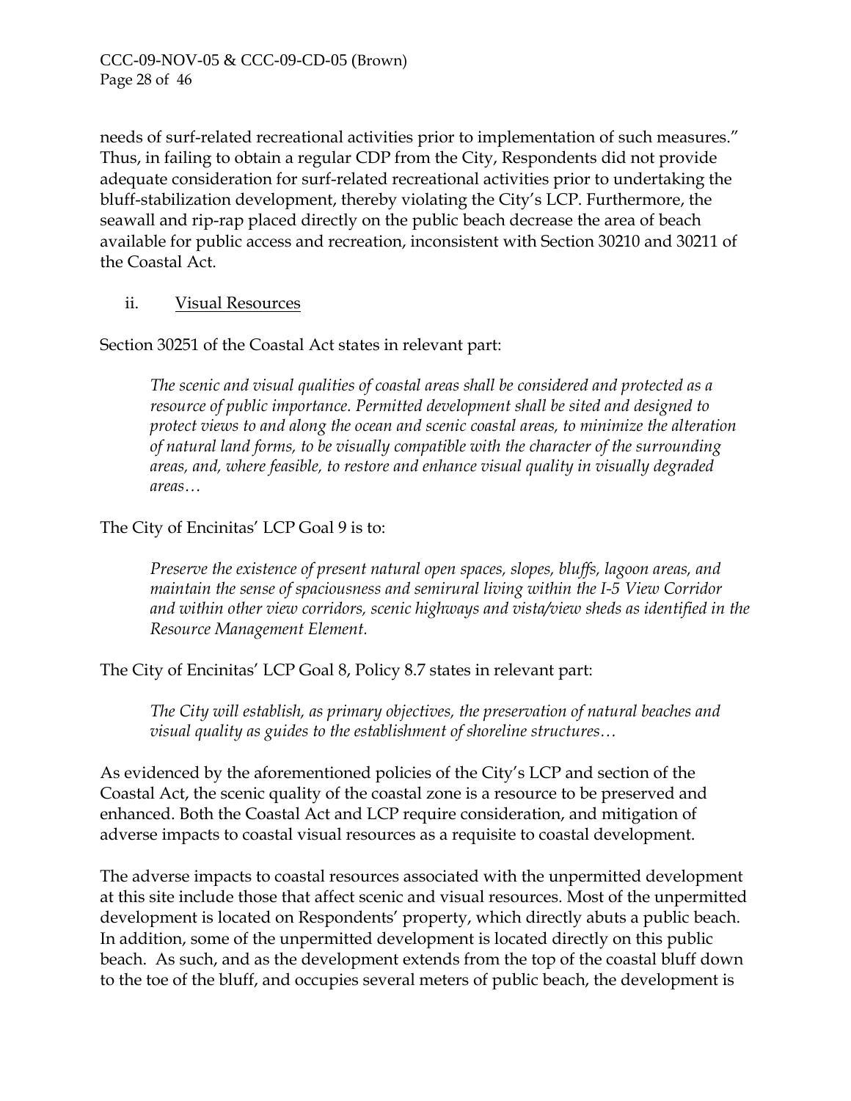needs of surf-related recreational activities prior to implementation of such measures." Thus, in failing to obtain a regular CDP from the City, Respondents did not provide adequate consideration for surf-related recreational activities prior to undertaking the bluff-stabilization development, thereby violating the City's LCP. Furthermore, the seawall and rip-rap placed directly on the public beach decrease the area of beach available for public access and recreation, inconsistent with Section 30210 and 30211 of the Coastal Act.

## ii. Visual Resources

Section 30251 of the Coastal Act states in relevant part:

*The scenic and visual qualities of coastal areas shall be considered and protected as a resource of public importance. Permitted development shall be sited and designed to protect views to and along the ocean and scenic coastal areas, to minimize the alteration of natural land forms, to be visually compatible with the character of the surrounding areas, and, where feasible, to restore and enhance visual quality in visually degraded areas…* 

## The City of Encinitas' LCP Goal 9 is to:

*Preserve the existence of present natural open spaces, slopes, bluffs, lagoon areas, and maintain the sense of spaciousness and semirural living within the I-5 View Corridor and within other view corridors, scenic highways and vista/view sheds as identified in the Resource Management Element.* 

The City of Encinitas' LCP Goal 8, Policy 8.7 states in relevant part:

*The City will establish, as primary objectives, the preservation of natural beaches and visual quality as guides to the establishment of shoreline structures…* 

As evidenced by the aforementioned policies of the City's LCP and section of the Coastal Act, the scenic quality of the coastal zone is a resource to be preserved and enhanced. Both the Coastal Act and LCP require consideration, and mitigation of adverse impacts to coastal visual resources as a requisite to coastal development.

The adverse impacts to coastal resources associated with the unpermitted development at this site include those that affect scenic and visual resources. Most of the unpermitted development is located on Respondents' property, which directly abuts a public beach. In addition, some of the unpermitted development is located directly on this public beach. As such, and as the development extends from the top of the coastal bluff down to the toe of the bluff, and occupies several meters of public beach, the development is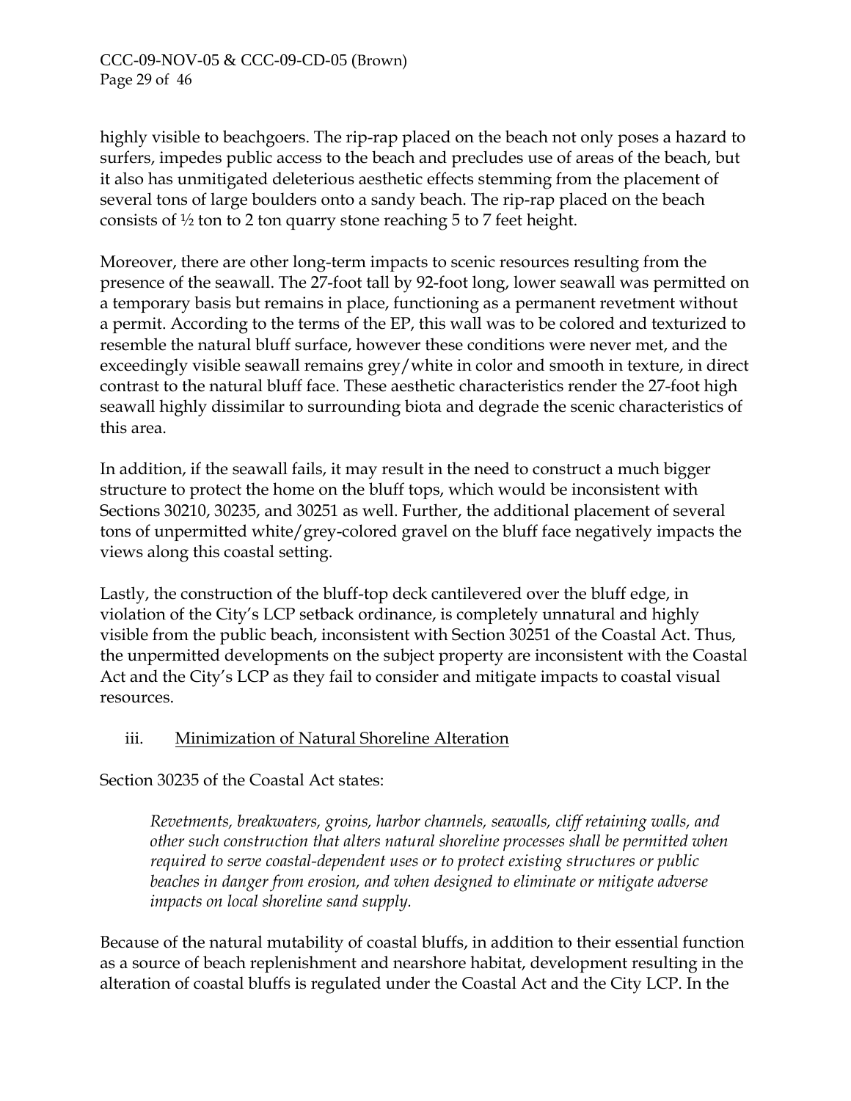highly visible to beachgoers. The rip-rap placed on the beach not only poses a hazard to surfers, impedes public access to the beach and precludes use of areas of the beach, but it also has unmitigated deleterious aesthetic effects stemming from the placement of several tons of large boulders onto a sandy beach. The rip-rap placed on the beach consists of ½ ton to 2 ton quarry stone reaching 5 to 7 feet height.

Moreover, there are other long-term impacts to scenic resources resulting from the presence of the seawall. The 27-foot tall by 92-foot long, lower seawall was permitted on a temporary basis but remains in place, functioning as a permanent revetment without a permit. According to the terms of the EP, this wall was to be colored and texturized to resemble the natural bluff surface, however these conditions were never met, and the exceedingly visible seawall remains grey/white in color and smooth in texture, in direct contrast to the natural bluff face. These aesthetic characteristics render the 27-foot high seawall highly dissimilar to surrounding biota and degrade the scenic characteristics of this area.

In addition, if the seawall fails, it may result in the need to construct a much bigger structure to protect the home on the bluff tops, which would be inconsistent with Sections 30210, 30235, and 30251 as well. Further, the additional placement of several tons of unpermitted white/grey-colored gravel on the bluff face negatively impacts the views along this coastal setting.

Lastly, the construction of the bluff-top deck cantilevered over the bluff edge, in violation of the City's LCP setback ordinance, is completely unnatural and highly visible from the public beach, inconsistent with Section 30251 of the Coastal Act. Thus, the unpermitted developments on the subject property are inconsistent with the Coastal Act and the City's LCP as they fail to consider and mitigate impacts to coastal visual resources.

## iii. Minimization of Natural Shoreline Alteration

Section 30235 of the Coastal Act states:

*Revetments, breakwaters, groins, harbor channels, seawalls, cliff retaining walls, and other such construction that alters natural shoreline processes shall be permitted when required to serve coastal-dependent uses or to protect existing structures or public beaches in danger from erosion, and when designed to eliminate or mitigate adverse impacts on local shoreline sand supply.* 

Because of the natural mutability of coastal bluffs, in addition to their essential function as a source of beach replenishment and nearshore habitat, development resulting in the alteration of coastal bluffs is regulated under the Coastal Act and the City LCP. In the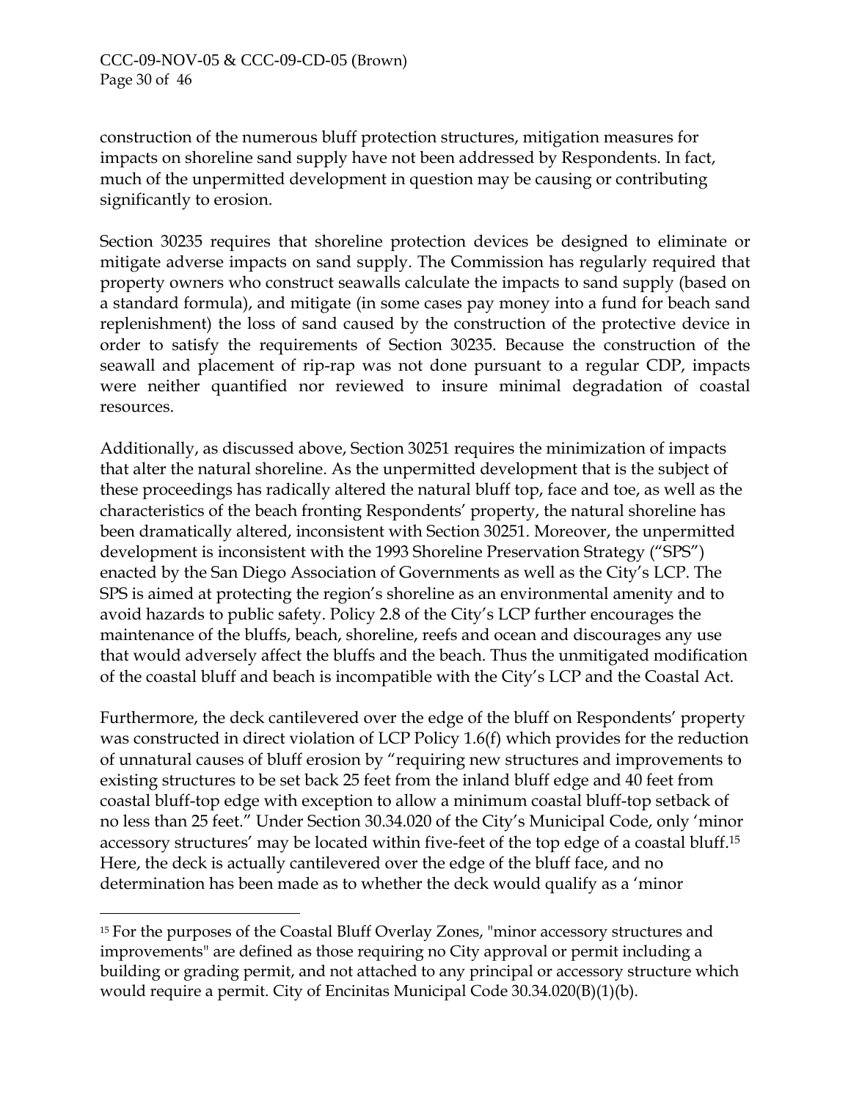-

construction of the numerous bluff protection structures, mitigation measures for impacts on shoreline sand supply have not been addressed by Respondents. In fact, much of the unpermitted development in question may be causing or contributing significantly to erosion.

Section 30235 requires that shoreline protection devices be designed to eliminate or mitigate adverse impacts on sand supply. The Commission has regularly required that property owners who construct seawalls calculate the impacts to sand supply (based on a standard formula), and mitigate (in some cases pay money into a fund for beach sand replenishment) the loss of sand caused by the construction of the protective device in order to satisfy the requirements of Section 30235. Because the construction of the seawall and placement of rip-rap was not done pursuant to a regular CDP, impacts were neither quantified nor reviewed to insure minimal degradation of coastal resources.

Additionally, as discussed above, Section 30251 requires the minimization of impacts that alter the natural shoreline. As the unpermitted development that is the subject of these proceedings has radically altered the natural bluff top, face and toe, as well as the characteristics of the beach fronting Respondents' property, the natural shoreline has been dramatically altered, inconsistent with Section 30251. Moreover, the unpermitted development is inconsistent with the 1993 Shoreline Preservation Strategy ("SPS") enacted by the San Diego Association of Governments as well as the City's LCP. The SPS is aimed at protecting the region's shoreline as an environmental amenity and to avoid hazards to public safety. Policy 2.8 of the City's LCP further encourages the maintenance of the bluffs, beach, shoreline, reefs and ocean and discourages any use that would adversely affect the bluffs and the beach. Thus the unmitigated modification of the coastal bluff and beach is incompatible with the City's LCP and the Coastal Act.

Furthermore, the deck cantilevered over the edge of the bluff on Respondents' property was constructed in direct violation of LCP Policy 1.6(f) which provides for the reduction of unnatural causes of bluff erosion by "requiring new structures and improvements to existing structures to be set back 25 feet from the inland bluff edge and 40 feet from coastal bluff-top edge with exception to allow a minimum coastal bluff-top setback of no less than 25 feet." Under Section 30.34.020 of the City's Municipal Code, only 'minor accessory structures' may be located within five-feet of the top edge of a coastal bluff.[15](#page-49-0) Here, the deck is actually cantilevered over the edge of the bluff face, and no determination has been made as to whether the deck would qualify as a 'minor

<span id="page-49-0"></span><sup>&</sup>lt;sup>15</sup> For the purposes of the Coastal Bluff Overlay Zones, "minor accessory structures and improvements" are defined as those requiring no City approval or permit including a building or grading permit, and not attached to any principal or accessory structure which would require a permit. City of Encinitas Municipal Code 30.34.020(B)(1)(b).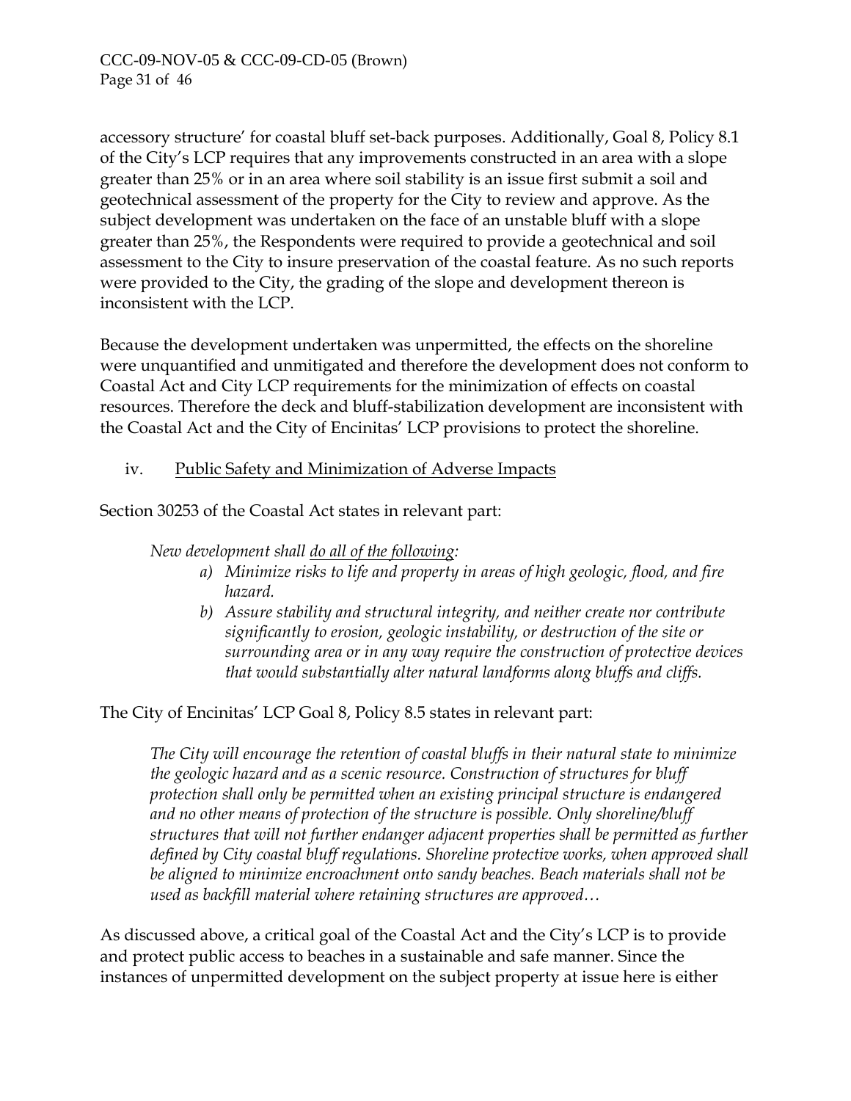accessory structure' for coastal bluff set-back purposes. Additionally, Goal 8, Policy 8.1 of the City's LCP requires that any improvements constructed in an area with a slope greater than 25% or in an area where soil stability is an issue first submit a soil and geotechnical assessment of the property for the City to review and approve. As the subject development was undertaken on the face of an unstable bluff with a slope greater than 25%, the Respondents were required to provide a geotechnical and soil assessment to the City to insure preservation of the coastal feature. As no such reports were provided to the City, the grading of the slope and development thereon is inconsistent with the LCP.

Because the development undertaken was unpermitted, the effects on the shoreline were unquantified and unmitigated and therefore the development does not conform to Coastal Act and City LCP requirements for the minimization of effects on coastal resources. Therefore the deck and bluff-stabilization development are inconsistent with the Coastal Act and the City of Encinitas' LCP provisions to protect the shoreline.

## iv. Public Safety and Minimization of Adverse Impacts

Section 30253 of the Coastal Act states in relevant part:

*New development shall do all of the following:* 

- *a) Minimize risks to life and property in areas of high geologic, flood, and fire hazard.*
- *b) Assure stability and structural integrity, and neither create nor contribute significantly to erosion, geologic instability, or destruction of the site or surrounding area or in any way require the construction of protective devices that would substantially alter natural landforms along bluffs and cliffs.*

The City of Encinitas' LCP Goal 8, Policy 8.5 states in relevant part:

*The City will encourage the retention of coastal bluffs in their natural state to minimize the geologic hazard and as a scenic resource. Construction of structures for bluff protection shall only be permitted when an existing principal structure is endangered and no other means of protection of the structure is possible. Only shoreline/bluff structures that will not further endanger adjacent properties shall be permitted as further defined by City coastal bluff regulations. Shoreline protective works, when approved shall be aligned to minimize encroachment onto sandy beaches. Beach materials shall not be used as backfill material where retaining structures are approved…* 

As discussed above, a critical goal of the Coastal Act and the City's LCP is to provide and protect public access to beaches in a sustainable and safe manner. Since the instances of unpermitted development on the subject property at issue here is either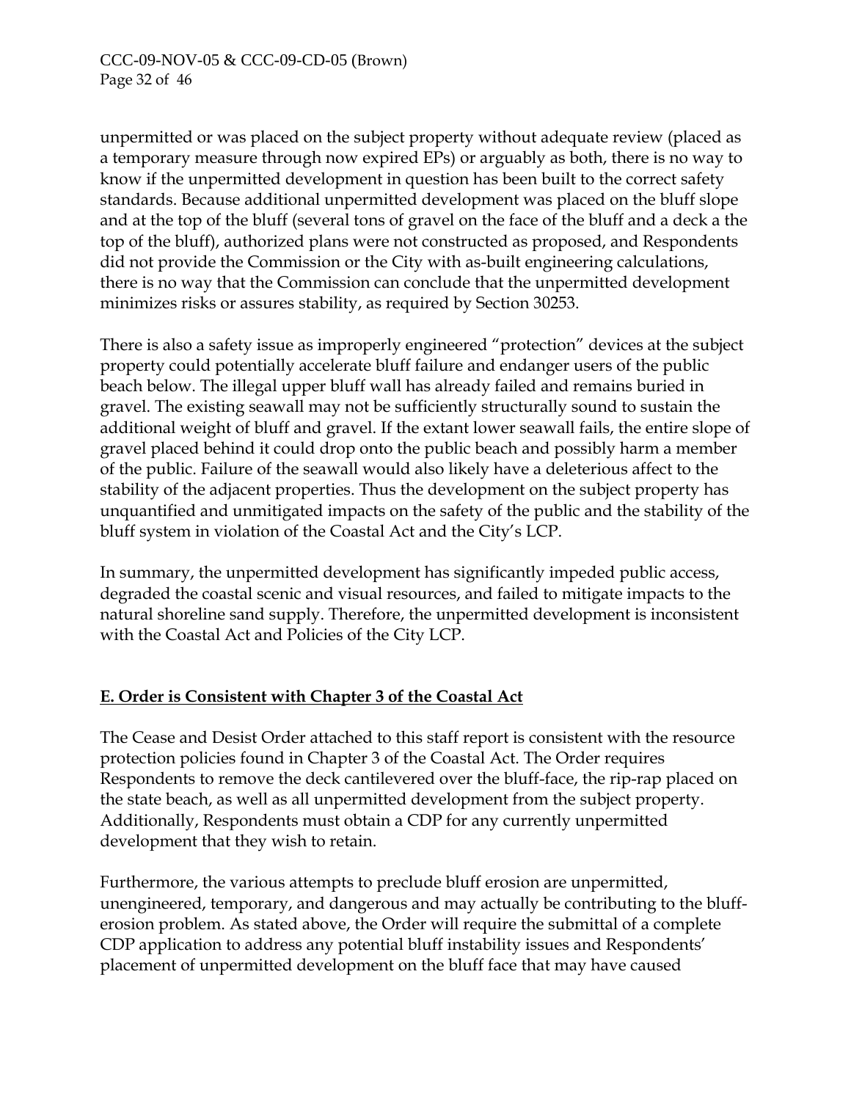unpermitted or was placed on the subject property without adequate review (placed as a temporary measure through now expired EPs) or arguably as both, there is no way to know if the unpermitted development in question has been built to the correct safety standards. Because additional unpermitted development was placed on the bluff slope and at the top of the bluff (several tons of gravel on the face of the bluff and a deck a the top of the bluff), authorized plans were not constructed as proposed, and Respondents did not provide the Commission or the City with as-built engineering calculations, there is no way that the Commission can conclude that the unpermitted development minimizes risks or assures stability, as required by Section 30253.

There is also a safety issue as improperly engineered "protection" devices at the subject property could potentially accelerate bluff failure and endanger users of the public beach below. The illegal upper bluff wall has already failed and remains buried in gravel. The existing seawall may not be sufficiently structurally sound to sustain the additional weight of bluff and gravel. If the extant lower seawall fails, the entire slope of gravel placed behind it could drop onto the public beach and possibly harm a member of the public. Failure of the seawall would also likely have a deleterious affect to the stability of the adjacent properties. Thus the development on the subject property has unquantified and unmitigated impacts on the safety of the public and the stability of the bluff system in violation of the Coastal Act and the City's LCP.

In summary, the unpermitted development has significantly impeded public access, degraded the coastal scenic and visual resources, and failed to mitigate impacts to the natural shoreline sand supply. Therefore, the unpermitted development is inconsistent with the Coastal Act and Policies of the City LCP.

# **E. Order is Consistent with Chapter 3 of the Coastal Act**

The Cease and Desist Order attached to this staff report is consistent with the resource protection policies found in Chapter 3 of the Coastal Act. The Order requires Respondents to remove the deck cantilevered over the bluff-face, the rip-rap placed on the state beach, as well as all unpermitted development from the subject property. Additionally, Respondents must obtain a CDP for any currently unpermitted development that they wish to retain.

Furthermore, the various attempts to preclude bluff erosion are unpermitted, unengineered, temporary, and dangerous and may actually be contributing to the blufferosion problem. As stated above, the Order will require the submittal of a complete CDP application to address any potential bluff instability issues and Respondents' placement of unpermitted development on the bluff face that may have caused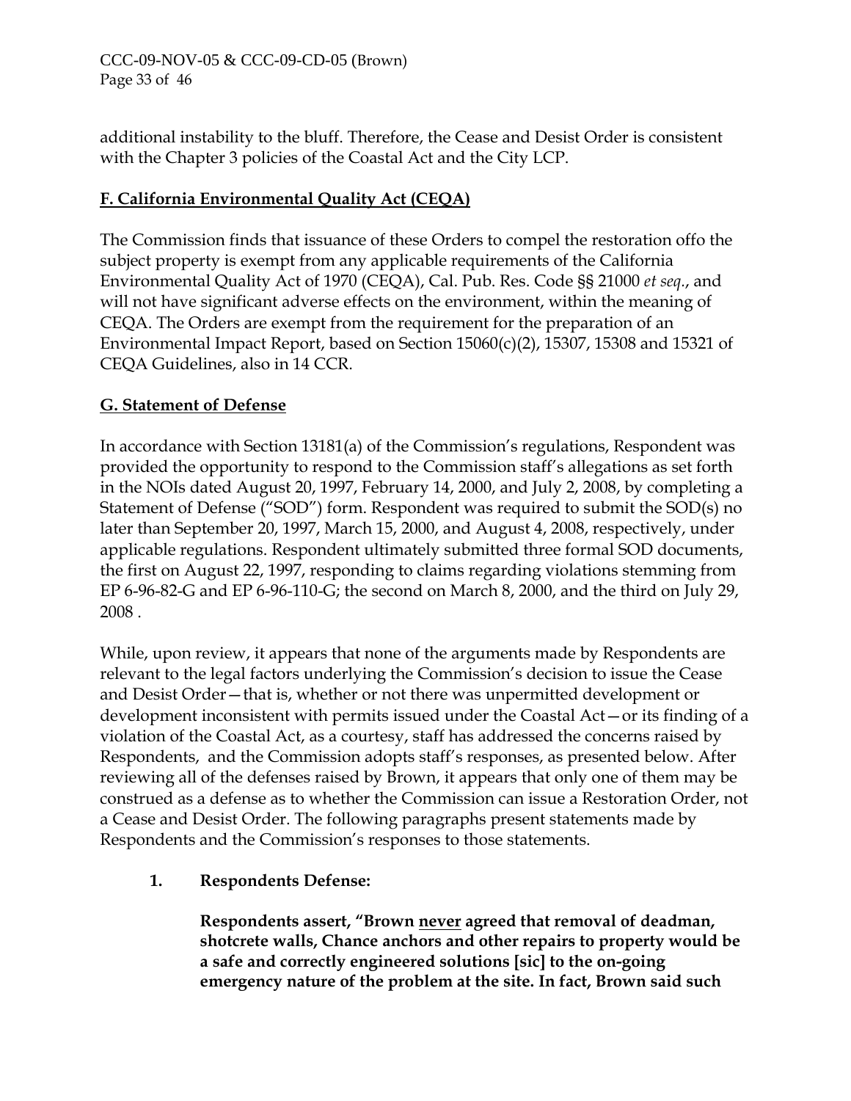## CCC-09-NOV-05 & CCC-09-CD-05 (Brown) Page 33 of 46

additional instability to the bluff. Therefore, the Cease and Desist Order is consistent with the Chapter 3 policies of the Coastal Act and the City LCP.

## **F. California Environmental Quality Act (CEQA)**

The Commission finds that issuance of these Orders to compel the restoration offo the subject property is exempt from any applicable requirements of the California Environmental Quality Act of 1970 (CEQA), Cal. Pub. Res. Code §§ 21000 *et seq.*, and will not have significant adverse effects on the environment, within the meaning of CEQA. The Orders are exempt from the requirement for the preparation of an Environmental Impact Report, based on Section 15060(c)(2), 15307, 15308 and 15321 of CEQA Guidelines, also in 14 CCR.

## **G. Statement of Defense**

In accordance with Section 13181(a) of the Commission's regulations, Respondent was provided the opportunity to respond to the Commission staff's allegations as set forth in the NOIs dated August 20, 1997, February 14, 2000, and July 2, 2008, by completing a Statement of Defense ("SOD") form. Respondent was required to submit the SOD(s) no later than September 20, 1997, March 15, 2000, and August 4, 2008, respectively, under applicable regulations. Respondent ultimately submitted three formal SOD documents, the first on August 22, 1997, responding to claims regarding violations stemming from EP 6-96-82-G and EP 6-96-110-G; the second on March 8, 2000, and the third on July 29, 2008 .

While, upon review, it appears that none of the arguments made by Respondents are relevant to the legal factors underlying the Commission's decision to issue the Cease and Desist Order—that is, whether or not there was unpermitted development or development inconsistent with permits issued under the Coastal Act—or its finding of a violation of the Coastal Act, as a courtesy, staff has addressed the concerns raised by Respondents, and the Commission adopts staff's responses, as presented below. After reviewing all of the defenses raised by Brown, it appears that only one of them may be construed as a defense as to whether the Commission can issue a Restoration Order, not a Cease and Desist Order. The following paragraphs present statements made by Respondents and the Commission's responses to those statements.

## **1. Respondents Defense:**

**Respondents assert, "Brown never agreed that removal of deadman, shotcrete walls, Chance anchors and other repairs to property would be a safe and correctly engineered solutions [sic] to the on-going emergency nature of the problem at the site. In fact, Brown said such**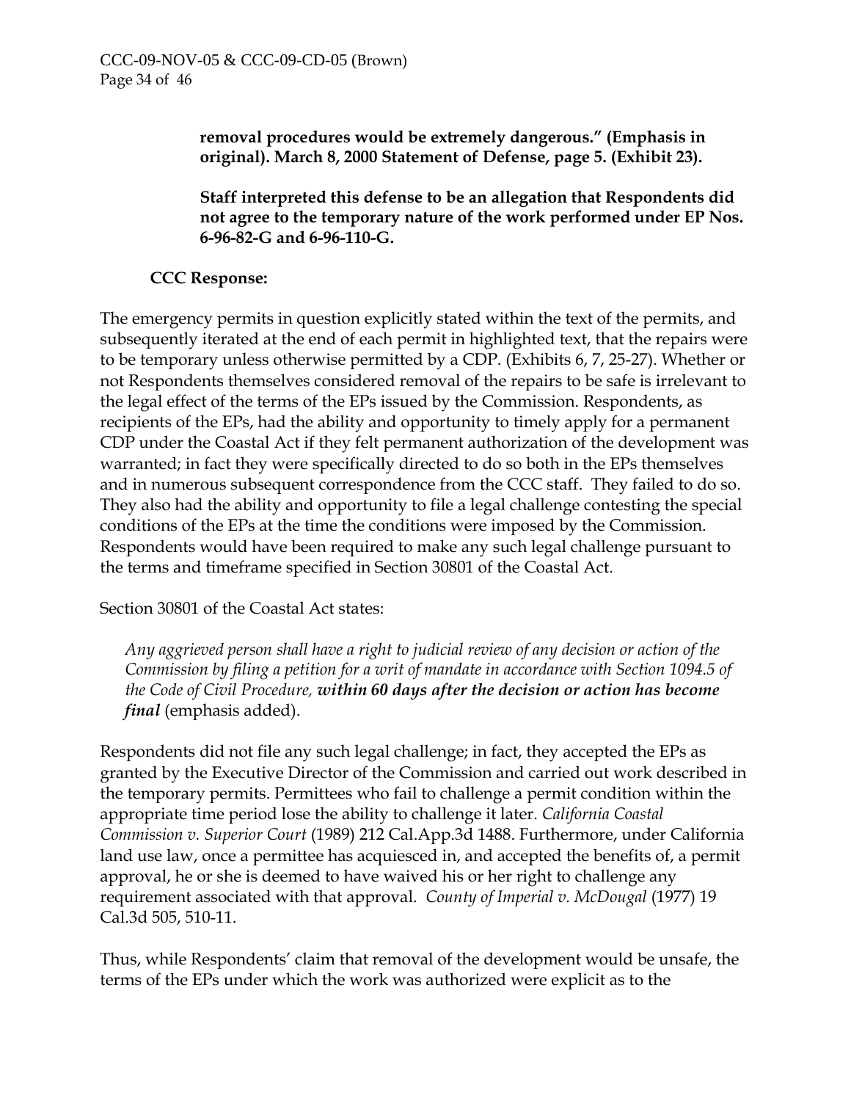**removal procedures would be extremely dangerous." (Emphasis in original). March 8, 2000 Statement of Defense, page 5. (Exhibit 23).** 

**Staff interpreted this defense to be an allegation that Respondents did not agree to the temporary nature of the work performed under EP Nos. 6-96-82-G and 6-96-110-G.** 

## **CCC Response:**

The emergency permits in question explicitly stated within the text of the permits, and subsequently iterated at the end of each permit in highlighted text, that the repairs were to be temporary unless otherwise permitted by a CDP. (Exhibits 6, 7, 25-27). Whether or not Respondents themselves considered removal of the repairs to be safe is irrelevant to the legal effect of the terms of the EPs issued by the Commission. Respondents, as recipients of the EPs, had the ability and opportunity to timely apply for a permanent CDP under the Coastal Act if they felt permanent authorization of the development was warranted; in fact they were specifically directed to do so both in the EPs themselves and in numerous subsequent correspondence from the CCC staff. They failed to do so. They also had the ability and opportunity to file a legal challenge contesting the special conditions of the EPs at the time the conditions were imposed by the Commission. Respondents would have been required to make any such legal challenge pursuant to the terms and timeframe specified in Section 30801 of the Coastal Act.

Section 30801 of the Coastal Act states:

*Any aggrieved person shall have a right to judicial review of any decision or action of the Commission by filing a petition for a writ of mandate in accordance with Section 1094.5 of the Code of Civil Procedure, within 60 days after the decision or action has become final* (emphasis added).

Respondents did not file any such legal challenge; in fact, they accepted the EPs as granted by the Executive Director of the Commission and carried out work described in the temporary permits. Permittees who fail to challenge a permit condition within the appropriate time period lose the ability to challenge it later. *California Coastal Commission v. Superior Court* (1989) 212 Cal.App.3d 1488. Furthermore, under California land use law, once a permittee has acquiesced in, and accepted the benefits of, a permit approval, he or she is deemed to have waived his or her right to challenge any requirement associated with that approval. *County of Imperial v. McDougal* (1977) 19 Cal.3d 505, 510-11.

Thus, while Respondents' claim that removal of the development would be unsafe, the terms of the EPs under which the work was authorized were explicit as to the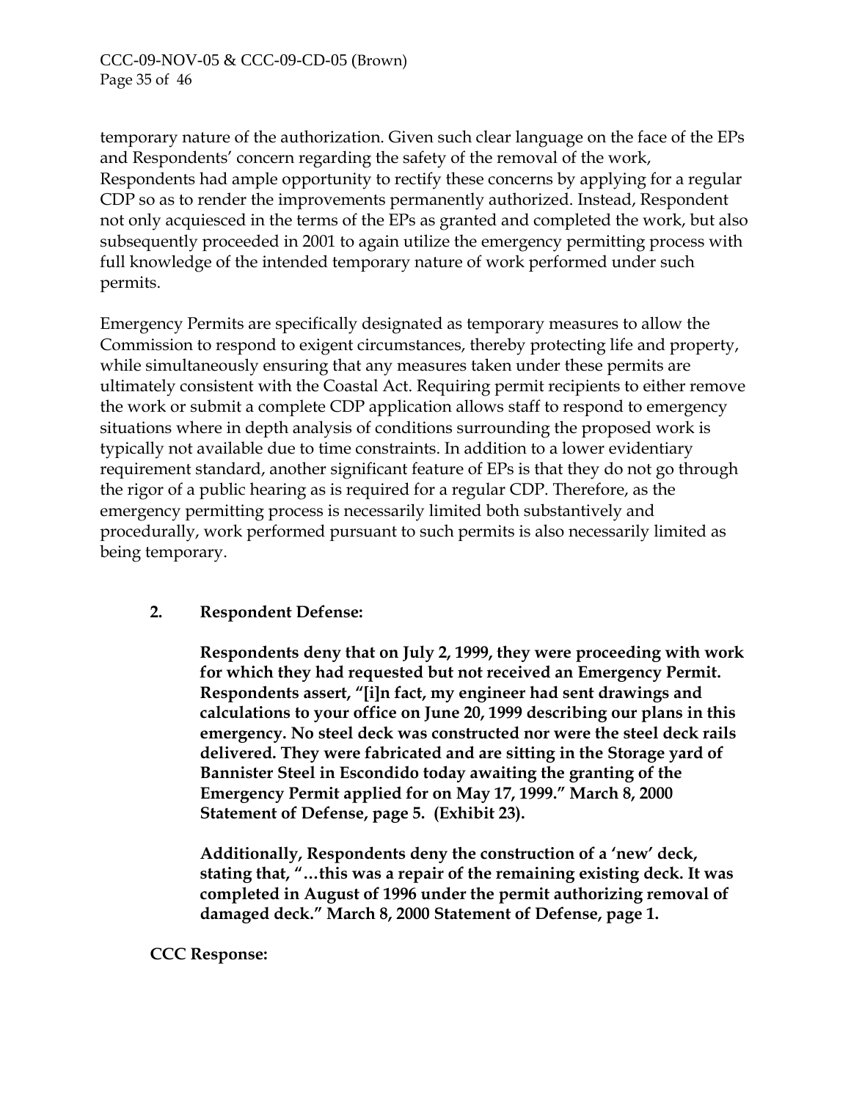temporary nature of the authorization. Given such clear language on the face of the EPs and Respondents' concern regarding the safety of the removal of the work, Respondents had ample opportunity to rectify these concerns by applying for a regular CDP so as to render the improvements permanently authorized. Instead, Respondent not only acquiesced in the terms of the EPs as granted and completed the work, but also subsequently proceeded in 2001 to again utilize the emergency permitting process with full knowledge of the intended temporary nature of work performed under such permits.

Emergency Permits are specifically designated as temporary measures to allow the Commission to respond to exigent circumstances, thereby protecting life and property, while simultaneously ensuring that any measures taken under these permits are ultimately consistent with the Coastal Act. Requiring permit recipients to either remove the work or submit a complete CDP application allows staff to respond to emergency situations where in depth analysis of conditions surrounding the proposed work is typically not available due to time constraints. In addition to a lower evidentiary requirement standard, another significant feature of EPs is that they do not go through the rigor of a public hearing as is required for a regular CDP. Therefore, as the emergency permitting process is necessarily limited both substantively and procedurally, work performed pursuant to such permits is also necessarily limited as being temporary.

## **2. Respondent Defense:**

**Respondents deny that on July 2, 1999, they were proceeding with work for which they had requested but not received an Emergency Permit. Respondents assert, "[i]n fact, my engineer had sent drawings and calculations to your office on June 20, 1999 describing our plans in this emergency. No steel deck was constructed nor were the steel deck rails delivered. They were fabricated and are sitting in the Storage yard of Bannister Steel in Escondido today awaiting the granting of the Emergency Permit applied for on May 17, 1999." March 8, 2000 Statement of Defense, page 5. (Exhibit 23).** 

**Additionally, Respondents deny the construction of a 'new' deck, stating that, "…this was a repair of the remaining existing deck. It was completed in August of 1996 under the permit authorizing removal of damaged deck." March 8, 2000 Statement of Defense, page 1.** 

## **CCC Response:**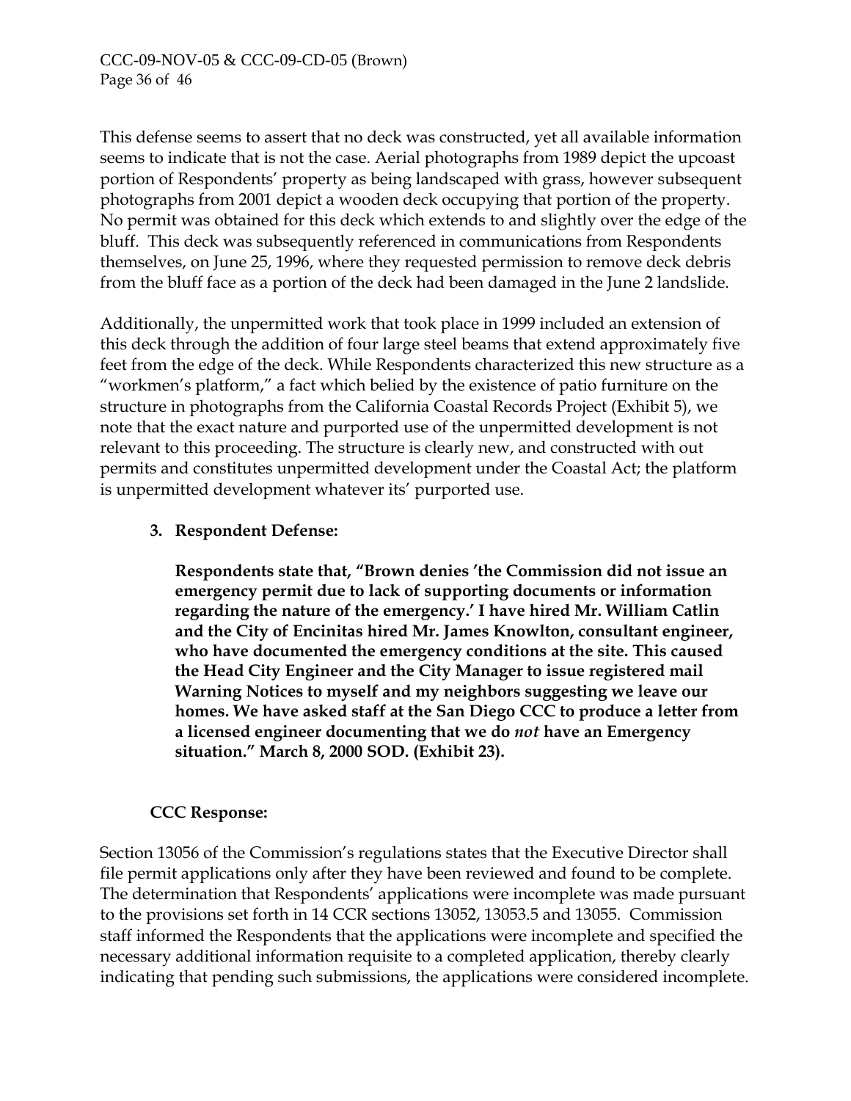This defense seems to assert that no deck was constructed, yet all available information seems to indicate that is not the case. Aerial photographs from 1989 depict the upcoast portion of Respondents' property as being landscaped with grass, however subsequent photographs from 2001 depict a wooden deck occupying that portion of the property. No permit was obtained for this deck which extends to and slightly over the edge of the bluff. This deck was subsequently referenced in communications from Respondents themselves, on June 25, 1996, where they requested permission to remove deck debris from the bluff face as a portion of the deck had been damaged in the June 2 landslide.

Additionally, the unpermitted work that took place in 1999 included an extension of this deck through the addition of four large steel beams that extend approximately five feet from the edge of the deck. While Respondents characterized this new structure as a "workmen's platform," a fact which belied by the existence of patio furniture on the structure in photographs from the California Coastal Records Project (Exhibit 5), we note that the exact nature and purported use of the unpermitted development is not relevant to this proceeding. The structure is clearly new, and constructed with out permits and constitutes unpermitted development under the Coastal Act; the platform is unpermitted development whatever its' purported use.

## **3. Respondent Defense:**

**Respondents state that, "Brown denies 'the Commission did not issue an emergency permit due to lack of supporting documents or information regarding the nature of the emergency.' I have hired Mr. William Catlin and the City of Encinitas hired Mr. James Knowlton, consultant engineer, who have documented the emergency conditions at the site. This caused the Head City Engineer and the City Manager to issue registered mail Warning Notices to myself and my neighbors suggesting we leave our homes. We have asked staff at the San Diego CCC to produce a letter from a licensed engineer documenting that we do** *not* **have an Emergency situation." March 8, 2000 SOD. (Exhibit 23).** 

## **CCC Response:**

Section 13056 of the Commission's regulations states that the Executive Director shall file permit applications only after they have been reviewed and found to be complete. The determination that Respondents' applications were incomplete was made pursuant to the provisions set forth in 14 CCR sections 13052, 13053.5 and 13055. Commission staff informed the Respondents that the applications were incomplete and specified the necessary additional information requisite to a completed application, thereby clearly indicating that pending such submissions, the applications were considered incomplete.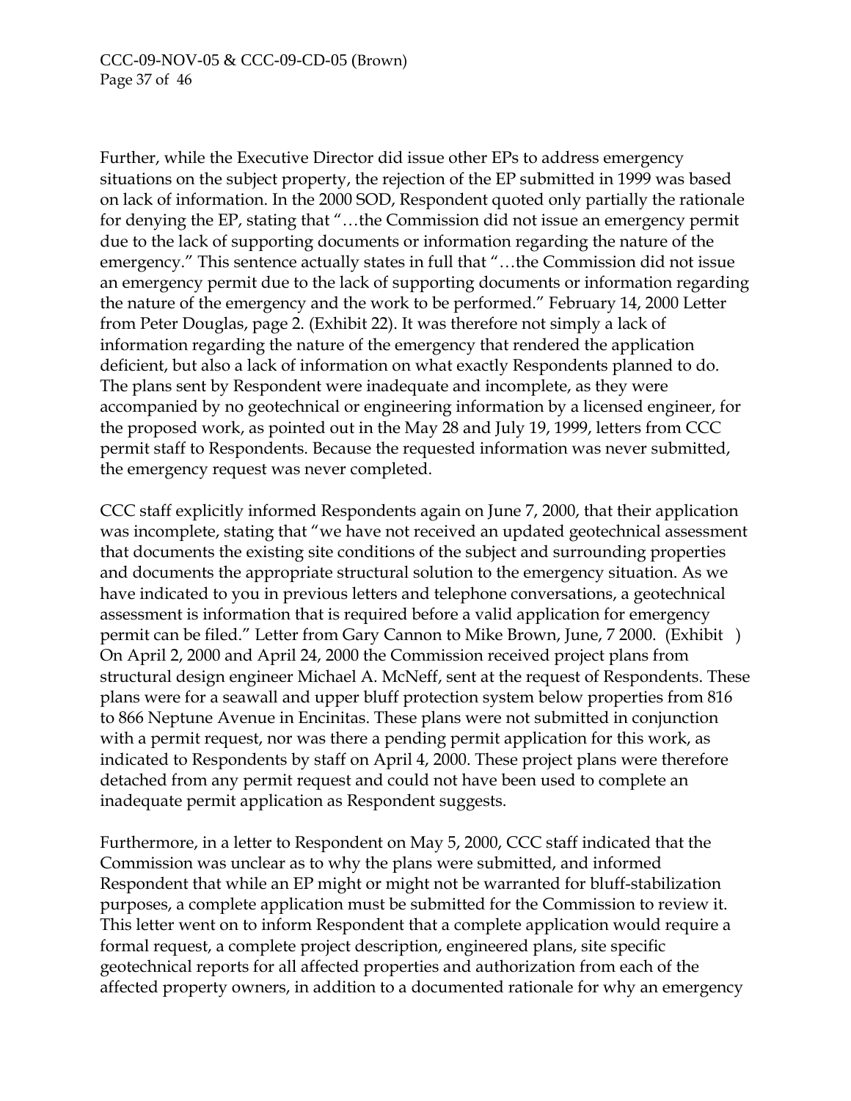Further, while the Executive Director did issue other EPs to address emergency situations on the subject property, the rejection of the EP submitted in 1999 was based on lack of information. In the 2000 SOD, Respondent quoted only partially the rationale for denying the EP, stating that "…the Commission did not issue an emergency permit due to the lack of supporting documents or information regarding the nature of the emergency." This sentence actually states in full that "…the Commission did not issue an emergency permit due to the lack of supporting documents or information regarding the nature of the emergency and the work to be performed." February 14, 2000 Letter from Peter Douglas, page 2. (Exhibit 22). It was therefore not simply a lack of information regarding the nature of the emergency that rendered the application deficient, but also a lack of information on what exactly Respondents planned to do. The plans sent by Respondent were inadequate and incomplete, as they were accompanied by no geotechnical or engineering information by a licensed engineer, for the proposed work, as pointed out in the May 28 and July 19, 1999, letters from CCC permit staff to Respondents. Because the requested information was never submitted, the emergency request was never completed.

CCC staff explicitly informed Respondents again on June 7, 2000, that their application was incomplete, stating that "we have not received an updated geotechnical assessment that documents the existing site conditions of the subject and surrounding properties and documents the appropriate structural solution to the emergency situation. As we have indicated to you in previous letters and telephone conversations, a geotechnical assessment is information that is required before a valid application for emergency permit can be filed." Letter from Gary Cannon to Mike Brown, June, 7 2000. (Exhibit ) On April 2, 2000 and April 24, 2000 the Commission received project plans from structural design engineer Michael A. McNeff, sent at the request of Respondents. These plans were for a seawall and upper bluff protection system below properties from 816 to 866 Neptune Avenue in Encinitas. These plans were not submitted in conjunction with a permit request, nor was there a pending permit application for this work, as indicated to Respondents by staff on April 4, 2000. These project plans were therefore detached from any permit request and could not have been used to complete an inadequate permit application as Respondent suggests.

Furthermore, in a letter to Respondent on May 5, 2000, CCC staff indicated that the Commission was unclear as to why the plans were submitted, and informed Respondent that while an EP might or might not be warranted for bluff-stabilization purposes, a complete application must be submitted for the Commission to review it. This letter went on to inform Respondent that a complete application would require a formal request, a complete project description, engineered plans, site specific geotechnical reports for all affected properties and authorization from each of the affected property owners, in addition to a documented rationale for why an emergency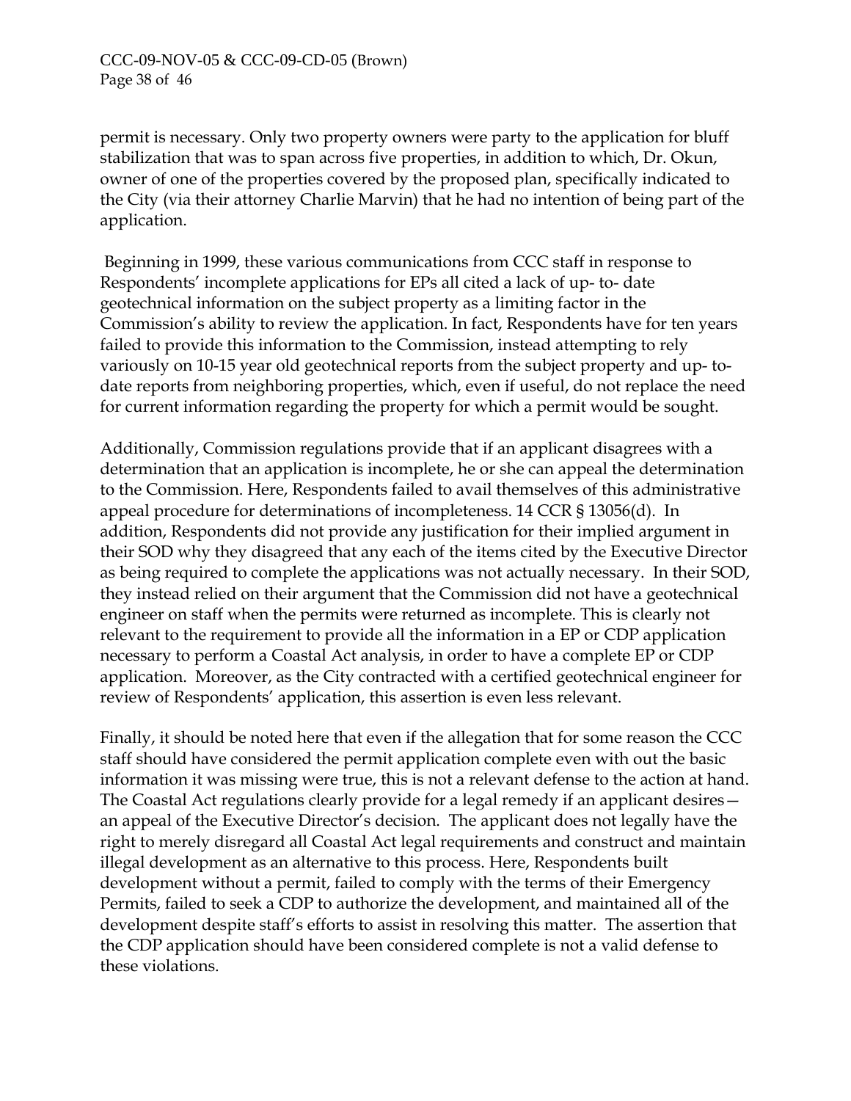permit is necessary. Only two property owners were party to the application for bluff stabilization that was to span across five properties, in addition to which, Dr. Okun, owner of one of the properties covered by the proposed plan, specifically indicated to the City (via their attorney Charlie Marvin) that he had no intention of being part of the application.

 Beginning in 1999, these various communications from CCC staff in response to Respondents' incomplete applications for EPs all cited a lack of up- to- date geotechnical information on the subject property as a limiting factor in the Commission's ability to review the application. In fact, Respondents have for ten years failed to provide this information to the Commission, instead attempting to rely variously on 10-15 year old geotechnical reports from the subject property and up- todate reports from neighboring properties, which, even if useful, do not replace the need for current information regarding the property for which a permit would be sought.

Additionally, Commission regulations provide that if an applicant disagrees with a determination that an application is incomplete, he or she can appeal the determination to the Commission. Here, Respondents failed to avail themselves of this administrative appeal procedure for determinations of incompleteness. 14 CCR § 13056(d). In addition, Respondents did not provide any justification for their implied argument in their SOD why they disagreed that any each of the items cited by the Executive Director as being required to complete the applications was not actually necessary. In their SOD, they instead relied on their argument that the Commission did not have a geotechnical engineer on staff when the permits were returned as incomplete. This is clearly not relevant to the requirement to provide all the information in a EP or CDP application necessary to perform a Coastal Act analysis, in order to have a complete EP or CDP application. Moreover, as the City contracted with a certified geotechnical engineer for review of Respondents' application, this assertion is even less relevant.

Finally, it should be noted here that even if the allegation that for some reason the CCC staff should have considered the permit application complete even with out the basic information it was missing were true, this is not a relevant defense to the action at hand. The Coastal Act regulations clearly provide for a legal remedy if an applicant desires an appeal of the Executive Director's decision. The applicant does not legally have the right to merely disregard all Coastal Act legal requirements and construct and maintain illegal development as an alternative to this process. Here, Respondents built development without a permit, failed to comply with the terms of their Emergency Permits, failed to seek a CDP to authorize the development, and maintained all of the development despite staff's efforts to assist in resolving this matter. The assertion that the CDP application should have been considered complete is not a valid defense to these violations.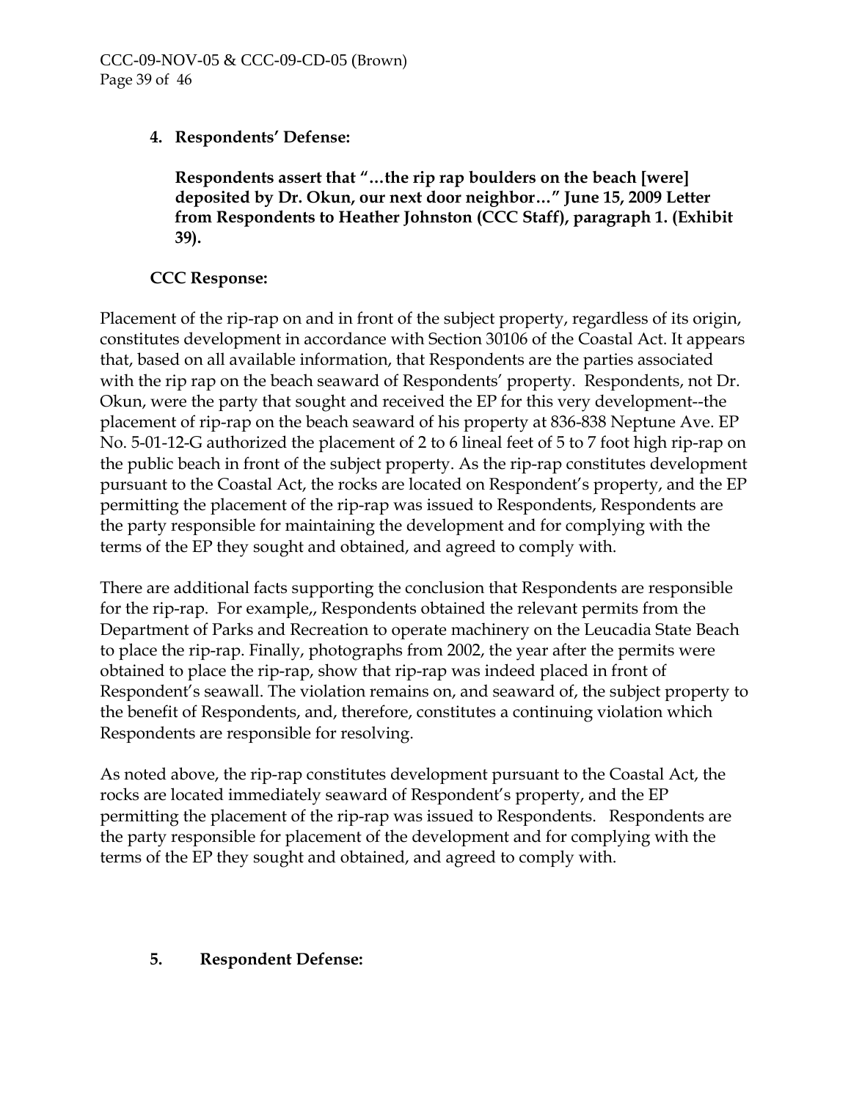# **4. Respondents' Defense:**

**Respondents assert that "…the rip rap boulders on the beach [were] deposited by Dr. Okun, our next door neighbor…" June 15, 2009 Letter from Respondents to Heather Johnston (CCC Staff), paragraph 1. (Exhibit 39).** 

# **CCC Response:**

Placement of the rip-rap on and in front of the subject property, regardless of its origin, constitutes development in accordance with Section 30106 of the Coastal Act. It appears that, based on all available information, that Respondents are the parties associated with the rip rap on the beach seaward of Respondents' property. Respondents, not Dr. Okun, were the party that sought and received the EP for this very development--the placement of rip-rap on the beach seaward of his property at 836-838 Neptune Ave. EP No. 5-01-12-G authorized the placement of 2 to 6 lineal feet of 5 to 7 foot high rip-rap on the public beach in front of the subject property. As the rip-rap constitutes development pursuant to the Coastal Act, the rocks are located on Respondent's property, and the EP permitting the placement of the rip-rap was issued to Respondents, Respondents are the party responsible for maintaining the development and for complying with the terms of the EP they sought and obtained, and agreed to comply with.

There are additional facts supporting the conclusion that Respondents are responsible for the rip-rap. For example,, Respondents obtained the relevant permits from the Department of Parks and Recreation to operate machinery on the Leucadia State Beach to place the rip-rap. Finally, photographs from 2002, the year after the permits were obtained to place the rip-rap, show that rip-rap was indeed placed in front of Respondent's seawall. The violation remains on, and seaward of, the subject property to the benefit of Respondents, and, therefore, constitutes a continuing violation which Respondents are responsible for resolving.

As noted above, the rip-rap constitutes development pursuant to the Coastal Act, the rocks are located immediately seaward of Respondent's property, and the EP permitting the placement of the rip-rap was issued to Respondents. Respondents are the party responsible for placement of the development and for complying with the terms of the EP they sought and obtained, and agreed to comply with.

## **5. Respondent Defense:**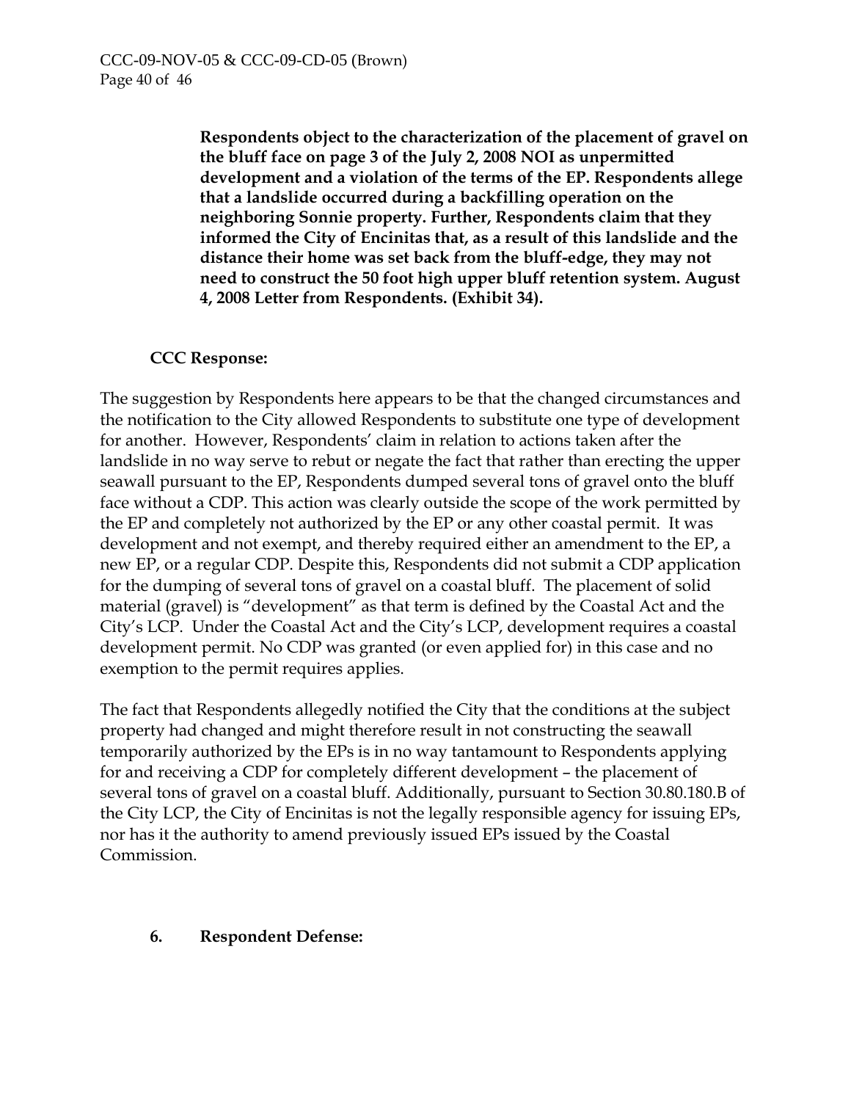**Respondents object to the characterization of the placement of gravel on the bluff face on page 3 of the July 2, 2008 NOI as unpermitted development and a violation of the terms of the EP. Respondents allege that a landslide occurred during a backfilling operation on the neighboring Sonnie property. Further, Respondents claim that they informed the City of Encinitas that, as a result of this landslide and the distance their home was set back from the bluff-edge, they may not need to construct the 50 foot high upper bluff retention system. August 4, 2008 Letter from Respondents. (Exhibit 34).** 

# **CCC Response:**

The suggestion by Respondents here appears to be that the changed circumstances and the notification to the City allowed Respondents to substitute one type of development for another. However, Respondents' claim in relation to actions taken after the landslide in no way serve to rebut or negate the fact that rather than erecting the upper seawall pursuant to the EP, Respondents dumped several tons of gravel onto the bluff face without a CDP. This action was clearly outside the scope of the work permitted by the EP and completely not authorized by the EP or any other coastal permit. It was development and not exempt, and thereby required either an amendment to the EP, a new EP, or a regular CDP. Despite this, Respondents did not submit a CDP application for the dumping of several tons of gravel on a coastal bluff. The placement of solid material (gravel) is "development" as that term is defined by the Coastal Act and the City's LCP. Under the Coastal Act and the City's LCP, development requires a coastal development permit. No CDP was granted (or even applied for) in this case and no exemption to the permit requires applies.

The fact that Respondents allegedly notified the City that the conditions at the subject property had changed and might therefore result in not constructing the seawall temporarily authorized by the EPs is in no way tantamount to Respondents applying for and receiving a CDP for completely different development – the placement of several tons of gravel on a coastal bluff. Additionally, pursuant to Section 30.80.180.B of the City LCP, the City of Encinitas is not the legally responsible agency for issuing EPs, nor has it the authority to amend previously issued EPs issued by the Coastal Commission.

## **6. Respondent Defense:**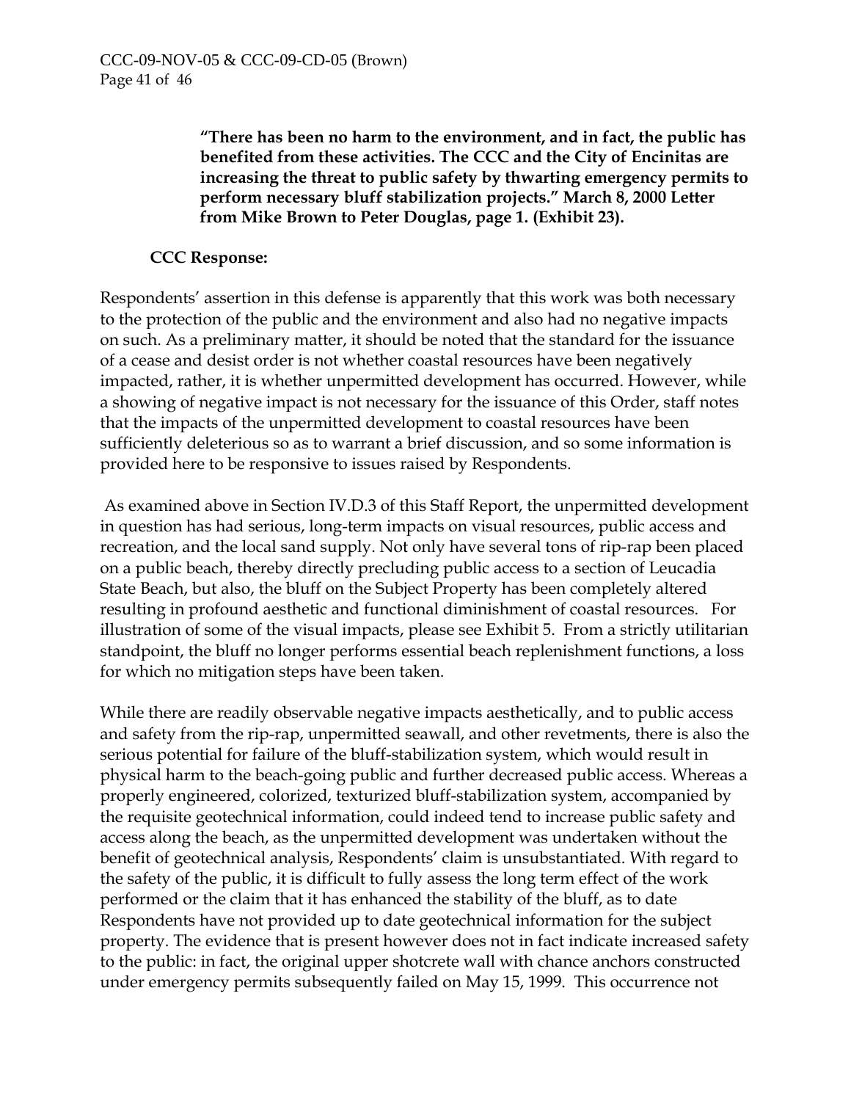**"There has been no harm to the environment, and in fact, the public has benefited from these activities. The CCC and the City of Encinitas are increasing the threat to public safety by thwarting emergency permits to perform necessary bluff stabilization projects." March 8, 2000 Letter from Mike Brown to Peter Douglas, page 1. (Exhibit 23).** 

## **CCC Response:**

Respondents' assertion in this defense is apparently that this work was both necessary to the protection of the public and the environment and also had no negative impacts on such. As a preliminary matter, it should be noted that the standard for the issuance of a cease and desist order is not whether coastal resources have been negatively impacted, rather, it is whether unpermitted development has occurred. However, while a showing of negative impact is not necessary for the issuance of this Order, staff notes that the impacts of the unpermitted development to coastal resources have been sufficiently deleterious so as to warrant a brief discussion, and so some information is provided here to be responsive to issues raised by Respondents.

 As examined above in Section IV.D.3 of this Staff Report, the unpermitted development in question has had serious, long-term impacts on visual resources, public access and recreation, and the local sand supply. Not only have several tons of rip-rap been placed on a public beach, thereby directly precluding public access to a section of Leucadia State Beach, but also, the bluff on the Subject Property has been completely altered resulting in profound aesthetic and functional diminishment of coastal resources. For illustration of some of the visual impacts, please see Exhibit 5. From a strictly utilitarian standpoint, the bluff no longer performs essential beach replenishment functions, a loss for which no mitigation steps have been taken.

While there are readily observable negative impacts aesthetically, and to public access and safety from the rip-rap, unpermitted seawall, and other revetments, there is also the serious potential for failure of the bluff-stabilization system, which would result in physical harm to the beach-going public and further decreased public access. Whereas a properly engineered, colorized, texturized bluff-stabilization system, accompanied by the requisite geotechnical information, could indeed tend to increase public safety and access along the beach, as the unpermitted development was undertaken without the benefit of geotechnical analysis, Respondents' claim is unsubstantiated. With regard to the safety of the public, it is difficult to fully assess the long term effect of the work performed or the claim that it has enhanced the stability of the bluff, as to date Respondents have not provided up to date geotechnical information for the subject property. The evidence that is present however does not in fact indicate increased safety to the public: in fact, the original upper shotcrete wall with chance anchors constructed under emergency permits subsequently failed on May 15, 1999. This occurrence not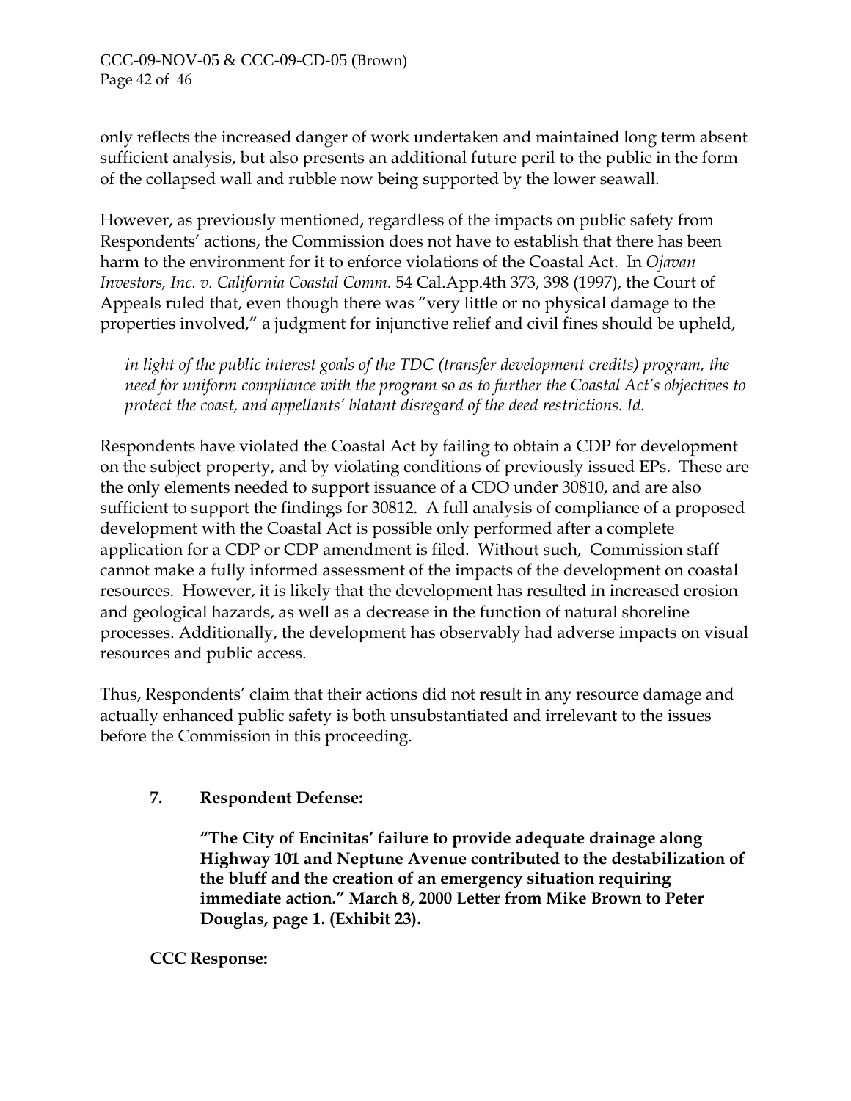only reflects the increased danger of work undertaken and maintained long term absent sufficient analysis, but also presents an additional future peril to the public in the form of the collapsed wall and rubble now being supported by the lower seawall.

However, as previously mentioned, regardless of the impacts on public safety from Respondents' actions, the Commission does not have to establish that there has been harm to the environment for it to enforce violations of the Coastal Act. In *Ojavan Investors, Inc. v. California Coastal Comm.* 54 Cal.App.4th 373, 398 (1997), the Court of Appeals ruled that, even though there was "very little or no physical damage to the properties involved," a judgment for injunctive relief and civil fines should be upheld,

*in light of the public interest goals of the TDC (transfer development credits) program, the need for uniform compliance with the program so as to further the Coastal Act's objectives to protect the coast, and appellants' blatant disregard of the deed restrictions. Id.* 

Respondents have violated the Coastal Act by failing to obtain a CDP for development on the subject property, and by violating conditions of previously issued EPs. These are the only elements needed to support issuance of a CDO under 30810, and are also sufficient to support the findings for 30812. A full analysis of compliance of a proposed development with the Coastal Act is possible only performed after a complete application for a CDP or CDP amendment is filed. Without such, Commission staff cannot make a fully informed assessment of the impacts of the development on coastal resources. However, it is likely that the development has resulted in increased erosion and geological hazards, as well as a decrease in the function of natural shoreline processes. Additionally, the development has observably had adverse impacts on visual resources and public access.

Thus, Respondents' claim that their actions did not result in any resource damage and actually enhanced public safety is both unsubstantiated and irrelevant to the issues before the Commission in this proceeding.

# **7. Respondent Defense:**

**"The City of Encinitas' failure to provide adequate drainage along Highway 101 and Neptune Avenue contributed to the destabilization of the bluff and the creation of an emergency situation requiring immediate action." March 8, 2000 Letter from Mike Brown to Peter Douglas, page 1. (Exhibit 23).** 

 **CCC Response:**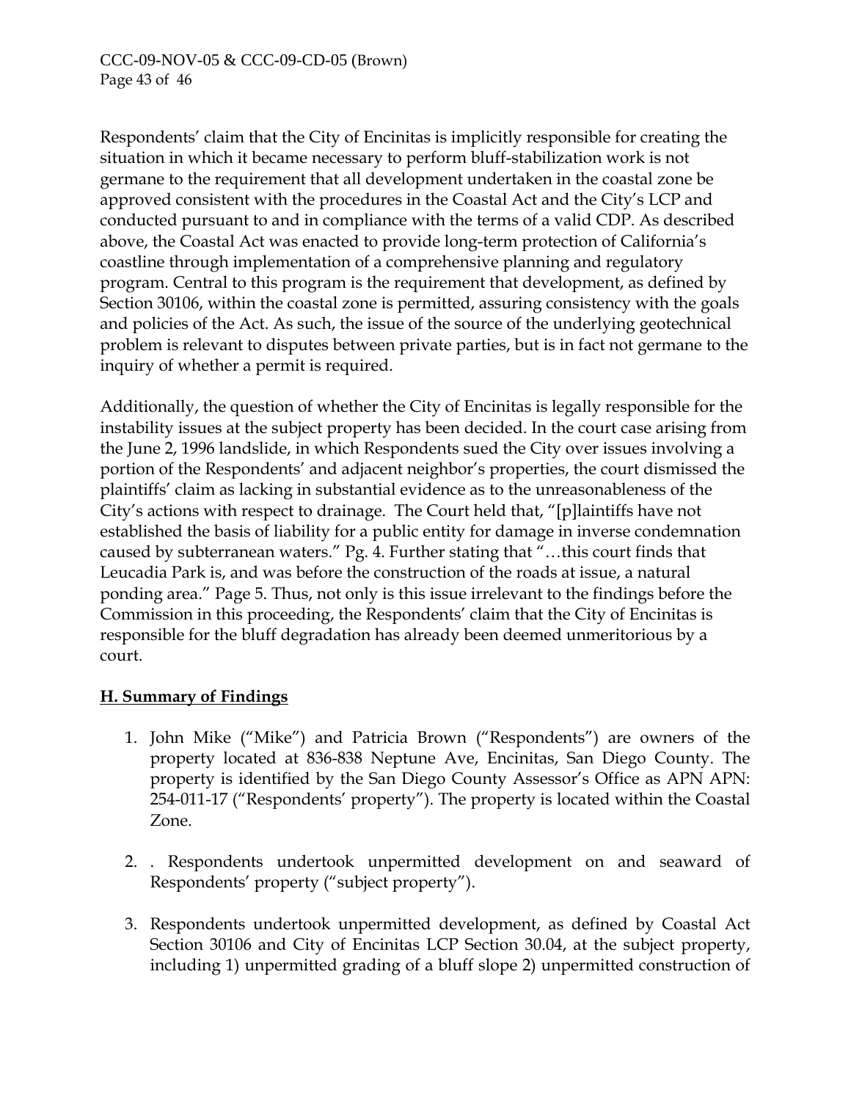Respondents' claim that the City of Encinitas is implicitly responsible for creating the situation in which it became necessary to perform bluff-stabilization work is not germane to the requirement that all development undertaken in the coastal zone be approved consistent with the procedures in the Coastal Act and the City's LCP and conducted pursuant to and in compliance with the terms of a valid CDP. As described above, the Coastal Act was enacted to provide long-term protection of California's coastline through implementation of a comprehensive planning and regulatory program. Central to this program is the requirement that development, as defined by Section 30106, within the coastal zone is permitted, assuring consistency with the goals and policies of the Act. As such, the issue of the source of the underlying geotechnical problem is relevant to disputes between private parties, but is in fact not germane to the inquiry of whether a permit is required.

Additionally, the question of whether the City of Encinitas is legally responsible for the instability issues at the subject property has been decided. In the court case arising from the June 2, 1996 landslide, in which Respondents sued the City over issues involving a portion of the Respondents' and adjacent neighbor's properties, the court dismissed the plaintiffs' claim as lacking in substantial evidence as to the unreasonableness of the City's actions with respect to drainage. The Court held that, "[p]laintiffs have not established the basis of liability for a public entity for damage in inverse condemnation caused by subterranean waters." Pg. 4. Further stating that "…this court finds that Leucadia Park is, and was before the construction of the roads at issue, a natural ponding area." Page 5. Thus, not only is this issue irrelevant to the findings before the Commission in this proceeding, the Respondents' claim that the City of Encinitas is responsible for the bluff degradation has already been deemed unmeritorious by a court.

# **H. Summary of Findings**

- 1. John Mike ("Mike") and Patricia Brown ("Respondents") are owners of the property located at 836-838 Neptune Ave, Encinitas, San Diego County. The property is identified by the San Diego County Assessor's Office as APN APN: 254-011-17 ("Respondents' property"). The property is located within the Coastal Zone.
- 2. . Respondents undertook unpermitted development on and seaward of Respondents' property ("subject property").
- 3. Respondents undertook unpermitted development, as defined by Coastal Act Section 30106 and City of Encinitas LCP Section 30.04, at the subject property, including 1) unpermitted grading of a bluff slope 2) unpermitted construction of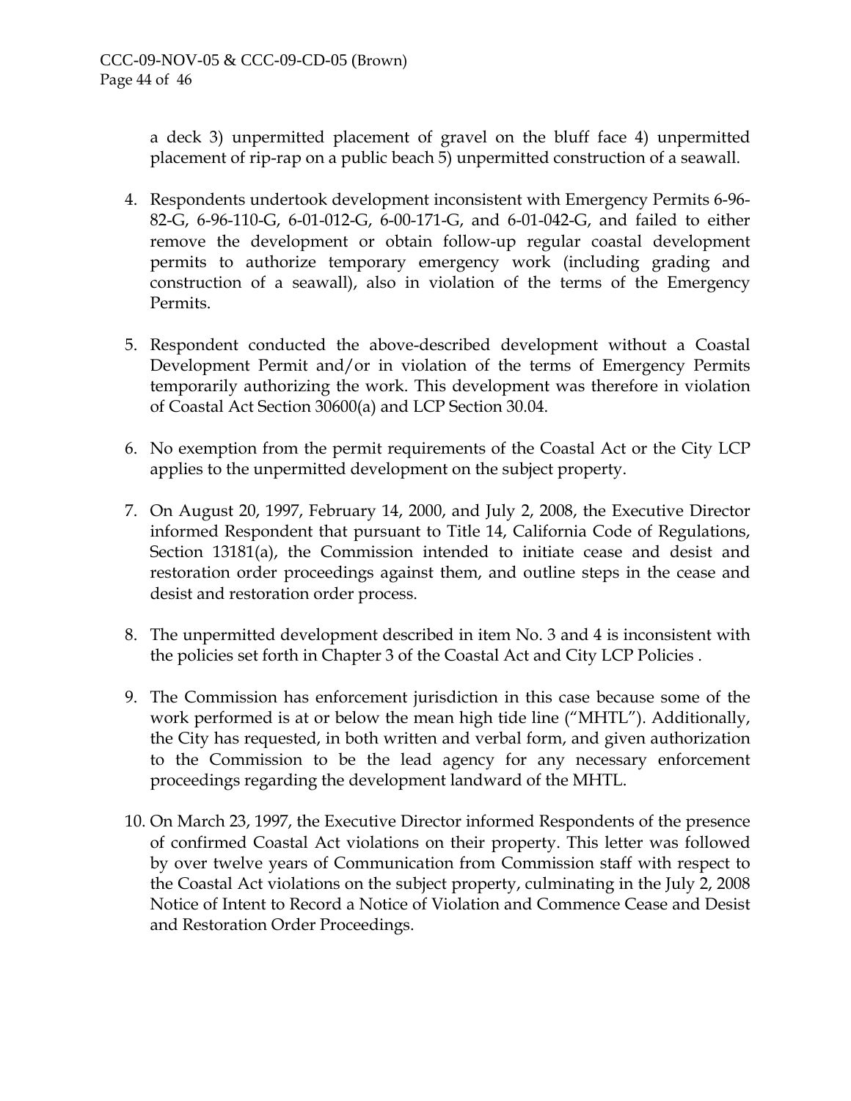a deck 3) unpermitted placement of gravel on the bluff face 4) unpermitted placement of rip-rap on a public beach 5) unpermitted construction of a seawall.

- 4. Respondents undertook development inconsistent with Emergency Permits 6-96- 82-G, 6-96-110-G, 6-01-012-G, 6-00-171-G, and 6-01-042-G, and failed to either remove the development or obtain follow-up regular coastal development permits to authorize temporary emergency work (including grading and construction of a seawall), also in violation of the terms of the Emergency Permits.
- 5. Respondent conducted the above-described development without a Coastal Development Permit and/or in violation of the terms of Emergency Permits temporarily authorizing the work. This development was therefore in violation of Coastal Act Section 30600(a) and LCP Section 30.04.
- 6. No exemption from the permit requirements of the Coastal Act or the City LCP applies to the unpermitted development on the subject property.
- 7. On August 20, 1997, February 14, 2000, and July 2, 2008, the Executive Director informed Respondent that pursuant to Title 14, California Code of Regulations, Section 13181(a), the Commission intended to initiate cease and desist and restoration order proceedings against them, and outline steps in the cease and desist and restoration order process.
- 8. The unpermitted development described in item No. 3 and 4 is inconsistent with the policies set forth in Chapter 3 of the Coastal Act and City LCP Policies .
- 9. The Commission has enforcement jurisdiction in this case because some of the work performed is at or below the mean high tide line ("MHTL"). Additionally, the City has requested, in both written and verbal form, and given authorization to the Commission to be the lead agency for any necessary enforcement proceedings regarding the development landward of the MHTL.
- 10. On March 23, 1997, the Executive Director informed Respondents of the presence of confirmed Coastal Act violations on their property. This letter was followed by over twelve years of Communication from Commission staff with respect to the Coastal Act violations on the subject property, culminating in the July 2, 2008 Notice of Intent to Record a Notice of Violation and Commence Cease and Desist and Restoration Order Proceedings.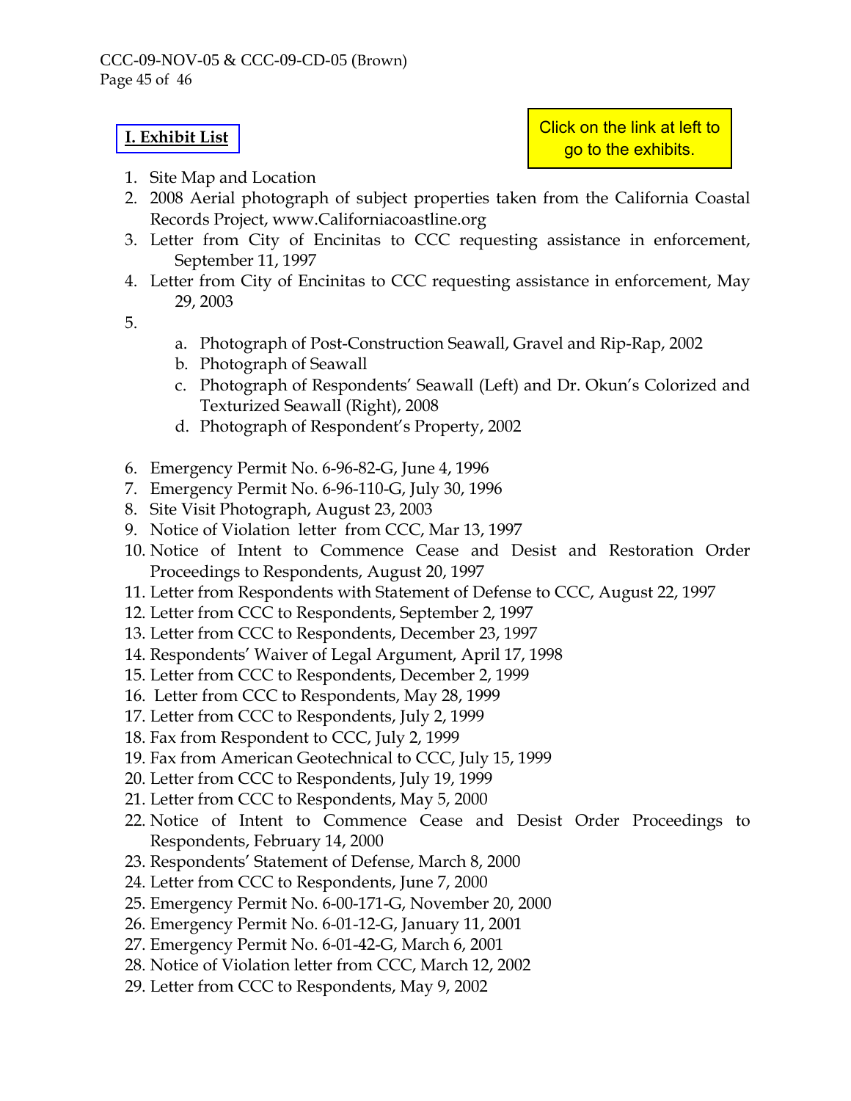## **[I. Exhibit List](http://documents.coastal.ca.gov/reports/2009/9/W10-s-9-2009-a1.pdf)**

Click on the link at left to go to the exhibits.

- 1. Site Map and Location
- 2. 2008 Aerial photograph of subject properties taken from the California Coastal Records Project, www.Californiacoastline.org
- 3. Letter from City of Encinitas to CCC requesting assistance in enforcement, September 11, 1997
- 4. Letter from City of Encinitas to CCC requesting assistance in enforcement, May 29, 2003
- 5.
- a. Photograph of Post-Construction Seawall, Gravel and Rip-Rap, 2002
- b. Photograph of Seawall
- c. Photograph of Respondents' Seawall (Left) and Dr. Okun's Colorized and Texturized Seawall (Right), 2008
- d. Photograph of Respondent's Property, 2002
- 6. Emergency Permit No. 6-96-82-G, June 4, 1996
- 7. Emergency Permit No. 6-96-110-G, July 30, 1996
- 8. Site Visit Photograph, August 23, 2003
- 9. Notice of Violation letter from CCC, Mar 13, 1997
- 10. Notice of Intent to Commence Cease and Desist and Restoration Order Proceedings to Respondents, August 20, 1997
- 11. Letter from Respondents with Statement of Defense to CCC, August 22, 1997
- 12. Letter from CCC to Respondents, September 2, 1997
- 13. Letter from CCC to Respondents, December 23, 1997
- 14. Respondents' Waiver of Legal Argument, April 17, 1998
- 15. Letter from CCC to Respondents, December 2, 1999
- 16. Letter from CCC to Respondents, May 28, 1999
- 17. Letter from CCC to Respondents, July 2, 1999
- 18. Fax from Respondent to CCC, July 2, 1999
- 19. Fax from American Geotechnical to CCC, July 15, 1999
- 20. Letter from CCC to Respondents, July 19, 1999
- 21. Letter from CCC to Respondents, May 5, 2000
- 22. Notice of Intent to Commence Cease and Desist Order Proceedings to Respondents, February 14, 2000
- 23. Respondents' Statement of Defense, March 8, 2000
- 24. Letter from CCC to Respondents, June 7, 2000
- 25. Emergency Permit No. 6-00-171-G, November 20, 2000
- 26. Emergency Permit No. 6-01-12-G, January 11, 2001
- 27. Emergency Permit No. 6-01-42-G, March 6, 2001
- 28. Notice of Violation letter from CCC, March 12, 2002
- 29. Letter from CCC to Respondents, May 9, 2002